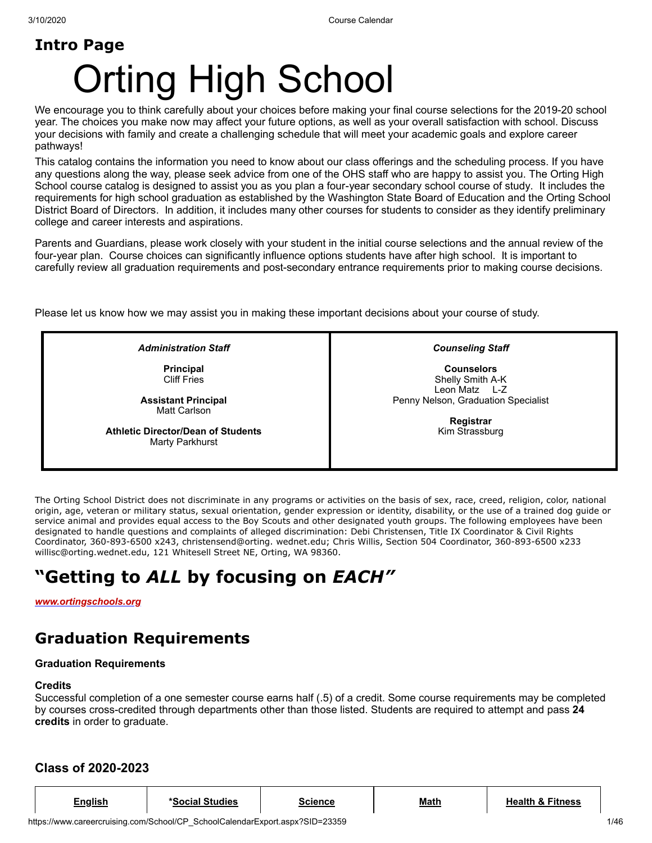# **Intro Page** Orting High School

We encourage you to think carefully about your choices before making your final course selections for the 2019-20 school year. The choices you make now may affect your future options, as well as your overall satisfaction with school. Discuss your decisions with family and create a challenging schedule that will meet your academic goals and explore career pathways!

This catalog contains the information you need to know about our class offerings and the scheduling process. If you have any questions along the way, please seek advice from one of the OHS staff who are happy to assist you. The Orting High School course catalog is designed to assist you as you plan a four-year secondary school course of study. It includes the requirements for high school graduation as established by the Washington State Board of Education and the Orting School District Board of Directors. In addition, it includes many other courses for students to consider as they identify preliminary college and career interests and aspirations.

Parents and Guardians, please work closely with your student in the initial course selections and the annual review of the four-year plan. Course choices can significantly influence options students have after high school. It is important to carefully review all graduation requirements and post-secondary entrance requirements prior to making course decisions.

Please let us know how we may assist you in making these important decisions about your course of study.

*Administration Staff*

**Principal** Cliff Fries

**Assistant Principal** Matt Carlson

**Athletic Director/Dean of Students** Marty Parkhurst

*Counseling Staff*

**Counselors** Shelly Smith A-K Leon Matz L-Z Penny Nelson, Graduation Specialist

> **Registrar** Kim Strassburg

The Orting School District does not discriminate in any programs or activities on the basis of sex, race, creed, religion, color, national origin, age, veteran or military status, sexual orientation, gender expression or identity, disability, or the use of a trained dog guide or service animal and provides equal access to the Boy Scouts and other designated youth groups. The following employees have been designated to handle questions and complaints of alleged discrimination: Debi Christensen, Title IX Coordinator & Civil Rights Coordinator, 360-893-6500 x243, christensend@orting. wednet.edu; Chris Willis, Section 504 Coordinator, 360-893-6500 x233 willisc@orting.wednet.edu, 121 Whitesell Street NE, Orting, WA 98360.

## **"Getting to** *ALL* **by focusing on** *EACH"*

*[www.ortingschools.org](http://www.ortingschools.org/)*

## **Graduation Requirements**

## **Graduation Requirements**

## **Credits**

Successful completion of a one semester course earns half (.5) of a credit. Some course requirements may be completed by courses cross-credited through departments other than those listed. Students are required to attempt and pass **24 credits** in order to graduate.

## **Class of 2020-2023**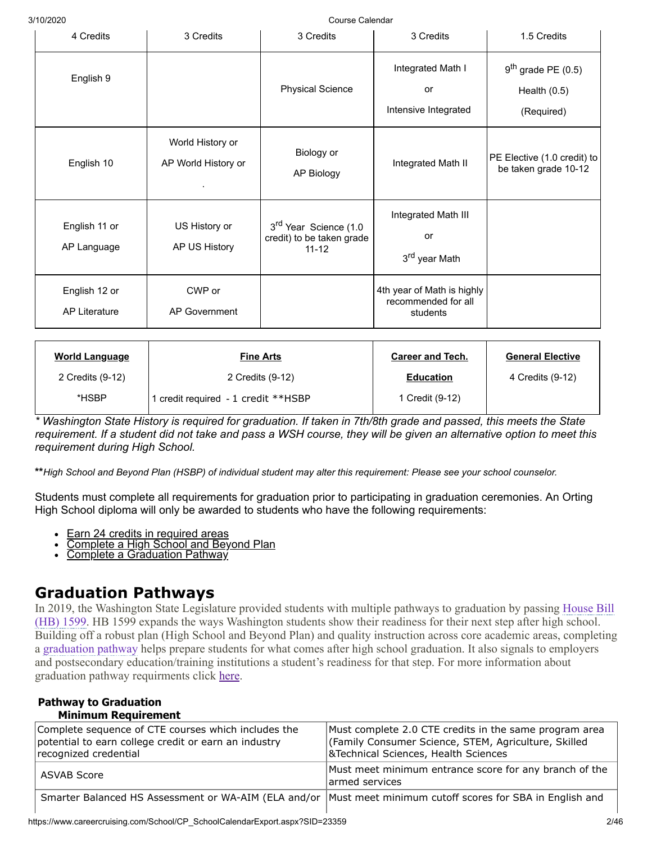| 4 Credits                             | 3 Credits                               | 3 Credits                                                                   | 3 Credits                                                     | 1.5 Credits                                          |
|---------------------------------------|-----------------------------------------|-----------------------------------------------------------------------------|---------------------------------------------------------------|------------------------------------------------------|
| English 9                             |                                         | <b>Physical Science</b>                                                     | Integrated Math I<br>or<br>Intensive Integrated               | $9th$ grade PE (0.5)<br>Health $(0.5)$<br>(Required) |
| English 10                            | World History or<br>AP World History or | Biology or<br>AP Biology                                                    | Integrated Math II                                            | PE Elective (1.0 credit) to<br>be taken grade 10-12  |
| English 11 or<br>AP Language          | US History or<br>AP US History          | 3 <sup>rd</sup> Year Science (1.0<br>credit) to be taken grade<br>$11 - 12$ | Integrated Math III<br>or<br>3 <sup>rd</sup> year Math        |                                                      |
| English 12 or<br><b>AP Literature</b> | CWP or<br><b>AP Government</b>          |                                                                             | 4th year of Math is highly<br>recommended for all<br>students |                                                      |

| <u>World Language</u> | <b>Fine Arts</b>                    | <b>Career and Tech.</b> | <b>General Elective</b> |
|-----------------------|-------------------------------------|-------------------------|-------------------------|
| 2 Credits (9-12)      | 2 Credits (9-12)                    | <b>Education</b>        | 4 Credits (9-12)        |
| *HSBP                 | 1 credit required - 1 credit **HSBP | 1 Credit (9-12)         |                         |

*Washington State History is required for graduation. If taken in 7th/8th grade and passed, this meets the State requirement. If a student did not take and pass a WSH course, they will be given an alternative option to meet this requirement during High School.*

**\*\****High School and Beyond Plan (HSBP) of individual student may alter this requirement: Please see your school counselor.*

Students must complete all requirements for graduation prior to participating in graduation ceremonies. An Orting High School diploma will only be awarded to students who have the following requirements:

- $\bullet$ Earn 24 credits in required areas
- Complete a High School and Beyond Plan
- **Complete a Graduation Pathway**

## **Graduation Pathways**

[In 2019, the Washington State Legislature provided students with multiple pathways to graduation by passing House Bill](https://app.leg.wa.gov/billsummary?BillNumber=1599&Year=2019&Initiative=false) (HB) 1599. HB 1599 expands the ways Washington students show their readiness for their next step after high school. Building off a robust plan (High School and Beyond Plan) and quality instruction across core academic areas, completing a [graduation pathway](https://www.k12.wa.us/sites/default/files/public/ossi/k12supports/pubdocs/Graduation%20Pathways%20by%20Cohort.pdf) helps prepare students for what comes after high school graduation. It also signals to employers and postsecondary education/training institutions a student's readiness for that step. For more information about graduation pathway requirments click [here](https://www.k12.wa.us/student-success/graduation/graduation-requirements/graduation-pathways).

#### **Pathway to Graduation Minimum Requirement**

| Complete sequence of CTE courses which includes the<br>potential to earn college credit or earn an industry<br>recognized credential | Must complete 2.0 CTE credits in the same program area<br>(Family Consumer Science, STEM, Agriculture, Skilled<br>&Technical Sciences, Health Sciences |
|--------------------------------------------------------------------------------------------------------------------------------------|--------------------------------------------------------------------------------------------------------------------------------------------------------|
| ASVAB Score                                                                                                                          | Must meet minimum entrance score for any branch of the<br>armed services                                                                               |
| Smarter Balanced HS Assessment or WA-AIM (ELA and/or  Must meet minimum cutoff scores for SBA in English and                         |                                                                                                                                                        |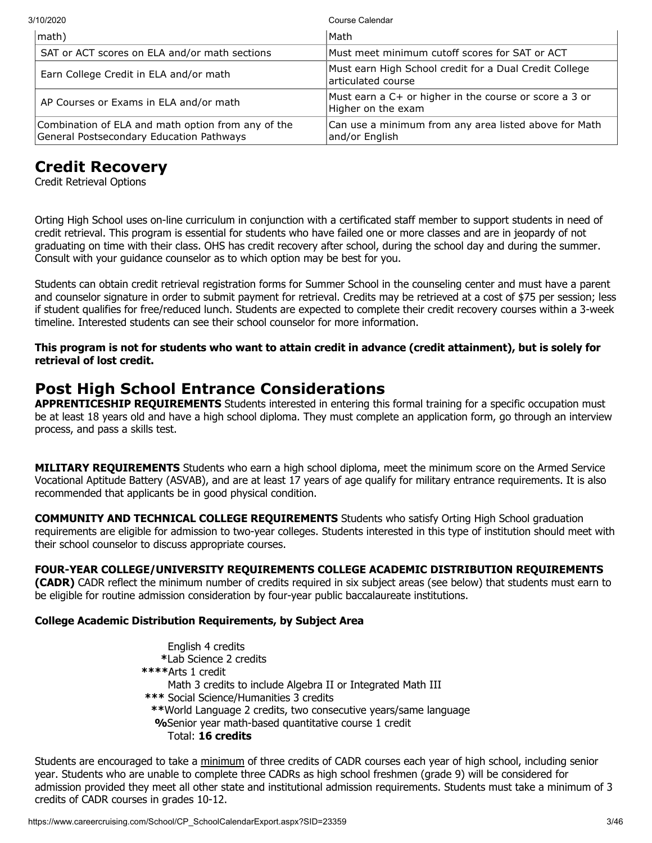| 3/10/2020                                                                                      | Course Calendar                                                              |
|------------------------------------------------------------------------------------------------|------------------------------------------------------------------------------|
| math)                                                                                          | Math                                                                         |
| SAT or ACT scores on ELA and/or math sections                                                  | Must meet minimum cutoff scores for SAT or ACT                               |
| Earn College Credit in ELA and/or math                                                         | Must earn High School credit for a Dual Credit College<br>articulated course |
| AP Courses or Exams in ELA and/or math                                                         | Must earn a C+ or higher in the course or score a 3 or<br>Higher on the exam |
| Combination of ELA and math option from any of the<br>General Postsecondary Education Pathways | Can use a minimum from any area listed above for Math<br>and/or English      |

## **Credit Recovery**

Credit Retrieval Options

Orting High School uses on-line curriculum in conjunction with a certificated staff member to support students in need of credit retrieval. This program is essential for students who have failed one or more classes and are in jeopardy of not graduating on time with their class. OHS has credit recovery after school, during the school day and during the summer. Consult with your guidance counselor as to which option may be best for you.

Students can obtain credit retrieval registration forms for Summer School in the counseling center and must have a parent and counselor signature in order to submit payment for retrieval. Credits may be retrieved at a cost of \$75 per session; less if student qualifies for free/reduced lunch. Students are expected to complete their credit recovery courses within a 3-week timeline. Interested students can see their school counselor for more information.

**This program is not for students who want to attain credit in advance (credit attainment), but is solely for retrieval of lost credit.**

## **Post High School Entrance Considerations**

**APPRENTICESHIP REQUIREMENTS** Students interested in entering this formal training for a specific occupation must be at least 18 years old and have a high school diploma. They must complete an application form, go through an interview process, and pass a skills test.

**MILITARY REQUIREMENTS** Students who earn a high school diploma, meet the minimum score on the Armed Service Vocational Aptitude Battery (ASVAB), and are at least 17 years of age qualify for military entrance requirements. It is also recommended that applicants be in good physical condition.

**COMMUNITY AND TECHNICAL COLLEGE REQUIREMENTS** Students who satisfy Orting High School graduation requirements are eligible for admission to two-year colleges. Students interested in this type of institution should meet with their school counselor to discuss appropriate courses.

## **FOUR-YEAR COLLEGE/UNIVERSITY REQUIREMENTS COLLEGE ACADEMIC DISTRIBUTION REQUIREMENTS**

**(CADR)** CADR reflect the minimum number of credits required in six subject areas (see below) that students must earn to be eligible for routine admission consideration by four-year public baccalaureate institutions.

## **College Academic Distribution Requirements, by Subject Area**

English 4 credits  **\***Lab Science 2 credits **\*\*\*\***Arts 1 credit Math 3 credits to include Algebra II or Integrated Math III **\*\*\*** Social Science/Humanities 3 credits  **\*\***World Language 2 credits, two consecutive years/same language **%**Senior year math-based quantitative course 1 credit Total: **16 credits**

Students are encouraged to take a minimum of three credits of CADR courses each year of high school, including senior year. Students who are unable to complete three CADRs as high school freshmen (grade 9) will be considered for admission provided they meet all other state and institutional admission requirements. Students must take a minimum of 3 credits of CADR courses in grades 10-12.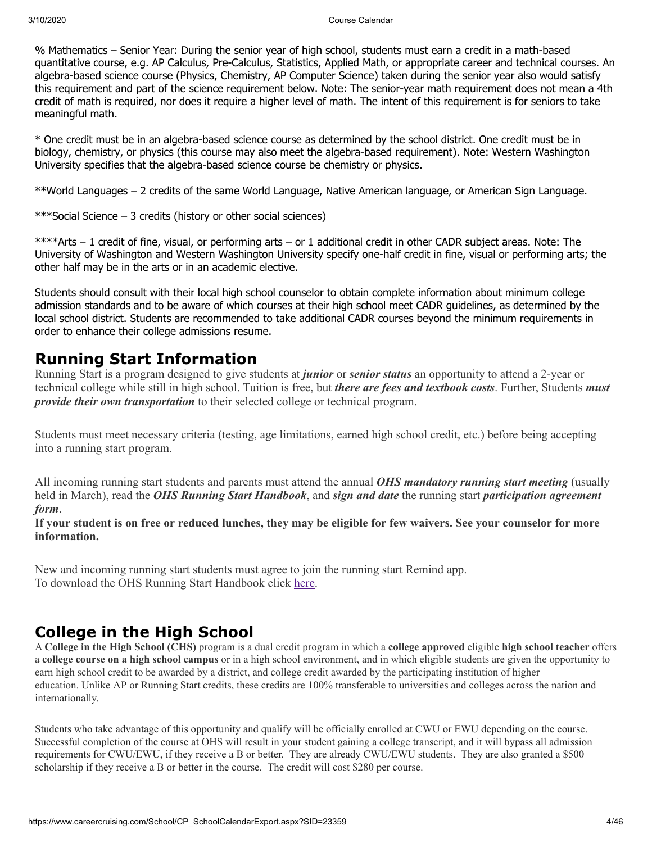% Mathematics – Senior Year: During the senior year of high school, students must earn a credit in a math-based quantitative course, e.g. AP Calculus, Pre-Calculus, Statistics, Applied Math, or appropriate career and technical courses. An algebra-based science course (Physics, Chemistry, AP Computer Science) taken during the senior year also would satisfy this requirement and part of the science requirement below. Note: The senior-year math requirement does not mean a 4th credit of math is required, nor does it require a higher level of math. The intent of this requirement is for seniors to take meaningful math.

\* One credit must be in an algebra-based science course as determined by the school district. One credit must be in biology, chemistry, or physics (this course may also meet the algebra-based requirement). Note: Western Washington University specifies that the algebra-based science course be chemistry or physics.

\*\*World Languages – 2 credits of the same World Language, Native American language, or American Sign Language.

\*\*\*Social Science – 3 credits (history or other social sciences)

\*\*\*\*Arts – 1 credit of fine, visual, or performing arts – or 1 additional credit in other CADR subject areas. Note: The University of Washington and Western Washington University specify one-half credit in fine, visual or performing arts; the other half may be in the arts or in an academic elective.

Students should consult with their local high school counselor to obtain complete information about minimum college admission standards and to be aware of which courses at their high school meet CADR guidelines, as determined by the local school district. Students are recommended to take additional CADR courses beyond the minimum requirements in order to enhance their college admissions resume.

## **Running Start Information**

Running Start is a program designed to give students at *junior* or *senior status* an opportunity to attend a 2-year or technical college while still in high school. Tuition is free, but *there are fees and textbook costs*. Further, Students *must provide their own transportation* to their selected college or technical program.

Students must meet necessary criteria (testing, age limitations, earned high school credit, etc.) before being accepting into a running start program.

All incoming running start students and parents must attend the annual *OHS mandatory running start meeting* (usually held in March), read the *OHS Running Start Handbook*, and *sign and date* the running start *participation agreement form*.

**If your student is on free or reduced lunches, they may be eligible for few waivers. See your counselor for more information.**

New and incoming running start students must agree to join the running start Remind app. To download the OHS Running Start Handbook click [here.](https://drive.google.com/file/d/17ZUsdG_P4bPGfgD2i8kizJ5vOjZZCtTG/view)

## **College in the High School**

A **College in the High School (CHS)** program is a dual credit program in which a **college approved** eligible **high school teacher** offers a **college course on a high school campus** or in a high school environment, and in which eligible students are given the opportunity to earn high school credit to be awarded by a district, and college credit awarded by the participating institution of higher education. Unlike AP or Running Start credits, these credits are 100% transferable to universities and colleges across the nation and internationally.

Students who take advantage of this opportunity and qualify will be officially enrolled at CWU or EWU depending on the course. Successful completion of the course at OHS will result in your student gaining a college transcript, and it will bypass all admission requirements for CWU/EWU, if they receive a B or better. They are already CWU/EWU students. They are also granted a \$500 scholarship if they receive a B or better in the course. The credit will cost \$280 per course.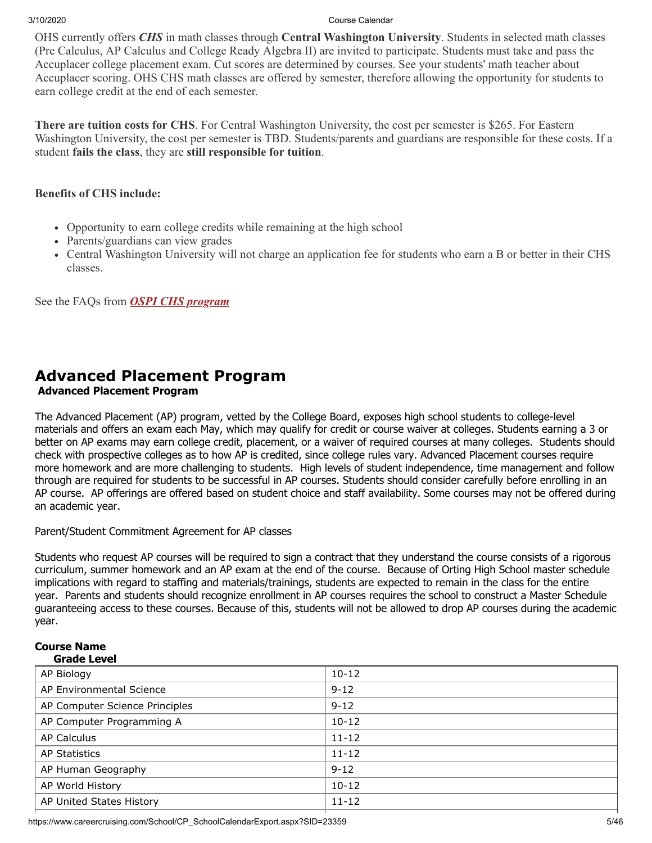OHS currently offers *CHS* in math classes through **Central Washington University**. Students in selected math classes (Pre Calculus, AP Calculus and College Ready Algebra II) are invited to participate. Students must take and pass the Accuplacer college placement exam. Cut scores are determined by courses. See your students' math teacher about Accuplacer scoring. OHS CHS math classes are offered by semester, therefore allowing the opportunity for students to earn college credit at the end of each semester.

**There are tuition costs for CHS**. For Central Washington University, the cost per semester is \$265. For Eastern Washington University, the cost per semester is TBD. Students/parents and guardians are responsible for these costs. If a student **fails the class**, they are **still responsible for tuition**.

## **Benefits of CHS include:**

- Opportunity to earn college credits while remaining at the high school
- Parents/guardians can view grades
- Central Washington University will not charge an application fee for students who earn a B or better in their CHS classes.

See the FAQs from *[OSPI CHS program](https://www.ortingschools.org/cms/lib/WA50000534/Centricity/Domain/345/CHS%20FAQs%208.20.19.pdf)*

## **Advanced Placement Program**

## **Advanced Placement Program**

The Advanced Placement (AP) program, vetted by the College Board, exposes high school students to college-level materials and offers an exam each May, which may qualify for credit or course waiver at colleges. Students earning a 3 or better on AP exams may earn college credit, placement, or a waiver of required courses at many colleges. Students should check with prospective colleges as to how AP is credited, since college rules vary. Advanced Placement courses require more homework and are more challenging to students. High levels of student independence, time management and follow through are required for students to be successful in AP courses. Students should consider carefully before enrolling in an AP course. AP offerings are offered based on student choice and staff availability. Some courses may not be offered during an academic year.

## Parent/Student Commitment Agreement for AP classes

Students who request AP courses will be required to sign a contract that they understand the course consists of a rigorous curriculum, summer homework and an AP exam at the end of the course. Because of Orting High School master schedule implications with regard to staffing and materials/trainings, students are expected to remain in the class for the entire year. Parents and students should recognize enrollment in AP courses requires the school to construct a Master Schedule guaranteeing access to these courses. Because of this, students will not be allowed to drop AP courses during the academic year.

#### **Course Name Grade Level**

| AP Biology                     | $10-12$   |
|--------------------------------|-----------|
| AP Environmental Science       | $9 - 12$  |
| AP Computer Science Principles | $9 - 12$  |
| AP Computer Programming A      | $10 - 12$ |
| <b>AP Calculus</b>             | $11 - 12$ |
| <b>AP Statistics</b>           | $11 - 12$ |
| AP Human Geography             | $9 - 12$  |
| AP World History               | $10 - 12$ |
| AP United States History       | $11 - 12$ |

https://www.careercruising.com/School/CP\_SchoolCalendarExport.aspx?SID=23359 5/46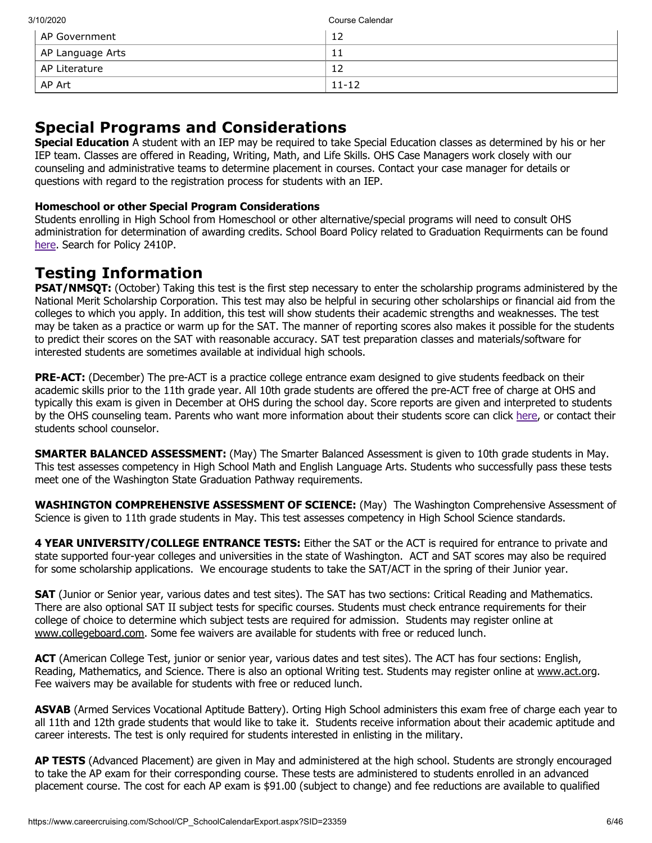| 3/10/2020        | Course Calendar |
|------------------|-----------------|
| l AP Government  | 12              |
| AP Language Arts | ᆠ               |
| AP Literature    | 12              |
| AP Art           | $11 - 12$       |

## **Special Programs and Considerations**

**Special Education** A student with an IEP may be required to take Special Education classes as determined by his or her IEP team. Classes are offered in Reading, Writing, Math, and Life Skills. OHS Case Managers work closely with our counseling and administrative teams to determine placement in courses. Contact your case manager for details or questions with regard to the registration process for students with an IEP.

## **Homeschool or other Special Program Considerations**

Students enrolling in High School from Homeschool or other alternative/special programs will need to consult OHS administration for determination of awarding credits. School Board Policy related to Graduation Requirments can be found [here](https://go.boarddocs.com/wa/orting/Board.nsf/Public#). Search for Policy 2410P.

## **Testing Information**

**PSAT/NMSQT:** (October) Taking this test is the first step necessary to enter the scholarship programs administered by the National Merit Scholarship Corporation. This test may also be helpful in securing other scholarships or financial aid from the colleges to which you apply. In addition, this test will show students their academic strengths and weaknesses. The test may be taken as a practice or warm up for the SAT. The manner of reporting scores also makes it possible for the students to predict their scores on the SAT with reasonable accuracy. SAT test preparation classes and materials/software for interested students are sometimes available at individual high schools.

**PRE-ACT:** (December) The pre-ACT is a practice college entrance exam designed to give students feedback on their academic skills prior to the 11th grade year. All 10th grade students are offered the pre-ACT free of charge at OHS and typically this exam is given in December at OHS during the school day. Score reports are given and interpreted to students by the OHS counseling team. Parents who want more information about their students score can click [here](https://www.act.org/content/act/en/products-and-services/workkeys-for-job-seekers/scores.html), or contact their students school counselor.

**SMARTER BALANCED ASSESSMENT:** (May) The Smarter Balanced Assessment is given to 10th grade students in May. This test assesses competency in High School Math and English Language Arts. Students who successfully pass these tests meet one of the Washington State Graduation Pathway requirements.

**WASHINGTON COMPREHENSIVE ASSESSMENT OF SCIENCE:** (May) The Washington Comprehensive Assessment of Science is given to 11th grade students in May. This test assesses competency in High School Science standards.

**4 YEAR UNIVERSITY/COLLEGE ENTRANCE TESTS:** Either the SAT or the ACT is required for entrance to private and state supported four-year colleges and universities in the state of Washington. ACT and SAT scores may also be required for some scholarship applications. We encourage students to take the SAT/ACT in the spring of their Junior year.

**SAT** (Junior or Senior year, various dates and test sites). The SAT has two sections: Critical Reading and Mathematics. There are also optional SAT II subject tests for specific courses. Students must check entrance requirements for their college of choice to determine which subject tests are required for admission. Students may register online at www.collegeboard.com. Some fee waivers are available for students with free or reduced lunch.

**ACT** (American College Test, junior or senior year, various dates and test sites). The ACT has four sections: English, Reading, Mathematics, and Science. There is also an optional Writing test. Students may register online at www.act.org. Fee waivers may be available for students with free or reduced lunch.

**ASVAB** (Armed Services Vocational Aptitude Battery). Orting High School administers this exam free of charge each year to all 11th and 12th grade students that would like to take it. Students receive information about their academic aptitude and career interests. The test is only required for students interested in enlisting in the military.

**AP TESTS** (Advanced Placement) are given in May and administered at the high school. Students are strongly encouraged to take the AP exam for their corresponding course. These tests are administered to students enrolled in an advanced placement course. The cost for each AP exam is \$91.00 (subject to change) and fee reductions are available to qualified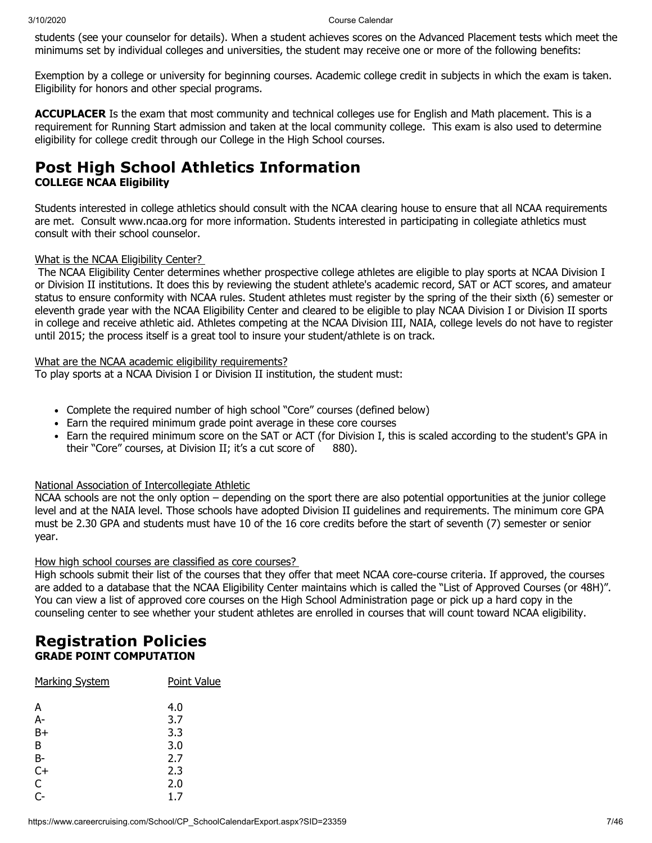students (see your counselor for details). When a student achieves scores on the Advanced Placement tests which meet the minimums set by individual colleges and universities, the student may receive one or more of the following benefits:

Exemption by a college or university for beginning courses. Academic college credit in subjects in which the exam is taken. Eligibility for honors and other special programs.

**ACCUPLACER** Is the exam that most community and technical colleges use for English and Math placement. This is a requirement for Running Start admission and taken at the local community college. This exam is also used to determine eligibility for college credit through our College in the High School courses.

## **Post High School Athletics Information**

## **COLLEGE NCAA Eligibility**

Students interested in college athletics should consult with the NCAA clearing house to ensure that all NCAA requirements are met. Consult www.ncaa.org for more information. Students interested in participating in collegiate athletics must consult with their school counselor.

## What is the NCAA Eligibility Center?

The NCAA Eligibility Center determines whether prospective college athletes are eligible to play sports at NCAA Division I or Division II institutions. It does this by reviewing the student athlete's academic record, SAT or ACT scores, and amateur status to ensure conformity with NCAA rules. Student athletes must register by the spring of the their sixth (6) semester or eleventh grade year with the NCAA Eligibility Center and cleared to be eligible to play NCAA Division I or Division II sports in college and receive athletic aid. Athletes competing at the NCAA Division III, NAIA, college levels do not have to register until 2015; the process itself is a great tool to insure your student/athlete is on track.

## What are the NCAA academic eligibility requirements?

To play sports at a NCAA Division I or Division II institution, the student must:

- Complete the required number of high school "Core" courses (defined below)
- Earn the required minimum grade point average in these core courses
- Earn the required minimum score on the SAT or ACT (for Division I, this is scaled according to the student's GPA in their "Core" courses, at Division II; it's a cut score of 880).

## National Association of Intercollegiate Athletic

NCAA schools are not the only option – depending on the sport there are also potential opportunities at the junior college level and at the NAIA level. Those schools have adopted Division II guidelines and requirements. The minimum core GPA must be 2.30 GPA and students must have 10 of the 16 core credits before the start of seventh (7) semester or senior year.

## How high school courses are classified as core courses?

High schools submit their list of the courses that they offer that meet NCAA core-course criteria. If approved, the courses are added to a database that the NCAA Eligibility Center maintains which is called the "List of Approved Courses (or 48H)". You can view a list of approved core courses on the High School Administration page or pick up a hard copy in the counseling center to see whether your student athletes are enrolled in courses that will count toward NCAA eligibility.

## **Registration Policies GRADE POINT COMPUTATION**

| <b>Marking System</b> | Point Value |
|-----------------------|-------------|
| A                     | 4.0         |
| $A-$                  | 3.7         |
| $B+$                  | 3.3         |
| B                     | 3.0         |
| <b>B-</b>             | 2.7         |
| $C+$                  | 2.3         |
| C                     | 2.0         |
| $\overline{C}$        | 1.7         |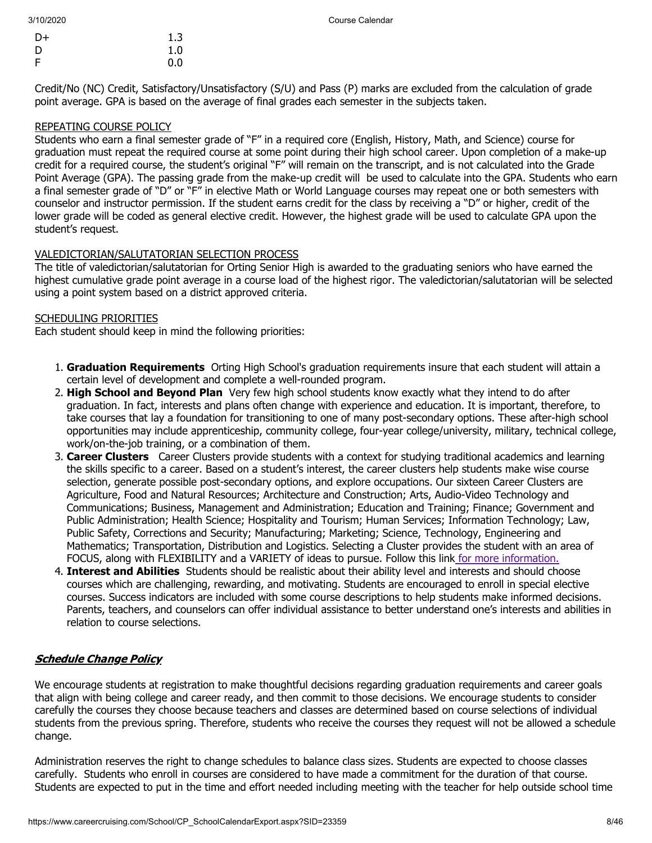| $D+$ | 1.3 |
|------|-----|
| D    | 1.0 |
| F    | 0.0 |

Credit/No (NC) Credit, Satisfactory/Unsatisfactory (S/U) and Pass (P) marks are excluded from the calculation of grade point average. GPA is based on the average of final grades each semester in the subjects taken.

### REPEATING COURSE POLICY

Students who earn a final semester grade of "F" in a required core (English, History, Math, and Science) course for graduation must repeat the required course at some point during their high school career. Upon completion of a make-up credit for a required course, the student's original "F" will remain on the transcript, and is not calculated into the Grade Point Average (GPA). The passing grade from the make-up credit will be used to calculate into the GPA. Students who earn a final semester grade of "D" or "F" in elective Math or World Language courses may repeat one or both semesters with counselor and instructor permission. If the student earns credit for the class by receiving a "D" or higher, credit of the lower grade will be coded as general elective credit. However, the highest grade will be used to calculate GPA upon the student's request.

### VALEDICTORIAN/SALUTATORIAN SELECTION PROCESS

The title of valedictorian/salutatorian for Orting Senior High is awarded to the graduating seniors who have earned the highest cumulative grade point average in a course load of the highest rigor. The valedictorian/salutatorian will be selected using a point system based on a district approved criteria.

## SCHEDULING PRIORITIES

Each student should keep in mind the following priorities:

- 1. **Graduation Requirements** Orting High School's graduation requirements insure that each student will attain a certain level of development and complete a well-rounded program.
- 2. **High School and Beyond Plan** Very few high school students know exactly what they intend to do after graduation. In fact, interests and plans often change with experience and education. It is important, therefore, to take courses that lay a foundation for transitioning to one of many post-secondary options. These after-high school opportunities may include apprenticeship, community college, four-year college/university, military, technical college, work/on-the-job training, or a combination of them.
- 3. **Career Clusters** Career Clusters provide students with a context for studying traditional academics and learning the skills specific to a career. Based on a student's interest, the career clusters help students make wise course selection, generate possible post-secondary options, and explore occupations. Our sixteen Career Clusters are Agriculture, Food and Natural Resources; Architecture and Construction; Arts, Audio-Video Technology and Communications; Business, Management and Administration; Education and Training; Finance; Government and Public Administration; Health Science; Hospitality and Tourism; Human Services; Information Technology; Law, Public Safety, Corrections and Security; Manufacturing; Marketing; Science, Technology, Engineering and Mathematics; Transportation, Distribution and Logistics. Selecting a Cluster provides the student with an area of FOCUS, along with FLEXIBILITY and a VARIETY of ideas to pursue. Follow this link for more [information.](https://www.ortingschools.org/cms/lib/WA50000534/Centricity/Domain/345/UpdatedCareer_Clusters_Powerpoint_000.pdf)
- 4. **Interest and Abilities** Students should be realistic about their ability level and interests and should choose courses which are challenging, rewarding, and motivating. Students are encouraged to enroll in special elective courses. Success indicators are included with some course descriptions to help students make informed decisions. Parents, teachers, and counselors can offer individual assistance to better understand one's interests and abilities in relation to course selections.

## Schedule Change Policy

We encourage students at registration to make thoughtful decisions regarding graduation requirements and career goals that align with being college and career ready, and then commit to those decisions. We encourage students to consider carefully the courses they choose because teachers and classes are determined based on course selections of individual students from the previous spring. Therefore, students who receive the courses they request will not be allowed a schedule change.

Administration reserves the right to change schedules to balance class sizes. Students are expected to choose classes carefully. Students who enroll in courses are considered to have made a commitment for the duration of that course. Students are expected to put in the time and effort needed including meeting with the teacher for help outside school time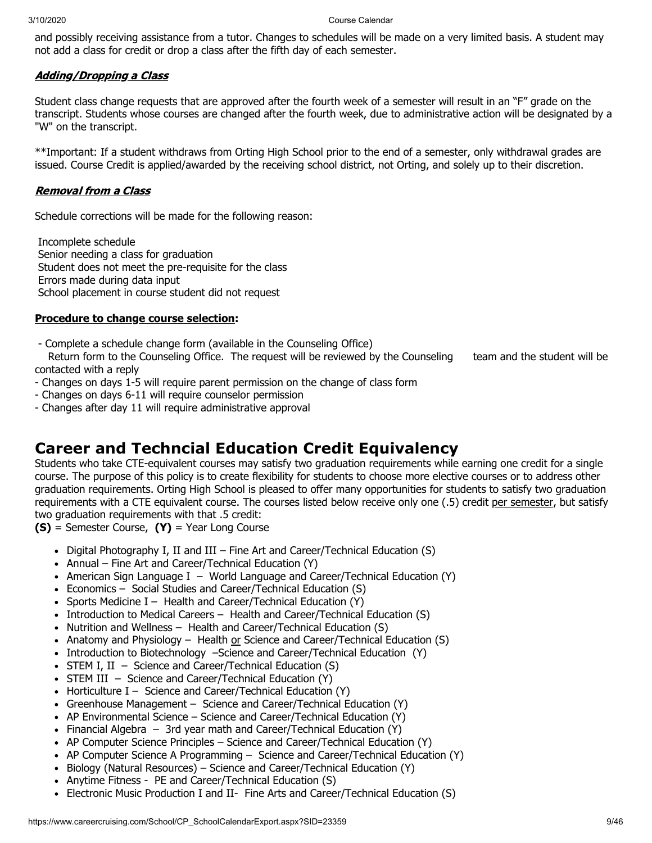and possibly receiving assistance from a tutor. Changes to schedules will be made on a very limited basis. A student may not add a class for credit or drop a class after the fifth day of each semester.

## Adding/Dropping a Class

Student class change requests that are approved after the fourth week of a semester will result in an "F" grade on the transcript. Students whose courses are changed after the fourth week, due to administrative action will be designated by a "W" on the transcript.

\*\*Important: If a student withdraws from Orting High School prior to the end of a semester, only withdrawal grades are issued. Course Credit is applied/awarded by the receiving school district, not Orting, and solely up to their discretion.

## Removal from a Class

Schedule corrections will be made for the following reason:

Incomplete schedule Senior needing a class for graduation Student does not meet the pre-requisite for the class Errors made during data input School placement in course student did not request

## **Procedure to change course selection:**

- Complete a schedule change form (available in the Counseling Office)

Return form to the Counseling Office. The request will be reviewed by the Counseling team and the student will be contacted with a reply

- Changes on days 1-5 will require parent permission on the change of class form
- Changes on days 6-11 will require counselor permission
- Changes after day 11 will require administrative approval

## **Career and Techncial Education Credit Equivalency**

Students who take CTE-equivalent courses may satisfy two graduation requirements while earning one credit for a single course. The purpose of this policy is to create flexibility for students to choose more elective courses or to address other graduation requirements. Orting High School is pleased to offer many opportunities for students to satisfy two graduation requirements with a CTE equivalent course. The courses listed below receive only one (.5) credit per semester, but satisfy two graduation requirements with that .5 credit:

**(S)** = Semester Course, **(Y)** = Year Long Course

- Digital Photography I, II and III Fine Art and Career/Technical Education  $(S)$
- Annual Fine Art and Career/Technical Education (Y)
- American Sign Language I World Language and Career/Technical Education (Y)
- Economics Social Studies and Career/Technical Education (S)
- Sports Medicine I Health and Career/Technical Education  $(Y)$
- Introduction to Medical Careers Health and Career/Technical Education (S)
- Nutrition and Wellness Health and Career/Technical Education (S)
- Anatomy and Physiology Health or Science and Career/Technical Education  $(S)$
- Introduction to Biotechnology -Science and Career/Technical Education (Y)
- STEM I, II Science and Career/Technical Education  $(S)$
- STEM III Science and Career/Technical Education (Y)
- Horticulture  $I -$  Science and Career/Technical Education (Y)
- Greenhouse Management Science and Career/Technical Education (Y)
- AP Environmental Science Science and Career/Technical Education (Y)
- Financial Algebra  $-$  3rd year math and Career/Technical Education (Y)
- AP Computer Science Principles Science and Career/Technical Education (Y)
- AP Computer Science A Programming Science and Career/Technical Education (Y)
- Biology (Natural Resources) Science and Career/Technical Education (Y)
- Anytime Fitness PE and Career/Technical Education (S)
- Electronic Music Production I and II- Fine Arts and Career/Technical Education (S)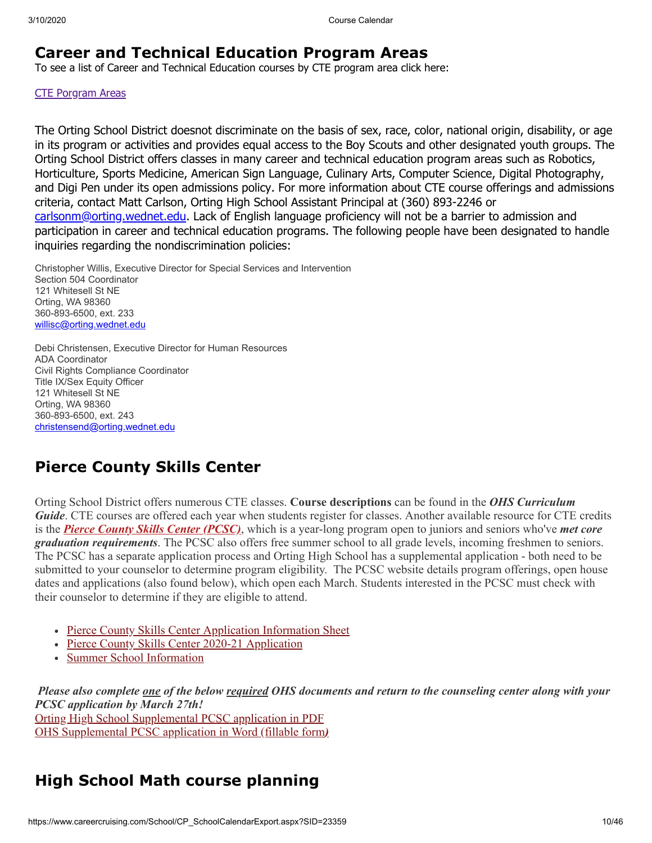## **Career and Technical Education Program Areas**

To see a list of Career and Technical Education courses by CTE program area click here:

## CTE [Porgram](https://www.careercruising.com/schoolfiles/23359/CTEProgramAreas.pdf) Areas

The Orting School District doesnot discriminate on the basis of sex, race, color, national origin, disability, or age in its program or activities and provides equal access to the Boy Scouts and other designated youth groups. The Orting School District offers classes in many career and technical education program areas such as Robotics, Horticulture, Sports Medicine, American Sign Language, Culinary Arts, Computer Science, Digital Photography, and Digi Pen under its open admissions policy. For more information about CTE course offerings and admissions criteria, contact Matt Carlson, Orting High School Assistant Principal at (360) 893-2246 or [carlsonm@orting.wednet.edu.](file:///C:/Users/willisc/Desktop/carlsonm@orting.wednet.edu) Lack of English language proficiency will not be a barrier to admission and participation in career and technical education programs. The following people have been designated to handle inquiries regarding the nondiscrimination policies:

Christopher Willis, Executive Director for Special Services and Intervention Section 504 Coordinator 121 Whitesell St NE Orting, WA 98360 360-893-6500, ext. 233 [willisc@orting.wednet.edu](mailto:willisc@orting.wednet.edu)

Debi Christensen, Executive Director for Human Resources ADA Coordinator Civil Rights Compliance Coordinator Title IX/Sex Equity Officer 121 Whitesell St NE Orting, WA 98360 360-893-6500, ext. 243 [christensend@orting.wednet.edu](mailto:christensend@orting.wednet.edu)

## **Pierce County Skills Center**

Orting School District offers numerous CTE classes. **Course descriptions** can be found in the *OHS Curriculum Guide*. CTE courses are offered each year when students register for classes. Another available resource for CTE credits is the *[Pierce County Skills Center \(PCSC\)](https://www.bethelsd.org/pcsc)*, which is a year-long program open to juniors and seniors who've *met core graduation requirements*. The PCSC also offers free summer school to all grade levels, incoming freshmen to seniors. The PCSC has a separate application process and Orting High School has a supplemental application - both need to be submitted to your counselor to determine program eligibility. The PCSC website details program offerings, open house dates and applications (also found below), which open each March. Students interested in the PCSC must check with their counselor to determine if they are eligible to attend.

- [Pierce County Skills Center Application Information Sheet](https://www.ortingschools.org/cms/lib/WA50000534/Centricity/Domain/345/2020-21%20Application%20Info%20Sheet.pdf)
- [Pierce County Skills Center 2020-21 Application](https://www.ortingschools.org/cms/lib/WA50000534/Centricity/Domain/345/2020-2021%20Application%2001.17.20.pdf)
- [Summer School Information](https://www.ortingschools.org/cms/lib/WA50000534/Centricity/Domain/345/PCSC%20SS%20Information%20Sheet%202020.pdf)

*Please also complete one of the below required OHS documents and return to the counseling center along with your PCSC application by March 27th!* [Orting High School Supplemental PCSC application in PDF](https://www.ortingschools.org/cms/lib/WA50000534/Centricity/Domain/345/PCSC%20and%20OHS%20Supplemental%20Application%202020-21.pdf) [OHS Supplemental PCSC application in Word \(fillable form](https://www.ortingschools.org/cms/lib/WA50000534/Centricity/Domain/345/PCSC%20and%20OHS%20Supplemental%20Application%202020-21.docx)*[\)](https://www.ortingschools.org/cms/lib/WA50000534/Centricity/Domain/345/PCSC%20and%20OHS%20Supplemental%20Application%202020-21.docx)*

## **High School Math course planning**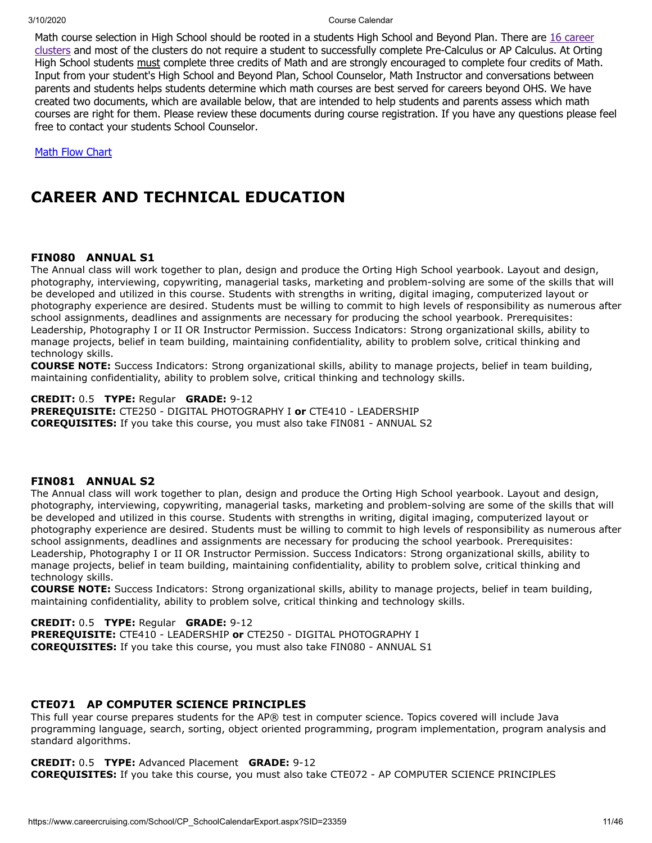Math course selection in High School should be rooted in a students High School and Beyond Plan. There are 16 career clusters and most of the clusters do not require a student to successfully complete [Pre-Calculus](https://www.ortingschools.org/cms/lib/WA50000534/Centricity/Domain/345/UpdatedCareer_Clusters_Powerpoint_000.pdf) or AP Calculus. At Orting High School students must complete three credits of Math and are strongly encouraged to complete four credits of Math. Input from your student's High School and Beyond Plan, School Counselor, Math Instructor and conversations between parents and students helps students determine which math courses are best served for careers beyond OHS. We have created two documents, which are available below, that are intended to help students and parents assess which math courses are right for them. Please review these documents during course registration. If you have any questions please feel free to contact your students School Counselor.

**Math Flow [Chart](https://www.careercruising.com/schoolfiles/23359/MathDecisionTree.pptx)** 

## **CAREER AND TECHNICAL EDUCATION**

## **FIN080 ANNUAL S1**

The Annual class will work together to plan, design and produce the Orting High School yearbook. Layout and design, photography, interviewing, copywriting, managerial tasks, marketing and problem-solving are some of the skills that will be developed and utilized in this course. Students with strengths in writing, digital imaging, computerized layout or photography experience are desired. Students must be willing to commit to high levels of responsibility as numerous after school assignments, deadlines and assignments are necessary for producing the school yearbook. Prerequisites: Leadership, Photography I or II OR Instructor Permission. Success Indicators: Strong organizational skills, ability to manage projects, belief in team building, maintaining confidentiality, ability to problem solve, critical thinking and technology skills.

**COURSE NOTE:** Success Indicators: Strong organizational skills, ability to manage projects, belief in team building, maintaining confidentiality, ability to problem solve, critical thinking and technology skills.

**CREDIT:** 0.5 **TYPE:** Regular **GRADE:** 9-12 **PREREQUISITE:** CTE250 - DIGITAL PHOTOGRAPHY I **or** CTE410 - LEADERSHIP **COREQUISITES:** If you take this course, you must also take FIN081 - ANNUAL S2

## **FIN081 ANNUAL S2**

The Annual class will work together to plan, design and produce the Orting High School yearbook. Layout and design, photography, interviewing, copywriting, managerial tasks, marketing and problem-solving are some of the skills that will be developed and utilized in this course. Students with strengths in writing, digital imaging, computerized layout or photography experience are desired. Students must be willing to commit to high levels of responsibility as numerous after school assignments, deadlines and assignments are necessary for producing the school yearbook. Prerequisites: Leadership, Photography I or II OR Instructor Permission. Success Indicators: Strong organizational skills, ability to manage projects, belief in team building, maintaining confidentiality, ability to problem solve, critical thinking and technology skills.

**COURSE NOTE:** Success Indicators: Strong organizational skills, ability to manage projects, belief in team building, maintaining confidentiality, ability to problem solve, critical thinking and technology skills.

**CREDIT:** 0.5 **TYPE:** Regular **GRADE:** 9-12 **PREREQUISITE:** CTE410 - LEADERSHIP **or** CTE250 - DIGITAL PHOTOGRAPHY I **COREQUISITES:** If you take this course, you must also take FIN080 - ANNUAL S1

## **CTE071 AP COMPUTER SCIENCE PRINCIPLES**

This full year course prepares students for the AP® test in computer science. Topics covered will include Java programming language, search, sorting, object oriented programming, program implementation, program analysis and standard algorithms.

**CREDIT:** 0.5 **TYPE:** Advanced Placement **GRADE:** 9-12 **COREQUISITES:** If you take this course, you must also take CTE072 - AP COMPUTER SCIENCE PRINCIPLES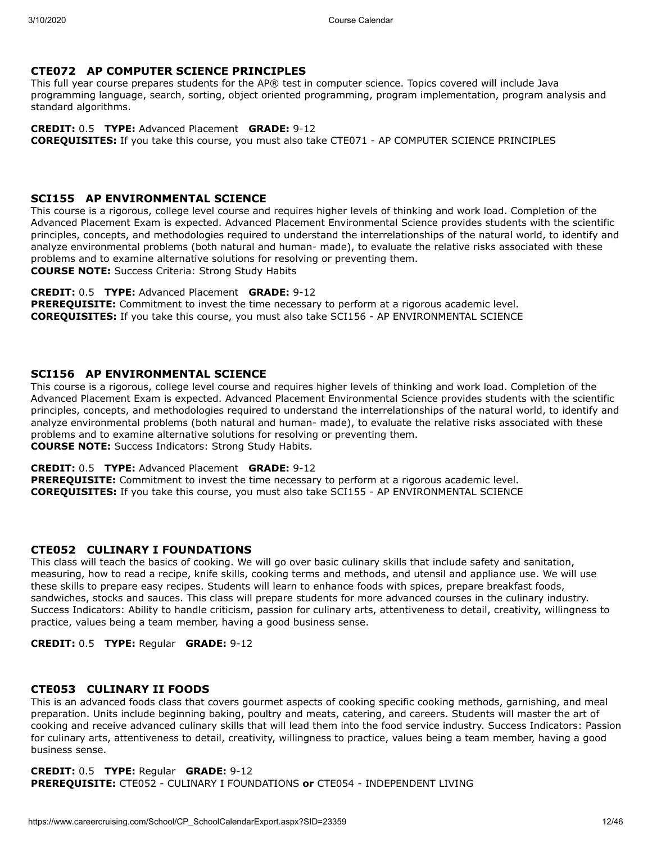## **CTE072 AP COMPUTER SCIENCE PRINCIPLES**

This full year course prepares students for the AP® test in computer science. Topics covered will include Java programming language, search, sorting, object oriented programming, program implementation, program analysis and standard algorithms.

**CREDIT:** 0.5 **TYPE:** Advanced Placement **GRADE:** 9-12

**COREQUISITES:** If you take this course, you must also take CTE071 - AP COMPUTER SCIENCE PRINCIPLES

## **SCI155 AP ENVIRONMENTAL SCIENCE**

This course is a rigorous, college level course and requires higher levels of thinking and work load. Completion of the Advanced Placement Exam is expected. Advanced Placement Environmental Science provides students with the scientific principles, concepts, and methodologies required to understand the interrelationships of the natural world, to identify and analyze environmental problems (both natural and human- made), to evaluate the relative risks associated with these problems and to examine alternative solutions for resolving or preventing them. **COURSE NOTE:** Success Criteria: Strong Study Habits

### **CREDIT:** 0.5 **TYPE:** Advanced Placement **GRADE:** 9-12

**PREREQUISITE:** Commitment to invest the time necessary to perform at a rigorous academic level. **COREQUISITES:** If you take this course, you must also take SCI156 - AP ENVIRONMENTAL SCIENCE

## **SCI156 AP ENVIRONMENTAL SCIENCE**

This course is a rigorous, college level course and requires higher levels of thinking and work load. Completion of the Advanced Placement Exam is expected. Advanced Placement Environmental Science provides students with the scientific principles, concepts, and methodologies required to understand the interrelationships of the natural world, to identify and analyze environmental problems (both natural and human- made), to evaluate the relative risks associated with these problems and to examine alternative solutions for resolving or preventing them. **COURSE NOTE:** Success Indicators: Strong Study Habits.

#### **CREDIT:** 0.5 **TYPE:** Advanced Placement **GRADE:** 9-12

**PREREQUISITE:** Commitment to invest the time necessary to perform at a rigorous academic level. **COREQUISITES:** If you take this course, you must also take SCI155 - AP ENVIRONMENTAL SCIENCE

## **CTE052 CULINARY I FOUNDATIONS**

This class will teach the basics of cooking. We will go over basic culinary skills that include safety and sanitation, measuring, how to read a recipe, knife skills, cooking terms and methods, and utensil and appliance use. We will use these skills to prepare easy recipes. Students will learn to enhance foods with spices, prepare breakfast foods, sandwiches, stocks and sauces. This class will prepare students for more advanced courses in the culinary industry. Success Indicators: Ability to handle criticism, passion for culinary arts, attentiveness to detail, creativity, willingness to practice, values being a team member, having a good business sense.

## **CREDIT:** 0.5 **TYPE:** Regular **GRADE:** 9-12

## **CTE053 CULINARY II FOODS**

This is an advanced foods class that covers gourmet aspects of cooking specific cooking methods, garnishing, and meal preparation. Units include beginning baking, poultry and meats, catering, and careers. Students will master the art of cooking and receive advanced culinary skills that will lead them into the food service industry. Success Indicators: Passion for culinary arts, attentiveness to detail, creativity, willingness to practice, values being a team member, having a good business sense.

#### **CREDIT:** 0.5 **TYPE:** Regular **GRADE:** 9-12 **PREREQUISITE:** CTE052 - CULINARY I FOUNDATIONS **or** CTE054 - INDEPENDENT LIVING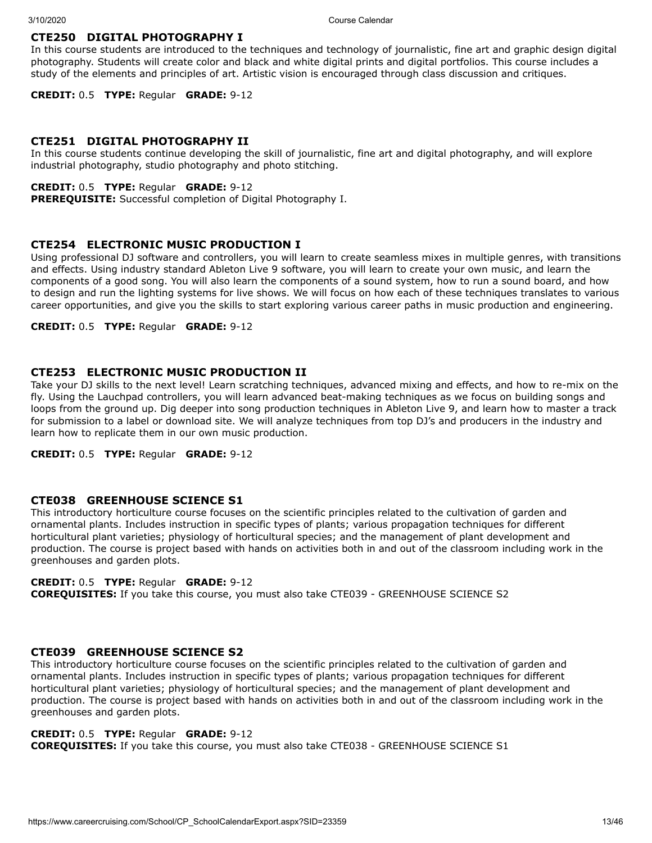## **CTE250 DIGITAL PHOTOGRAPHY I**

In this course students are introduced to the techniques and technology of journalistic, fine art and graphic design digital photography. Students will create color and black and white digital prints and digital portfolios. This course includes a study of the elements and principles of art. Artistic vision is encouraged through class discussion and critiques.

**CREDIT:** 0.5 **TYPE:** Regular **GRADE:** 9-12

## **CTE251 DIGITAL PHOTOGRAPHY II**

In this course students continue developing the skill of journalistic, fine art and digital photography, and will explore industrial photography, studio photography and photo stitching.

## **CREDIT:** 0.5 **TYPE:** Regular **GRADE:** 9-12

**PREREQUISITE:** Successful completion of Digital Photography I.

## **CTE254 ELECTRONIC MUSIC PRODUCTION I**

Using professional DJ software and controllers, you will learn to create seamless mixes in multiple genres, with transitions and effects. Using industry standard Ableton Live 9 software, you will learn to create your own music, and learn the components of a good song. You will also learn the components of a sound system, how to run a sound board, and how to design and run the lighting systems for live shows. We will focus on how each of these techniques translates to various career opportunities, and give you the skills to start exploring various career paths in music production and engineering.

#### **CREDIT:** 0.5 **TYPE:** Regular **GRADE:** 9-12

## **CTE253 ELECTRONIC MUSIC PRODUCTION II**

Take your DJ skills to the next level! Learn scratching techniques, advanced mixing and effects, and how to re-mix on the fly. Using the Lauchpad controllers, you will learn advanced beat-making techniques as we focus on building songs and loops from the ground up. Dig deeper into song production techniques in Ableton Live 9, and learn how to master a track for submission to a label or download site. We will analyze techniques from top DJ's and producers in the industry and learn how to replicate them in our own music production.

**CREDIT:** 0.5 **TYPE:** Regular **GRADE:** 9-12

#### **CTE038 GREENHOUSE SCIENCE S1**

This introductory horticulture course focuses on the scientific principles related to the cultivation of garden and ornamental plants. Includes instruction in specific types of plants; various propagation techniques for different horticultural plant varieties; physiology of horticultural species; and the management of plant development and production. The course is project based with hands on activities both in and out of the classroom including work in the greenhouses and garden plots.

## **CREDIT:** 0.5 **TYPE:** Regular **GRADE:** 9-12

**COREQUISITES:** If you take this course, you must also take CTE039 - GREENHOUSE SCIENCE S2

#### **CTE039 GREENHOUSE SCIENCE S2**

This introductory horticulture course focuses on the scientific principles related to the cultivation of garden and ornamental plants. Includes instruction in specific types of plants; various propagation techniques for different horticultural plant varieties; physiology of horticultural species; and the management of plant development and production. The course is project based with hands on activities both in and out of the classroom including work in the greenhouses and garden plots.

## **CREDIT:** 0.5 **TYPE:** Regular **GRADE:** 9-12

**COREQUISITES:** If you take this course, you must also take CTE038 - GREENHOUSE SCIENCE S1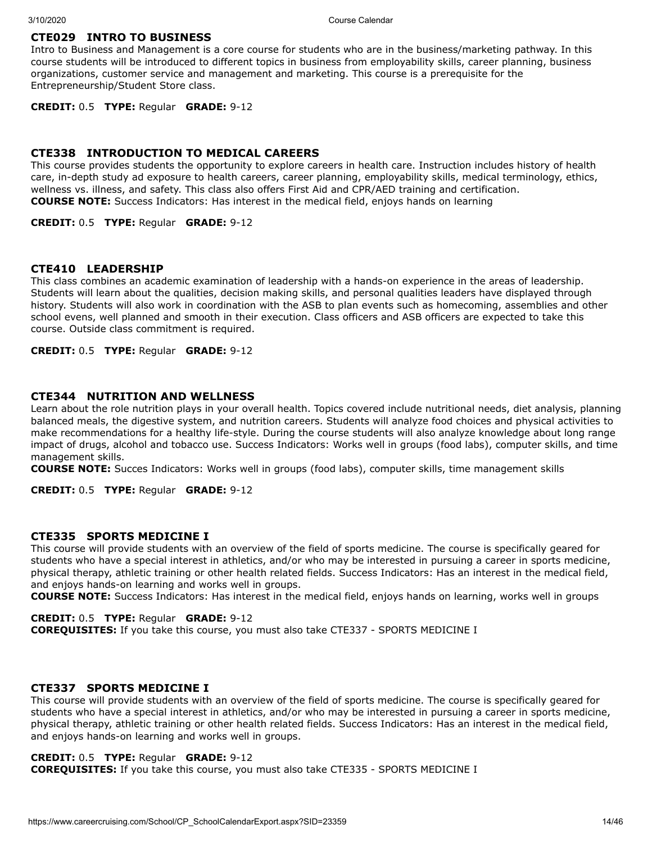## **CTE029 INTRO TO BUSINESS**

Intro to Business and Management is a core course for students who are in the business/marketing pathway. In this course students will be introduced to different topics in business from employability skills, career planning, business organizations, customer service and management and marketing. This course is a prerequisite for the Entrepreneurship/Student Store class.

**CREDIT:** 0.5 **TYPE:** Regular **GRADE:** 9-12

## **CTE338 INTRODUCTION TO MEDICAL CAREERS**

This course provides students the opportunity to explore careers in health care. Instruction includes history of health care, in-depth study ad exposure to health careers, career planning, employability skills, medical terminology, ethics, wellness vs. illness, and safety. This class also offers First Aid and CPR/AED training and certification. **COURSE NOTE:** Success Indicators: Has interest in the medical field, enjoys hands on learning

**CREDIT:** 0.5 **TYPE:** Regular **GRADE:** 9-12

### **CTE410 LEADERSHIP**

This class combines an academic examination of leadership with a hands-on experience in the areas of leadership. Students will learn about the qualities, decision making skills, and personal qualities leaders have displayed through history. Students will also work in coordination with the ASB to plan events such as homecoming, assemblies and other school evens, well planned and smooth in their execution. Class officers and ASB officers are expected to take this course. Outside class commitment is required.

**CREDIT:** 0.5 **TYPE:** Regular **GRADE:** 9-12

#### **CTE344 NUTRITION AND WELLNESS**

Learn about the role nutrition plays in your overall health. Topics covered include nutritional needs, diet analysis, planning balanced meals, the digestive system, and nutrition careers. Students will analyze food choices and physical activities to make recommendations for a healthy life-style. During the course students will also analyze knowledge about long range impact of drugs, alcohol and tobacco use. Success Indicators: Works well in groups (food labs), computer skills, and time management skills.

**COURSE NOTE:** Succes Indicators: Works well in groups (food labs), computer skills, time management skills

**CREDIT:** 0.5 **TYPE:** Regular **GRADE:** 9-12

#### **CTE335 SPORTS MEDICINE I**

This course will provide students with an overview of the field of sports medicine. The course is specifically geared for students who have a special interest in athletics, and/or who may be interested in pursuing a career in sports medicine, physical therapy, athletic training or other health related fields. Success Indicators: Has an interest in the medical field, and enjoys hands-on learning and works well in groups.

**COURSE NOTE:** Success Indicators: Has interest in the medical field, enjoys hands on learning, works well in groups

**CREDIT:** 0.5 **TYPE:** Regular **GRADE:** 9-12

**COREQUISITES:** If you take this course, you must also take CTE337 - SPORTS MEDICINE I

### **CTE337 SPORTS MEDICINE I**

This course will provide students with an overview of the field of sports medicine. The course is specifically geared for students who have a special interest in athletics, and/or who may be interested in pursuing a career in sports medicine, physical therapy, athletic training or other health related fields. Success Indicators: Has an interest in the medical field, and enjoys hands-on learning and works well in groups.

## **CREDIT:** 0.5 **TYPE:** Regular **GRADE:** 9-12

**COREQUISITES:** If you take this course, you must also take CTE335 - SPORTS MEDICINE I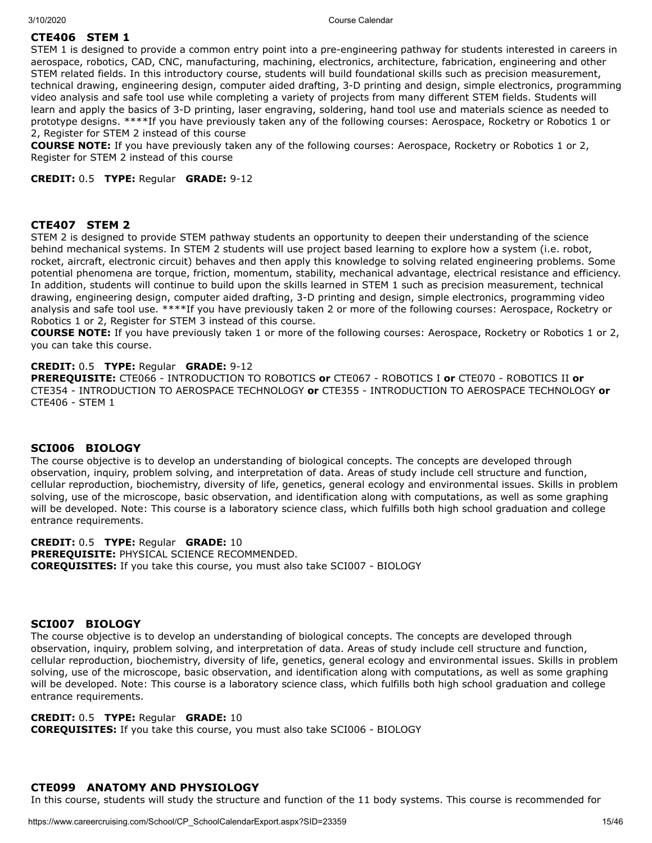## **CTE406 STEM 1**

STEM 1 is designed to provide a common entry point into a pre-engineering pathway for students interested in careers in aerospace, robotics, CAD, CNC, manufacturing, machining, electronics, architecture, fabrication, engineering and other STEM related fields. In this introductory course, students will build foundational skills such as precision measurement, technical drawing, engineering design, computer aided drafting, 3-D printing and design, simple electronics, programming video analysis and safe tool use while completing a variety of projects from many different STEM fields. Students will learn and apply the basics of 3-D printing, laser engraving, soldering, hand tool use and materials science as needed to prototype designs. \*\*\*\*If you have previously taken any of the following courses: Aerospace, Rocketry or Robotics 1 or 2, Register for STEM 2 instead of this course

**COURSE NOTE:** If you have previously taken any of the following courses: Aerospace, Rocketry or Robotics 1 or 2, Register for STEM 2 instead of this course

**CREDIT:** 0.5 **TYPE:** Regular **GRADE:** 9-12

### **CTE407 STEM 2**

STEM 2 is designed to provide STEM pathway students an opportunity to deepen their understanding of the science behind mechanical systems. In STEM 2 students will use project based learning to explore how a system (i.e. robot, rocket, aircraft, electronic circuit) behaves and then apply this knowledge to solving related engineering problems. Some potential phenomena are torque, friction, momentum, stability, mechanical advantage, electrical resistance and efficiency. In addition, students will continue to build upon the skills learned in STEM 1 such as precision measurement, technical drawing, engineering design, computer aided drafting, 3-D printing and design, simple electronics, programming video analysis and safe tool use. \*\*\*\*If you have previously taken 2 or more of the following courses: Aerospace, Rocketry or Robotics 1 or 2, Register for STEM 3 instead of this course.

**COURSE NOTE:** If you have previously taken 1 or more of the following courses: Aerospace, Rocketry or Robotics 1 or 2, you can take this course.

#### **CREDIT:** 0.5 **TYPE:** Regular **GRADE:** 9-12

**PREREQUISITE:** CTE066 - INTRODUCTION TO ROBOTICS **or** CTE067 - ROBOTICS I **or** CTE070 - ROBOTICS II **or** CTE354 - INTRODUCTION TO AEROSPACE TECHNOLOGY **or** CTE355 - INTRODUCTION TO AEROSPACE TECHNOLOGY **or** CTE406 - STEM 1

#### **SCI006 BIOLOGY**

The course objective is to develop an understanding of biological concepts. The concepts are developed through observation, inquiry, problem solving, and interpretation of data. Areas of study include cell structure and function, cellular reproduction, biochemistry, diversity of life, genetics, general ecology and environmental issues. Skills in problem solving, use of the microscope, basic observation, and identification along with computations, as well as some graphing will be developed. Note: This course is a laboratory science class, which fulfills both high school graduation and college entrance requirements.

**CREDIT:** 0.5 **TYPE:** Regular **GRADE:** 10 **PREREQUISITE:** PHYSICAL SCIENCE RECOMMENDED. **COREQUISITES:** If you take this course, you must also take SCI007 - BIOLOGY

### **SCI007 BIOLOGY**

The course objective is to develop an understanding of biological concepts. The concepts are developed through observation, inquiry, problem solving, and interpretation of data. Areas of study include cell structure and function, cellular reproduction, biochemistry, diversity of life, genetics, general ecology and environmental issues. Skills in problem solving, use of the microscope, basic observation, and identification along with computations, as well as some graphing will be developed. Note: This course is a laboratory science class, which fulfills both high school graduation and college entrance requirements.

#### **CREDIT:** 0.5 **TYPE:** Regular **GRADE:** 10

**COREQUISITES:** If you take this course, you must also take SCI006 - BIOLOGY

## **CTE099 ANATOMY AND PHYSIOLOGY**

In this course, students will study the structure and function of the 11 body systems. This course is recommended for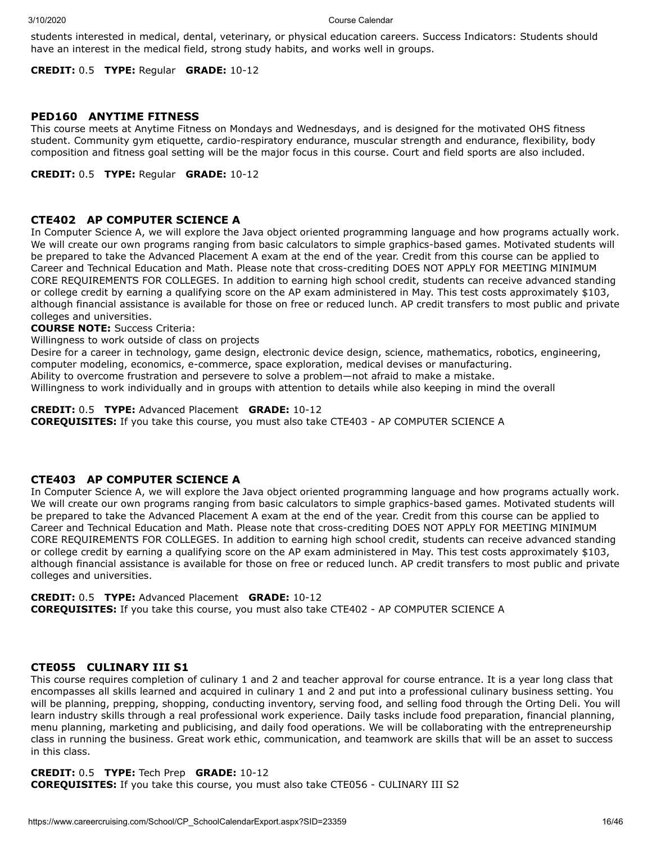students interested in medical, dental, veterinary, or physical education careers. Success Indicators: Students should have an interest in the medical field, strong study habits, and works well in groups.

**CREDIT:** 0.5 **TYPE:** Regular **GRADE:** 10-12

## **PED160 ANYTIME FITNESS**

This course meets at Anytime Fitness on Mondays and Wednesdays, and is designed for the motivated OHS fitness student. Community gym etiquette, cardio-respiratory endurance, muscular strength and endurance, flexibility, body composition and fitness goal setting will be the major focus in this course. Court and field sports are also included.

**CREDIT:** 0.5 **TYPE:** Regular **GRADE:** 10-12

## **CTE402 AP COMPUTER SCIENCE A**

In Computer Science A, we will explore the Java object oriented programming language and how programs actually work. We will create our own programs ranging from basic calculators to simple graphics-based games. Motivated students will be prepared to take the Advanced Placement A exam at the end of the year. Credit from this course can be applied to Career and Technical Education and Math. Please note that cross-crediting DOES NOT APPLY FOR MEETING MINIMUM CORE REQUIREMENTS FOR COLLEGES. In addition to earning high school credit, students can receive advanced standing or college credit by earning a qualifying score on the AP exam administered in May. This test costs approximately \$103, although financial assistance is available for those on free or reduced lunch. AP credit transfers to most public and private colleges and universities.

**COURSE NOTE:** Success Criteria:

Willingness to work outside of class on projects

Desire for a career in technology, game design, electronic device design, science, mathematics, robotics, engineering, computer modeling, economics, e-commerce, space exploration, medical devises or manufacturing.

Ability to overcome frustration and persevere to solve a problem—not afraid to make a mistake.

Willingness to work individually and in groups with attention to details while also keeping in mind the overall

**CREDIT:** 0.5 **TYPE:** Advanced Placement **GRADE:** 10-12

**COREQUISITES:** If you take this course, you must also take CTE403 - AP COMPUTER SCIENCE A

## **CTE403 AP COMPUTER SCIENCE A**

In Computer Science A, we will explore the Java object oriented programming language and how programs actually work. We will create our own programs ranging from basic calculators to simple graphics-based games. Motivated students will be prepared to take the Advanced Placement A exam at the end of the year. Credit from this course can be applied to Career and Technical Education and Math. Please note that cross-crediting DOES NOT APPLY FOR MEETING MINIMUM CORE REQUIREMENTS FOR COLLEGES. In addition to earning high school credit, students can receive advanced standing or college credit by earning a qualifying score on the AP exam administered in May. This test costs approximately \$103, although financial assistance is available for those on free or reduced lunch. AP credit transfers to most public and private colleges and universities.

**CREDIT:** 0.5 **TYPE:** Advanced Placement **GRADE:** 10-12

**COREQUISITES:** If you take this course, you must also take CTE402 - AP COMPUTER SCIENCE A

## **CTE055 CULINARY III S1**

This course requires completion of culinary 1 and 2 and teacher approval for course entrance. It is a year long class that encompasses all skills learned and acquired in culinary 1 and 2 and put into a professional culinary business setting. You will be planning, prepping, shopping, conducting inventory, serving food, and selling food through the Orting Deli. You will learn industry skills through a real professional work experience. Daily tasks include food preparation, financial planning, menu planning, marketing and publicising, and daily food operations. We will be collaborating with the entrepreneurship class in running the business. Great work ethic, communication, and teamwork are skills that will be an asset to success in this class.

## **CREDIT:** 0.5 **TYPE:** Tech Prep **GRADE:** 10-12

**COREQUISITES:** If you take this course, you must also take CTE056 - CULINARY III S2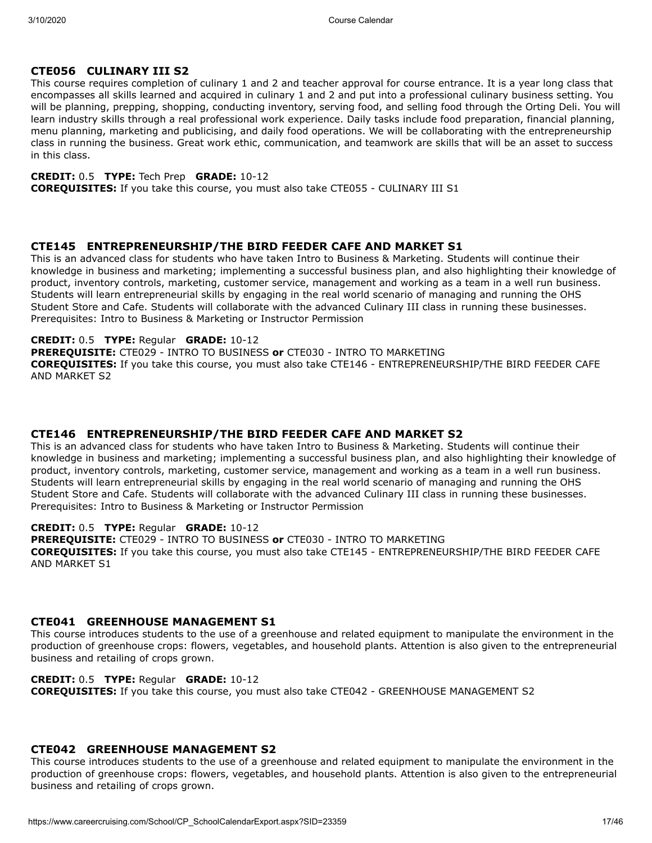## **CTE056 CULINARY III S2**

This course requires completion of culinary 1 and 2 and teacher approval for course entrance. It is a year long class that encompasses all skills learned and acquired in culinary 1 and 2 and put into a professional culinary business setting. You will be planning, prepping, shopping, conducting inventory, serving food, and selling food through the Orting Deli. You will learn industry skills through a real professional work experience. Daily tasks include food preparation, financial planning, menu planning, marketing and publicising, and daily food operations. We will be collaborating with the entrepreneurship class in running the business. Great work ethic, communication, and teamwork are skills that will be an asset to success in this class.

## **CREDIT:** 0.5 **TYPE:** Tech Prep **GRADE:** 10-12

**COREQUISITES:** If you take this course, you must also take CTE055 - CULINARY III S1

## **CTE145 ENTREPRENEURSHIP/THE BIRD FEEDER CAFE AND MARKET S1**

This is an advanced class for students who have taken Intro to Business & Marketing. Students will continue their knowledge in business and marketing; implementing a successful business plan, and also highlighting their knowledge of product, inventory controls, marketing, customer service, management and working as a team in a well run business. Students will learn entrepreneurial skills by engaging in the real world scenario of managing and running the OHS Student Store and Cafe. Students will collaborate with the advanced Culinary III class in running these businesses. Prerequisites: Intro to Business & Marketing or Instructor Permission

## **CREDIT:** 0.5 **TYPE:** Regular **GRADE:** 10-12

**PREREQUISITE:** CTE029 - INTRO TO BUSINESS **or** CTE030 - INTRO TO MARKETING **COREQUISITES:** If you take this course, you must also take CTE146 - ENTREPRENEURSHIP/THE BIRD FEEDER CAFE AND MARKET S2

## **CTE146 ENTREPRENEURSHIP/THE BIRD FEEDER CAFE AND MARKET S2**

This is an advanced class for students who have taken Intro to Business & Marketing. Students will continue their knowledge in business and marketing; implementing a successful business plan, and also highlighting their knowledge of product, inventory controls, marketing, customer service, management and working as a team in a well run business. Students will learn entrepreneurial skills by engaging in the real world scenario of managing and running the OHS Student Store and Cafe. Students will collaborate with the advanced Culinary III class in running these businesses. Prerequisites: Intro to Business & Marketing or Instructor Permission

## **CREDIT:** 0.5 **TYPE:** Regular **GRADE:** 10-12

**PREREQUISITE:** CTE029 - INTRO TO BUSINESS **or** CTE030 - INTRO TO MARKETING **COREQUISITES:** If you take this course, you must also take CTE145 - ENTREPRENEURSHIP/THE BIRD FEEDER CAFE AND MARKET S1

## **CTE041 GREENHOUSE MANAGEMENT S1**

This course introduces students to the use of a greenhouse and related equipment to manipulate the environment in the production of greenhouse crops: flowers, vegetables, and household plants. Attention is also given to the entrepreneurial business and retailing of crops grown.

## **CREDIT:** 0.5 **TYPE:** Regular **GRADE:** 10-12

**COREQUISITES:** If you take this course, you must also take CTE042 - GREENHOUSE MANAGEMENT S2

## **CTE042 GREENHOUSE MANAGEMENT S2**

This course introduces students to the use of a greenhouse and related equipment to manipulate the environment in the production of greenhouse crops: flowers, vegetables, and household plants. Attention is also given to the entrepreneurial business and retailing of crops grown.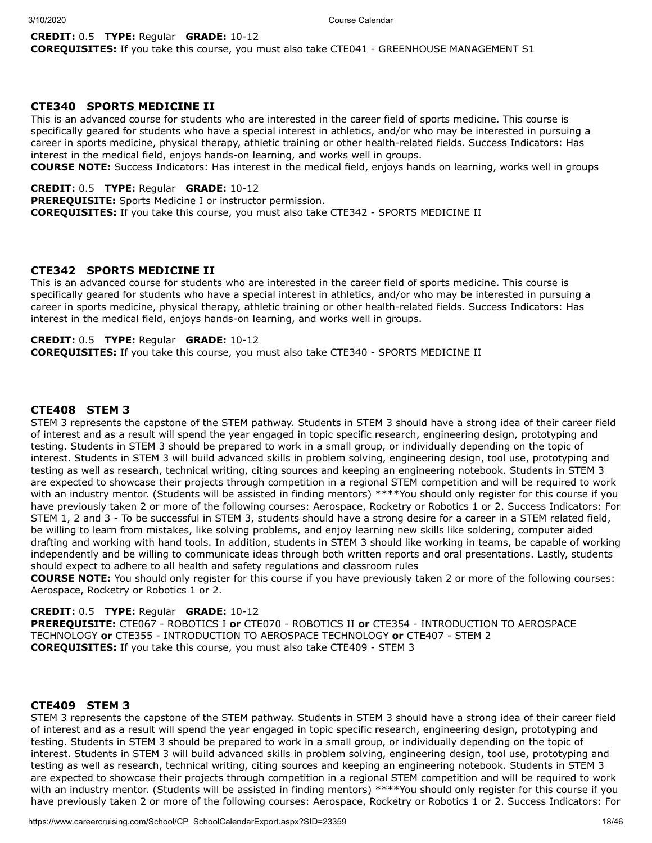#### **CREDIT:** 0.5 **TYPE:** Regular **GRADE:** 10-12

**COREQUISITES:** If you take this course, you must also take CTE041 - GREENHOUSE MANAGEMENT S1

## **CTE340 SPORTS MEDICINE II**

This is an advanced course for students who are interested in the career field of sports medicine. This course is specifically geared for students who have a special interest in athletics, and/or who may be interested in pursuing a career in sports medicine, physical therapy, athletic training or other health-related fields. Success Indicators: Has interest in the medical field, enjoys hands-on learning, and works well in groups.

**COURSE NOTE:** Success Indicators: Has interest in the medical field, enjoys hands on learning, works well in groups

**CREDIT:** 0.5 **TYPE:** Regular **GRADE:** 10-12

**PREREQUISITE:** Sports Medicine I or instructor permission. **COREQUISITES:** If you take this course, you must also take CTE342 - SPORTS MEDICINE II

## **CTE342 SPORTS MEDICINE II**

This is an advanced course for students who are interested in the career field of sports medicine. This course is specifically geared for students who have a special interest in athletics, and/or who may be interested in pursuing a career in sports medicine, physical therapy, athletic training or other health-related fields. Success Indicators: Has interest in the medical field, enjoys hands-on learning, and works well in groups.

## **CREDIT:** 0.5 **TYPE:** Regular **GRADE:** 10-12

**COREQUISITES:** If you take this course, you must also take CTE340 - SPORTS MEDICINE II

## **CTE408 STEM 3**

STEM 3 represents the capstone of the STEM pathway. Students in STEM 3 should have a strong idea of their career field of interest and as a result will spend the year engaged in topic specific research, engineering design, prototyping and testing. Students in STEM 3 should be prepared to work in a small group, or individually depending on the topic of interest. Students in STEM 3 will build advanced skills in problem solving, engineering design, tool use, prototyping and testing as well as research, technical writing, citing sources and keeping an engineering notebook. Students in STEM 3 are expected to showcase their projects through competition in a regional STEM competition and will be required to work with an industry mentor. (Students will be assisted in finding mentors) \*\*\*\*You should only register for this course if you have previously taken 2 or more of the following courses: Aerospace, Rocketry or Robotics 1 or 2. Success Indicators: For STEM 1, 2 and 3 - To be successful in STEM 3, students should have a strong desire for a career in a STEM related field, be willing to learn from mistakes, like solving problems, and enjoy learning new skills like soldering, computer aided drafting and working with hand tools. In addition, students in STEM 3 should like working in teams, be capable of working independently and be willing to communicate ideas through both written reports and oral presentations. Lastly, students should expect to adhere to all health and safety regulations and classroom rules

**COURSE NOTE:** You should only register for this course if you have previously taken 2 or more of the following courses: Aerospace, Rocketry or Robotics 1 or 2.

**CREDIT:** 0.5 **TYPE:** Regular **GRADE:** 10-12

**PREREQUISITE:** CTE067 - ROBOTICS I **or** CTE070 - ROBOTICS II **or** CTE354 - INTRODUCTION TO AEROSPACE TECHNOLOGY **or** CTE355 - INTRODUCTION TO AEROSPACE TECHNOLOGY **or** CTE407 - STEM 2 **COREQUISITES:** If you take this course, you must also take CTE409 - STEM 3

## **CTE409 STEM 3**

STEM 3 represents the capstone of the STEM pathway. Students in STEM 3 should have a strong idea of their career field of interest and as a result will spend the year engaged in topic specific research, engineering design, prototyping and testing. Students in STEM 3 should be prepared to work in a small group, or individually depending on the topic of interest. Students in STEM 3 will build advanced skills in problem solving, engineering design, tool use, prototyping and testing as well as research, technical writing, citing sources and keeping an engineering notebook. Students in STEM 3 are expected to showcase their projects through competition in a regional STEM competition and will be required to work with an industry mentor. (Students will be assisted in finding mentors) \*\*\*\*You should only register for this course if you have previously taken 2 or more of the following courses: Aerospace, Rocketry or Robotics 1 or 2. Success Indicators: For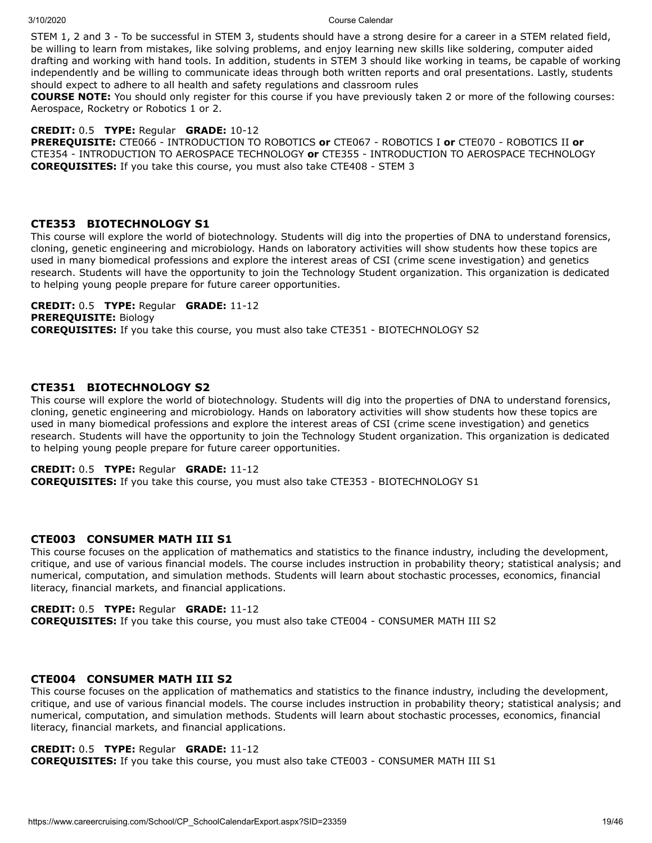STEM 1, 2 and 3 - To be successful in STEM 3, students should have a strong desire for a career in a STEM related field, be willing to learn from mistakes, like solving problems, and enjoy learning new skills like soldering, computer aided drafting and working with hand tools. In addition, students in STEM 3 should like working in teams, be capable of working independently and be willing to communicate ideas through both written reports and oral presentations. Lastly, students should expect to adhere to all health and safety regulations and classroom rules

**COURSE NOTE:** You should only register for this course if you have previously taken 2 or more of the following courses: Aerospace, Rocketry or Robotics 1 or 2.

## **CREDIT:** 0.5 **TYPE:** Regular **GRADE:** 10-12

**PREREQUISITE:** CTE066 - INTRODUCTION TO ROBOTICS **or** CTE067 - ROBOTICS I **or** CTE070 - ROBOTICS II **or** CTE354 - INTRODUCTION TO AEROSPACE TECHNOLOGY **or** CTE355 - INTRODUCTION TO AEROSPACE TECHNOLOGY **COREQUISITES:** If you take this course, you must also take CTE408 - STEM 3

## **CTE353 BIOTECHNOLOGY S1**

This course will explore the world of biotechnology. Students will dig into the properties of DNA to understand forensics, cloning, genetic engineering and microbiology. Hands on laboratory activities will show students how these topics are used in many biomedical professions and explore the interest areas of CSI (crime scene investigation) and genetics research. Students will have the opportunity to join the Technology Student organization. This organization is dedicated to helping young people prepare for future career opportunities.

**CREDIT:** 0.5 **TYPE:** Regular **GRADE:** 11-12 **PREREQUISITE:** Biology **COREQUISITES:** If you take this course, you must also take CTE351 - BIOTECHNOLOGY S2

## **CTE351 BIOTECHNOLOGY S2**

This course will explore the world of biotechnology. Students will dig into the properties of DNA to understand forensics, cloning, genetic engineering and microbiology. Hands on laboratory activities will show students how these topics are used in many biomedical professions and explore the interest areas of CSI (crime scene investigation) and genetics research. Students will have the opportunity to join the Technology Student organization. This organization is dedicated to helping young people prepare for future career opportunities.

## **CREDIT:** 0.5 **TYPE:** Regular **GRADE:** 11-12

**COREQUISITES:** If you take this course, you must also take CTE353 - BIOTECHNOLOGY S1

## **CTE003 CONSUMER MATH III S1**

This course focuses on the application of mathematics and statistics to the finance industry, including the development, critique, and use of various financial models. The course includes instruction in probability theory; statistical analysis; and numerical, computation, and simulation methods. Students will learn about stochastic processes, economics, financial literacy, financial markets, and financial applications.

## **CREDIT:** 0.5 **TYPE:** Regular **GRADE:** 11-12

**COREQUISITES:** If you take this course, you must also take CTE004 - CONSUMER MATH III S2

## **CTE004 CONSUMER MATH III S2**

This course focuses on the application of mathematics and statistics to the finance industry, including the development, critique, and use of various financial models. The course includes instruction in probability theory; statistical analysis; and numerical, computation, and simulation methods. Students will learn about stochastic processes, economics, financial literacy, financial markets, and financial applications.

## **CREDIT:** 0.5 **TYPE:** Regular **GRADE:** 11-12

**COREQUISITES:** If you take this course, you must also take CTE003 - CONSUMER MATH III S1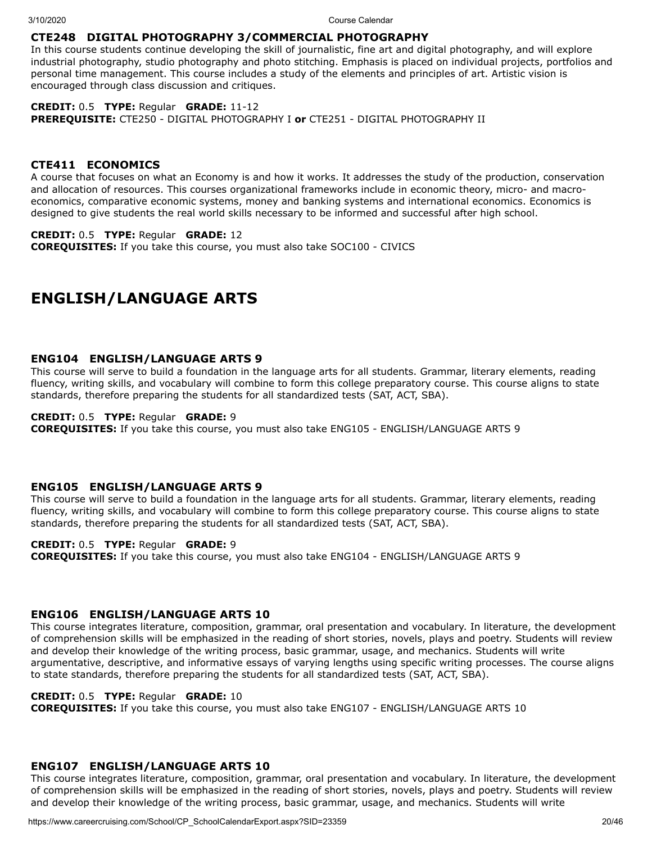## **CTE248 DIGITAL PHOTOGRAPHY 3/COMMERCIAL PHOTOGRAPHY**

In this course students continue developing the skill of journalistic, fine art and digital photography, and will explore industrial photography, studio photography and photo stitching. Emphasis is placed on individual projects, portfolios and personal time management. This course includes a study of the elements and principles of art. Artistic vision is encouraged through class discussion and critiques.

## **CREDIT:** 0.5 **TYPE:** Regular **GRADE:** 11-12

**PREREQUISITE:** CTE250 - DIGITAL PHOTOGRAPHY I **or** CTE251 - DIGITAL PHOTOGRAPHY II

## **CTE411 ECONOMICS**

A course that focuses on what an Economy is and how it works. It addresses the study of the production, conservation and allocation of resources. This courses organizational frameworks include in economic theory, micro- and macroeconomics, comparative economic systems, money and banking systems and international economics. Economics is designed to give students the real world skills necessary to be informed and successful after high school.

## **CREDIT:** 0.5 **TYPE:** Regular **GRADE:** 12

**COREQUISITES:** If you take this course, you must also take SOC100 - CIVICS

## **ENGLISH/LANGUAGE ARTS**

## **ENG104 ENGLISH/LANGUAGE ARTS 9**

This course will serve to build a foundation in the language arts for all students. Grammar, literary elements, reading fluency, writing skills, and vocabulary will combine to form this college preparatory course. This course aligns to state standards, therefore preparing the students for all standardized tests (SAT, ACT, SBA).

## **CREDIT:** 0.5 **TYPE:** Regular **GRADE:** 9

**COREQUISITES:** If you take this course, you must also take ENG105 - ENGLISH/LANGUAGE ARTS 9

## **ENG105 ENGLISH/LANGUAGE ARTS 9**

This course will serve to build a foundation in the language arts for all students. Grammar, literary elements, reading fluency, writing skills, and vocabulary will combine to form this college preparatory course. This course aligns to state standards, therefore preparing the students for all standardized tests (SAT, ACT, SBA).

### **CREDIT:** 0.5 **TYPE:** Regular **GRADE:** 9

**COREQUISITES:** If you take this course, you must also take ENG104 - ENGLISH/LANGUAGE ARTS 9

## **ENG106 ENGLISH/LANGUAGE ARTS 10**

This course integrates literature, composition, grammar, oral presentation and vocabulary. In literature, the development of comprehension skills will be emphasized in the reading of short stories, novels, plays and poetry. Students will review and develop their knowledge of the writing process, basic grammar, usage, and mechanics. Students will write argumentative, descriptive, and informative essays of varying lengths using specific writing processes. The course aligns to state standards, therefore preparing the students for all standardized tests (SAT, ACT, SBA).

## **CREDIT:** 0.5 **TYPE:** Regular **GRADE:** 10

**COREQUISITES:** If you take this course, you must also take ENG107 - ENGLISH/LANGUAGE ARTS 10

## **ENG107 ENGLISH/LANGUAGE ARTS 10**

This course integrates literature, composition, grammar, oral presentation and vocabulary. In literature, the development of comprehension skills will be emphasized in the reading of short stories, novels, plays and poetry. Students will review and develop their knowledge of the writing process, basic grammar, usage, and mechanics. Students will write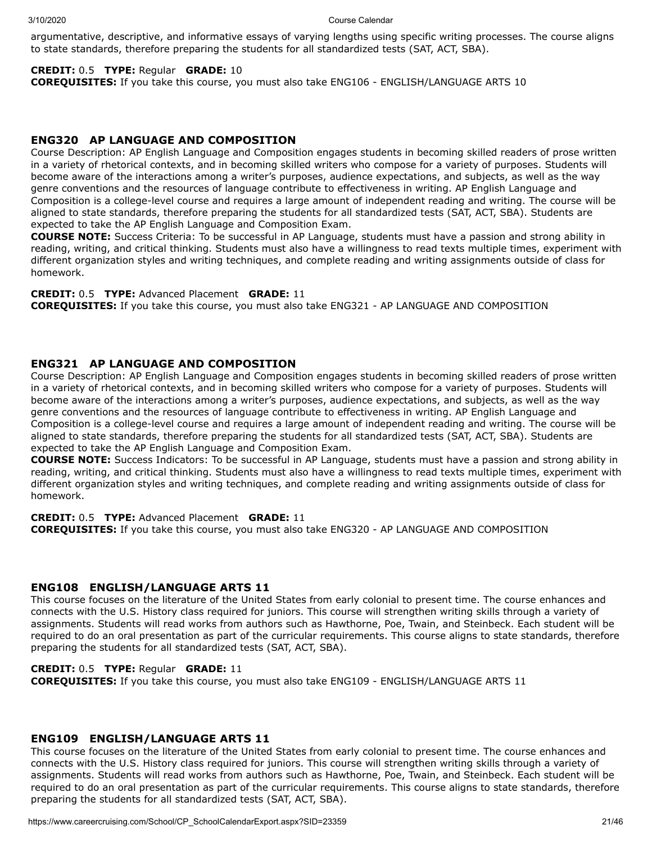argumentative, descriptive, and informative essays of varying lengths using specific writing processes. The course aligns to state standards, therefore preparing the students for all standardized tests (SAT, ACT, SBA).

## **CREDIT:** 0.5 **TYPE:** Regular **GRADE:** 10

**COREQUISITES:** If you take this course, you must also take ENG106 - ENGLISH/LANGUAGE ARTS 10

## **ENG320 AP LANGUAGE AND COMPOSITION**

Course Description: AP English Language and Composition engages students in becoming skilled readers of prose written in a variety of rhetorical contexts, and in becoming skilled writers who compose for a variety of purposes. Students will become aware of the interactions among a writer's purposes, audience expectations, and subjects, as well as the way genre conventions and the resources of language contribute to effectiveness in writing. AP English Language and Composition is a college-level course and requires a large amount of independent reading and writing. The course will be aligned to state standards, therefore preparing the students for all standardized tests (SAT, ACT, SBA). Students are expected to take the AP English Language and Composition Exam.

**COURSE NOTE:** Success Criteria: To be successful in AP Language, students must have a passion and strong ability in reading, writing, and critical thinking. Students must also have a willingness to read texts multiple times, experiment with different organization styles and writing techniques, and complete reading and writing assignments outside of class for homework.

**CREDIT:** 0.5 **TYPE:** Advanced Placement **GRADE:** 11

**COREQUISITES:** If you take this course, you must also take ENG321 - AP LANGUAGE AND COMPOSITION

## **ENG321 AP LANGUAGE AND COMPOSITION**

Course Description: AP English Language and Composition engages students in becoming skilled readers of prose written in a variety of rhetorical contexts, and in becoming skilled writers who compose for a variety of purposes. Students will become aware of the interactions among a writer's purposes, audience expectations, and subjects, as well as the way genre conventions and the resources of language contribute to effectiveness in writing. AP English Language and Composition is a college-level course and requires a large amount of independent reading and writing. The course will be aligned to state standards, therefore preparing the students for all standardized tests (SAT, ACT, SBA). Students are expected to take the AP English Language and Composition Exam.

**COURSE NOTE:** Success Indicators: To be successful in AP Language, students must have a passion and strong ability in reading, writing, and critical thinking. Students must also have a willingness to read texts multiple times, experiment with different organization styles and writing techniques, and complete reading and writing assignments outside of class for homework.

## **CREDIT:** 0.5 **TYPE:** Advanced Placement **GRADE:** 11

**COREQUISITES:** If you take this course, you must also take ENG320 - AP LANGUAGE AND COMPOSITION

## **ENG108 ENGLISH/LANGUAGE ARTS 11**

This course focuses on the literature of the United States from early colonial to present time. The course enhances and connects with the U.S. History class required for juniors. This course will strengthen writing skills through a variety of assignments. Students will read works from authors such as Hawthorne, Poe, Twain, and Steinbeck. Each student will be required to do an oral presentation as part of the curricular requirements. This course aligns to state standards, therefore preparing the students for all standardized tests (SAT, ACT, SBA).

## **CREDIT:** 0.5 **TYPE:** Regular **GRADE:** 11

**COREQUISITES:** If you take this course, you must also take ENG109 - ENGLISH/LANGUAGE ARTS 11

## **ENG109 ENGLISH/LANGUAGE ARTS 11**

This course focuses on the literature of the United States from early colonial to present time. The course enhances and connects with the U.S. History class required for juniors. This course will strengthen writing skills through a variety of assignments. Students will read works from authors such as Hawthorne, Poe, Twain, and Steinbeck. Each student will be required to do an oral presentation as part of the curricular requirements. This course aligns to state standards, therefore preparing the students for all standardized tests (SAT, ACT, SBA).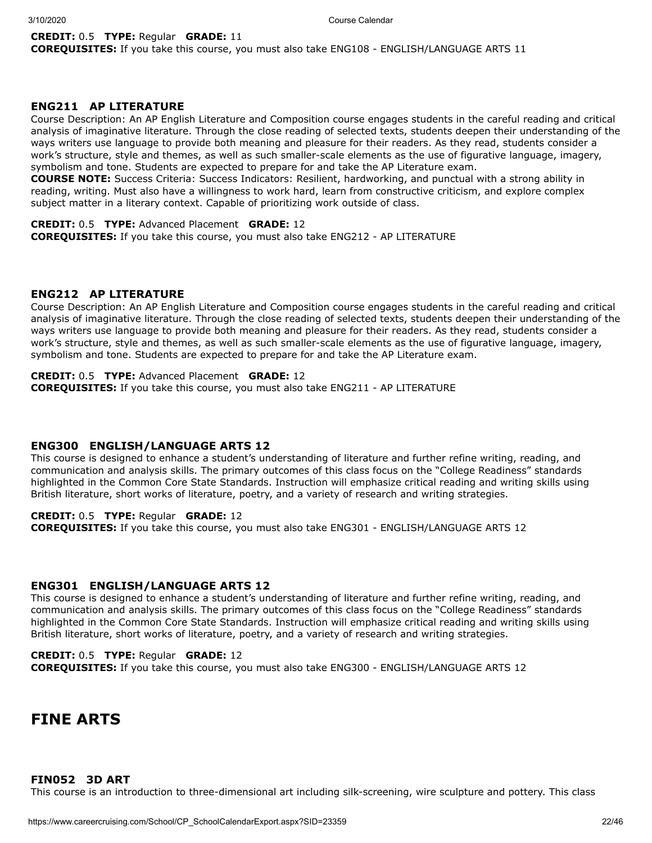### **CREDIT:** 0.5 **TYPE:** Regular **GRADE:** 11

**COREQUISITES:** If you take this course, you must also take ENG108 - ENGLISH/LANGUAGE ARTS 11

## **ENG211 AP LITERATURE**

Course Description: An AP English Literature and Composition course engages students in the careful reading and critical analysis of imaginative literature. Through the close reading of selected texts, students deepen their understanding of the ways writers use language to provide both meaning and pleasure for their readers. As they read, students consider a work's structure, style and themes, as well as such smaller-scale elements as the use of figurative language, imagery, symbolism and tone. Students are expected to prepare for and take the AP Literature exam.

**COURSE NOTE:** Success Criteria: Success Indicators: Resilient, hardworking, and punctual with a strong ability in reading, writing. Must also have a willingness to work hard, learn from constructive criticism, and explore complex subject matter in a literary context. Capable of prioritizing work outside of class.

## **CREDIT:** 0.5 **TYPE:** Advanced Placement **GRADE:** 12

**COREQUISITES:** If you take this course, you must also take ENG212 - AP LITERATURE

#### **ENG212 AP LITERATURE**

Course Description: An AP English Literature and Composition course engages students in the careful reading and critical analysis of imaginative literature. Through the close reading of selected texts, students deepen their understanding of the ways writers use language to provide both meaning and pleasure for their readers. As they read, students consider a work's structure, style and themes, as well as such smaller-scale elements as the use of figurative language, imagery, symbolism and tone. Students are expected to prepare for and take the AP Literature exam.

**CREDIT:** 0.5 **TYPE:** Advanced Placement **GRADE:** 12 **COREQUISITES:** If you take this course, you must also take ENG211 - AP LITERATURE

#### **ENG300 ENGLISH/LANGUAGE ARTS 12**

This course is designed to enhance a student's understanding of literature and further refine writing, reading, and communication and analysis skills. The primary outcomes of this class focus on the "College Readiness" standards highlighted in the Common Core State Standards. Instruction will emphasize critical reading and writing skills using British literature, short works of literature, poetry, and a variety of research and writing strategies.

## **CREDIT:** 0.5 **TYPE:** Regular **GRADE:** 12

**COREQUISITES:** If you take this course, you must also take ENG301 - ENGLISH/LANGUAGE ARTS 12

## **ENG301 ENGLISH/LANGUAGE ARTS 12**

This course is designed to enhance a student's understanding of literature and further refine writing, reading, and communication and analysis skills. The primary outcomes of this class focus on the "College Readiness" standards highlighted in the Common Core State Standards. Instruction will emphasize critical reading and writing skills using British literature, short works of literature, poetry, and a variety of research and writing strategies.

## **CREDIT:** 0.5 **TYPE:** Regular **GRADE:** 12

**COREQUISITES:** If you take this course, you must also take ENG300 - ENGLISH/LANGUAGE ARTS 12

## **FINE ARTS**

## **FIN052 3D ART**

This course is an introduction to three-dimensional art including silk-screening, wire sculpture and pottery. This class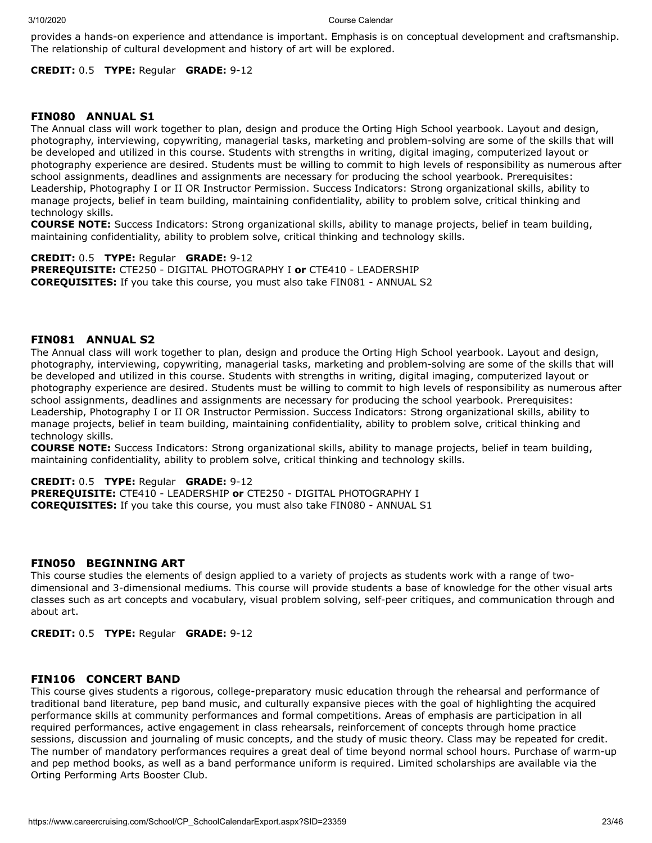provides a hands-on experience and attendance is important. Emphasis is on conceptual development and craftsmanship. The relationship of cultural development and history of art will be explored.

**CREDIT:** 0.5 **TYPE:** Regular **GRADE:** 9-12

## **FIN080 ANNUAL S1**

The Annual class will work together to plan, design and produce the Orting High School yearbook. Layout and design, photography, interviewing, copywriting, managerial tasks, marketing and problem-solving are some of the skills that will be developed and utilized in this course. Students with strengths in writing, digital imaging, computerized layout or photography experience are desired. Students must be willing to commit to high levels of responsibility as numerous after school assignments, deadlines and assignments are necessary for producing the school yearbook. Prerequisites: Leadership, Photography I or II OR Instructor Permission. Success Indicators: Strong organizational skills, ability to manage projects, belief in team building, maintaining confidentiality, ability to problem solve, critical thinking and technology skills.

**COURSE NOTE:** Success Indicators: Strong organizational skills, ability to manage projects, belief in team building, maintaining confidentiality, ability to problem solve, critical thinking and technology skills.

**CREDIT:** 0.5 **TYPE:** Regular **GRADE:** 9-12 **PREREQUISITE:** CTE250 - DIGITAL PHOTOGRAPHY I **or** CTE410 - LEADERSHIP **COREQUISITES:** If you take this course, you must also take FIN081 - ANNUAL S2

### **FIN081 ANNUAL S2**

The Annual class will work together to plan, design and produce the Orting High School yearbook. Layout and design, photography, interviewing, copywriting, managerial tasks, marketing and problem-solving are some of the skills that will be developed and utilized in this course. Students with strengths in writing, digital imaging, computerized layout or photography experience are desired. Students must be willing to commit to high levels of responsibility as numerous after school assignments, deadlines and assignments are necessary for producing the school yearbook. Prerequisites: Leadership, Photography I or II OR Instructor Permission. Success Indicators: Strong organizational skills, ability to manage projects, belief in team building, maintaining confidentiality, ability to problem solve, critical thinking and technology skills.

**COURSE NOTE:** Success Indicators: Strong organizational skills, ability to manage projects, belief in team building, maintaining confidentiality, ability to problem solve, critical thinking and technology skills.

**CREDIT:** 0.5 **TYPE:** Regular **GRADE:** 9-12 **PREREQUISITE:** CTE410 - LEADERSHIP **or** CTE250 - DIGITAL PHOTOGRAPHY I **COREQUISITES:** If you take this course, you must also take FIN080 - ANNUAL S1

## **FIN050 BEGINNING ART**

This course studies the elements of design applied to a variety of projects as students work with a range of twodimensional and 3-dimensional mediums. This course will provide students a base of knowledge for the other visual arts classes such as art concepts and vocabulary, visual problem solving, self-peer critiques, and communication through and about art.

**CREDIT:** 0.5 **TYPE:** Regular **GRADE:** 9-12

## **FIN106 CONCERT BAND**

This course gives students a rigorous, college-preparatory music education through the rehearsal and performance of traditional band literature, pep band music, and culturally expansive pieces with the goal of highlighting the acquired performance skills at community performances and formal competitions. Areas of emphasis are participation in all required performances, active engagement in class rehearsals, reinforcement of concepts through home practice sessions, discussion and journaling of music concepts, and the study of music theory. Class may be repeated for credit. The number of mandatory performances requires a great deal of time beyond normal school hours. Purchase of warm-up and pep method books, as well as a band performance uniform is required. Limited scholarships are available via the Orting Performing Arts Booster Club.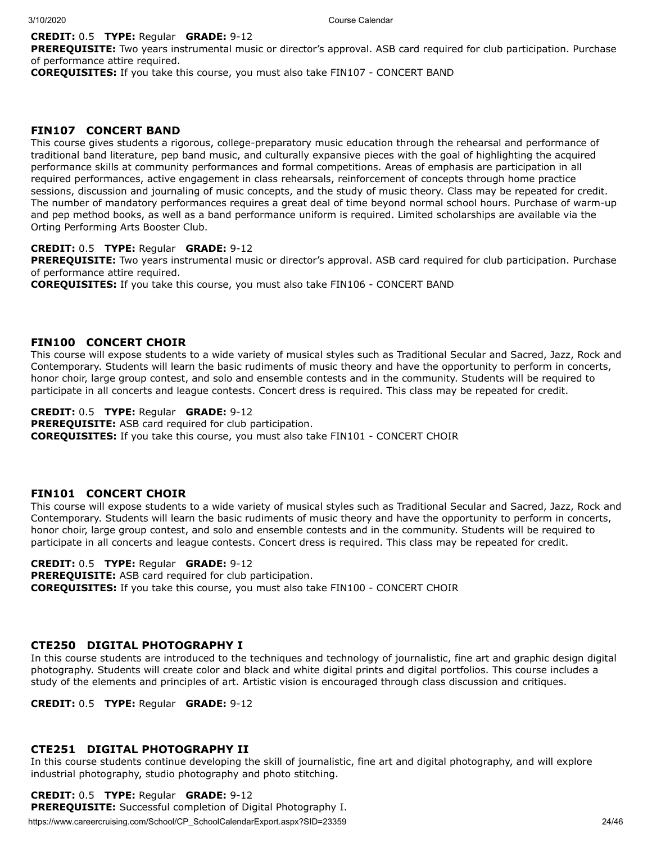## **CREDIT:** 0.5 **TYPE:** Regular **GRADE:** 9-12

**PREREQUISITE:** Two years instrumental music or director's approval. ASB card required for club participation. Purchase of performance attire required.

**COREQUISITES:** If you take this course, you must also take FIN107 - CONCERT BAND

## **FIN107 CONCERT BAND**

This course gives students a rigorous, college-preparatory music education through the rehearsal and performance of traditional band literature, pep band music, and culturally expansive pieces with the goal of highlighting the acquired performance skills at community performances and formal competitions. Areas of emphasis are participation in all required performances, active engagement in class rehearsals, reinforcement of concepts through home practice sessions, discussion and journaling of music concepts, and the study of music theory. Class may be repeated for credit. The number of mandatory performances requires a great deal of time beyond normal school hours. Purchase of warm-up and pep method books, as well as a band performance uniform is required. Limited scholarships are available via the Orting Performing Arts Booster Club.

## **CREDIT:** 0.5 **TYPE:** Regular **GRADE:** 9-12

**PREREQUISITE:** Two years instrumental music or director's approval. ASB card required for club participation. Purchase of performance attire required.

**COREQUISITES:** If you take this course, you must also take FIN106 - CONCERT BAND

#### **FIN100 CONCERT CHOIR**

This course will expose students to a wide variety of musical styles such as Traditional Secular and Sacred, Jazz, Rock and Contemporary. Students will learn the basic rudiments of music theory and have the opportunity to perform in concerts, honor choir, large group contest, and solo and ensemble contests and in the community. Students will be required to participate in all concerts and league contests. Concert dress is required. This class may be repeated for credit.

#### **CREDIT:** 0.5 **TYPE:** Regular **GRADE:** 9-12

**PREREQUISITE:** ASB card required for club participation. **COREQUISITES:** If you take this course, you must also take FIN101 - CONCERT CHOIR

## **FIN101 CONCERT CHOIR**

This course will expose students to a wide variety of musical styles such as Traditional Secular and Sacred, Jazz, Rock and Contemporary. Students will learn the basic rudiments of music theory and have the opportunity to perform in concerts, honor choir, large group contest, and solo and ensemble contests and in the community. Students will be required to participate in all concerts and league contests. Concert dress is required. This class may be repeated for credit.

## **CREDIT:** 0.5 **TYPE:** Regular **GRADE:** 9-12

**PREREQUISITE:** ASB card required for club participation. **COREQUISITES:** If you take this course, you must also take FIN100 - CONCERT CHOIR

## **CTE250 DIGITAL PHOTOGRAPHY I**

In this course students are introduced to the techniques and technology of journalistic, fine art and graphic design digital photography. Students will create color and black and white digital prints and digital portfolios. This course includes a study of the elements and principles of art. Artistic vision is encouraged through class discussion and critiques.

**CREDIT:** 0.5 **TYPE:** Regular **GRADE:** 9-12

## **CTE251 DIGITAL PHOTOGRAPHY II**

In this course students continue developing the skill of journalistic, fine art and digital photography, and will explore industrial photography, studio photography and photo stitching.

## **CREDIT:** 0.5 **TYPE:** Regular **GRADE:** 9-12

**PREREQUISITE:** Successful completion of Digital Photography I.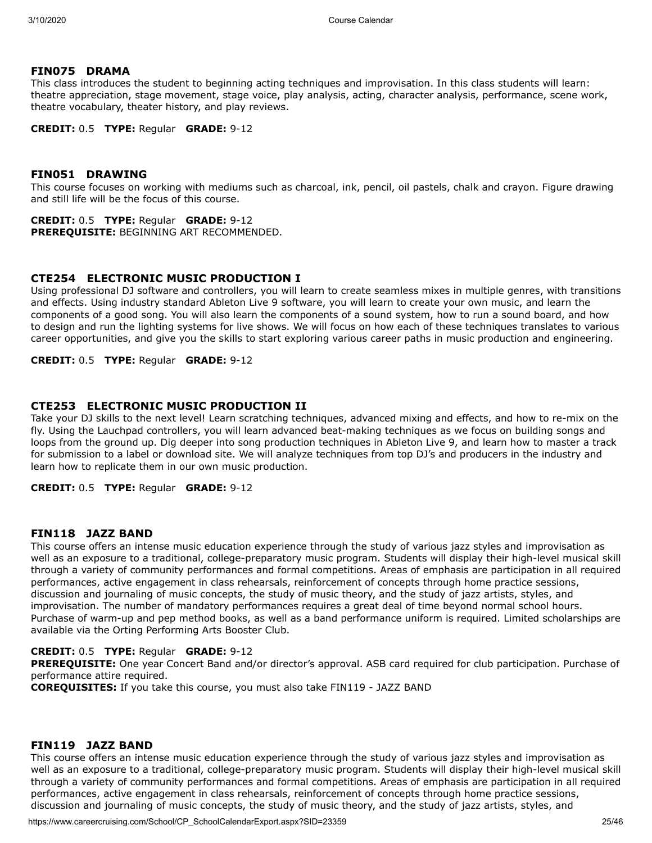## **FIN075 DRAMA**

This class introduces the student to beginning acting techniques and improvisation. In this class students will learn: theatre appreciation, stage movement, stage voice, play analysis, acting, character analysis, performance, scene work, theatre vocabulary, theater history, and play reviews.

**CREDIT:** 0.5 **TYPE:** Regular **GRADE:** 9-12

## **FIN051 DRAWING**

This course focuses on working with mediums such as charcoal, ink, pencil, oil pastels, chalk and crayon. Figure drawing and still life will be the focus of this course.

**CREDIT:** 0.5 **TYPE:** Regular **GRADE:** 9-12 **PREREQUISITE:** BEGINNING ART RECOMMENDED.

## **CTE254 ELECTRONIC MUSIC PRODUCTION I**

Using professional DJ software and controllers, you will learn to create seamless mixes in multiple genres, with transitions and effects. Using industry standard Ableton Live 9 software, you will learn to create your own music, and learn the components of a good song. You will also learn the components of a sound system, how to run a sound board, and how to design and run the lighting systems for live shows. We will focus on how each of these techniques translates to various career opportunities, and give you the skills to start exploring various career paths in music production and engineering.

### **CREDIT:** 0.5 **TYPE:** Regular **GRADE:** 9-12

## **CTE253 ELECTRONIC MUSIC PRODUCTION II**

Take your DJ skills to the next level! Learn scratching techniques, advanced mixing and effects, and how to re-mix on the fly. Using the Lauchpad controllers, you will learn advanced beat-making techniques as we focus on building songs and loops from the ground up. Dig deeper into song production techniques in Ableton Live 9, and learn how to master a track for submission to a label or download site. We will analyze techniques from top DJ's and producers in the industry and learn how to replicate them in our own music production.

**CREDIT:** 0.5 **TYPE:** Regular **GRADE:** 9-12

## **FIN118 JAZZ BAND**

This course offers an intense music education experience through the study of various jazz styles and improvisation as well as an exposure to a traditional, college-preparatory music program. Students will display their high-level musical skill through a variety of community performances and formal competitions. Areas of emphasis are participation in all required performances, active engagement in class rehearsals, reinforcement of concepts through home practice sessions, discussion and journaling of music concepts, the study of music theory, and the study of jazz artists, styles, and improvisation. The number of mandatory performances requires a great deal of time beyond normal school hours. Purchase of warm-up and pep method books, as well as a band performance uniform is required. Limited scholarships are available via the Orting Performing Arts Booster Club.

#### **CREDIT:** 0.5 **TYPE:** Regular **GRADE:** 9-12

**PREREQUISITE:** One year Concert Band and/or director's approval. ASB card required for club participation. Purchase of performance attire required.

**COREQUISITES:** If you take this course, you must also take FIN119 - JAZZ BAND

## **FIN119 JAZZ BAND**

This course offers an intense music education experience through the study of various jazz styles and improvisation as well as an exposure to a traditional, college-preparatory music program. Students will display their high-level musical skill through a variety of community performances and formal competitions. Areas of emphasis are participation in all required performances, active engagement in class rehearsals, reinforcement of concepts through home practice sessions, discussion and journaling of music concepts, the study of music theory, and the study of jazz artists, styles, and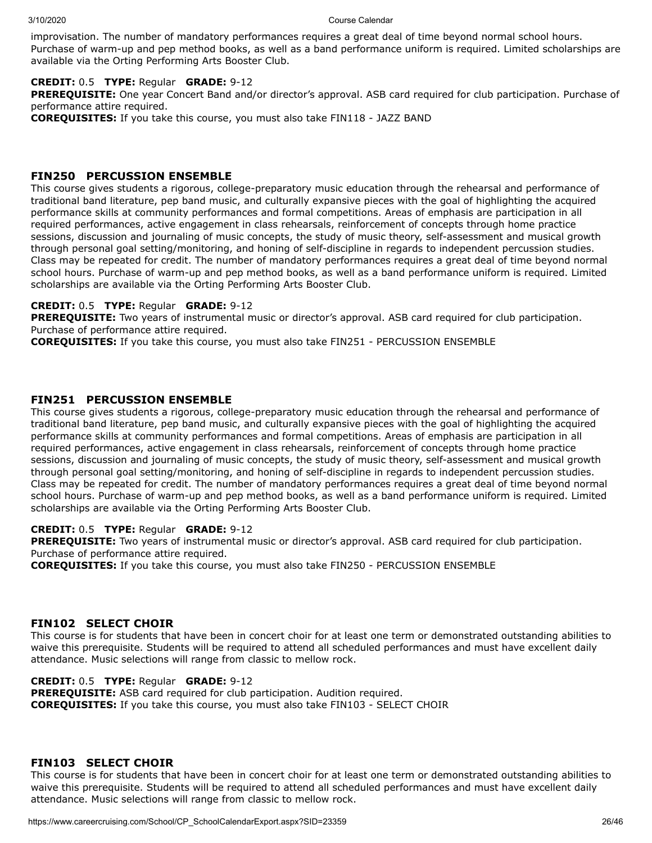improvisation. The number of mandatory performances requires a great deal of time beyond normal school hours. Purchase of warm-up and pep method books, as well as a band performance uniform is required. Limited scholarships are available via the Orting Performing Arts Booster Club.

## **CREDIT:** 0.5 **TYPE:** Regular **GRADE:** 9-12

**PREREQUISITE:** One year Concert Band and/or director's approval. ASB card required for club participation. Purchase of performance attire required.

**COREQUISITES:** If you take this course, you must also take FIN118 - JAZZ BAND

## **FIN250 PERCUSSION ENSEMBLE**

This course gives students a rigorous, college-preparatory music education through the rehearsal and performance of traditional band literature, pep band music, and culturally expansive pieces with the goal of highlighting the acquired performance skills at community performances and formal competitions. Areas of emphasis are participation in all required performances, active engagement in class rehearsals, reinforcement of concepts through home practice sessions, discussion and journaling of music concepts, the study of music theory, self-assessment and musical growth through personal goal setting/monitoring, and honing of self-discipline in regards to independent percussion studies. Class may be repeated for credit. The number of mandatory performances requires a great deal of time beyond normal school hours. Purchase of warm-up and pep method books, as well as a band performance uniform is required. Limited scholarships are available via the Orting Performing Arts Booster Club.

### **CREDIT:** 0.5 **TYPE:** Regular **GRADE:** 9-12

**PREREQUISITE:** Two years of instrumental music or director's approval. ASB card required for club participation. Purchase of performance attire required.

**COREQUISITES:** If you take this course, you must also take FIN251 - PERCUSSION ENSEMBLE

## **FIN251 PERCUSSION ENSEMBLE**

This course gives students a rigorous, college-preparatory music education through the rehearsal and performance of traditional band literature, pep band music, and culturally expansive pieces with the goal of highlighting the acquired performance skills at community performances and formal competitions. Areas of emphasis are participation in all required performances, active engagement in class rehearsals, reinforcement of concepts through home practice sessions, discussion and journaling of music concepts, the study of music theory, self-assessment and musical growth through personal goal setting/monitoring, and honing of self-discipline in regards to independent percussion studies. Class may be repeated for credit. The number of mandatory performances requires a great deal of time beyond normal school hours. Purchase of warm-up and pep method books, as well as a band performance uniform is required. Limited scholarships are available via the Orting Performing Arts Booster Club.

## **CREDIT:** 0.5 **TYPE:** Regular **GRADE:** 9-12

**PREREQUISITE:** Two years of instrumental music or director's approval. ASB card required for club participation. Purchase of performance attire required.

**COREQUISITES:** If you take this course, you must also take FIN250 - PERCUSSION ENSEMBLE

## **FIN102 SELECT CHOIR**

This course is for students that have been in concert choir for at least one term or demonstrated outstanding abilities to waive this prerequisite. Students will be required to attend all scheduled performances and must have excellent daily attendance. Music selections will range from classic to mellow rock.

## **CREDIT:** 0.5 **TYPE:** Regular **GRADE:** 9-12

**PREREQUISITE:** ASB card required for club participation. Audition required. **COREQUISITES:** If you take this course, you must also take FIN103 - SELECT CHOIR

## **FIN103 SELECT CHOIR**

This course is for students that have been in concert choir for at least one term or demonstrated outstanding abilities to waive this prerequisite. Students will be required to attend all scheduled performances and must have excellent daily attendance. Music selections will range from classic to mellow rock.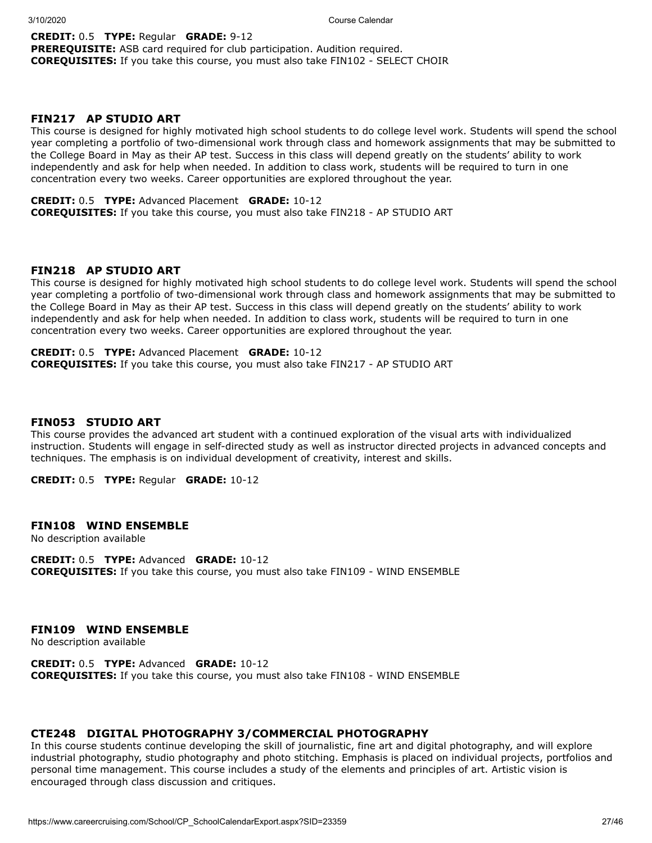## **CREDIT:** 0.5 **TYPE:** Regular **GRADE:** 9-12

**PREREQUISITE:** ASB card required for club participation. Audition required. **COREQUISITES:** If you take this course, you must also take FIN102 - SELECT CHOIR

## **FIN217 AP STUDIO ART**

This course is designed for highly motivated high school students to do college level work. Students will spend the school year completing a portfolio of two-dimensional work through class and homework assignments that may be submitted to the College Board in May as their AP test. Success in this class will depend greatly on the students' ability to work independently and ask for help when needed. In addition to class work, students will be required to turn in one concentration every two weeks. Career opportunities are explored throughout the year.

#### **CREDIT:** 0.5 **TYPE:** Advanced Placement **GRADE:** 10-12

**COREQUISITES:** If you take this course, you must also take FIN218 - AP STUDIO ART

## **FIN218 AP STUDIO ART**

This course is designed for highly motivated high school students to do college level work. Students will spend the school year completing a portfolio of two-dimensional work through class and homework assignments that may be submitted to the College Board in May as their AP test. Success in this class will depend greatly on the students' ability to work independently and ask for help when needed. In addition to class work, students will be required to turn in one concentration every two weeks. Career opportunities are explored throughout the year.

**CREDIT:** 0.5 **TYPE:** Advanced Placement **GRADE:** 10-12 **COREQUISITES:** If you take this course, you must also take FIN217 - AP STUDIO ART

#### **FIN053 STUDIO ART**

This course provides the advanced art student with a continued exploration of the visual arts with individualized instruction. Students will engage in self-directed study as well as instructor directed projects in advanced concepts and techniques. The emphasis is on individual development of creativity, interest and skills.

**CREDIT:** 0.5 **TYPE:** Regular **GRADE:** 10-12

## **FIN108 WIND ENSEMBLE**

No description available

**CREDIT:** 0.5 **TYPE:** Advanced **GRADE:** 10-12 **COREQUISITES:** If you take this course, you must also take FIN109 - WIND ENSEMBLE

#### **FIN109 WIND ENSEMBLE**

No description available

**CREDIT:** 0.5 **TYPE:** Advanced **GRADE:** 10-12 **COREQUISITES:** If you take this course, you must also take FIN108 - WIND ENSEMBLE

#### **CTE248 DIGITAL PHOTOGRAPHY 3/COMMERCIAL PHOTOGRAPHY**

In this course students continue developing the skill of journalistic, fine art and digital photography, and will explore industrial photography, studio photography and photo stitching. Emphasis is placed on individual projects, portfolios and personal time management. This course includes a study of the elements and principles of art. Artistic vision is encouraged through class discussion and critiques.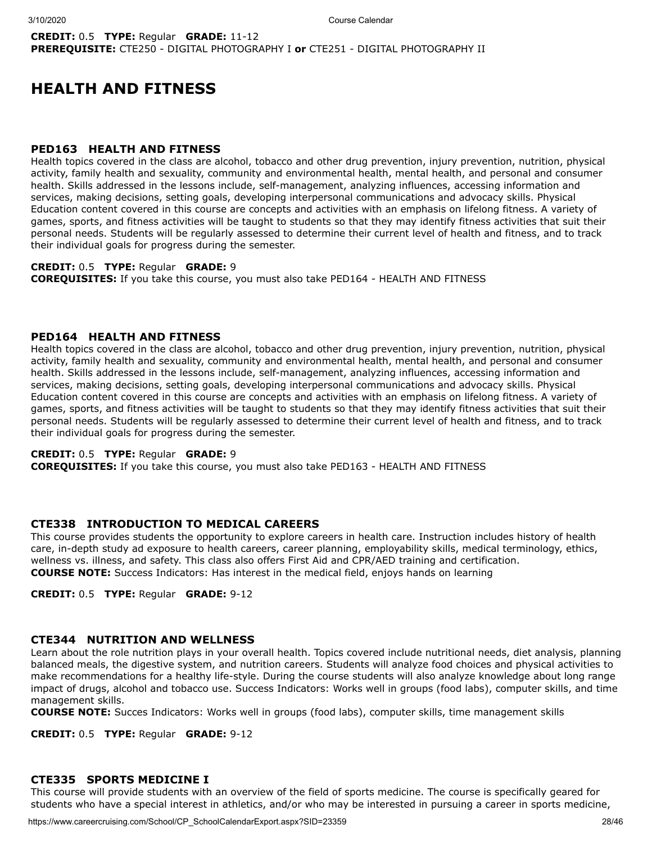## **CREDIT:** 0.5 **TYPE:** Regular **GRADE:** 11-12 **PREREQUISITE:** CTE250 - DIGITAL PHOTOGRAPHY I **or** CTE251 - DIGITAL PHOTOGRAPHY II

## **HEALTH AND FITNESS**

### **PED163 HEALTH AND FITNESS**

Health topics covered in the class are alcohol, tobacco and other drug prevention, injury prevention, nutrition, physical activity, family health and sexuality, community and environmental health, mental health, and personal and consumer health. Skills addressed in the lessons include, self-management, analyzing influences, accessing information and services, making decisions, setting goals, developing interpersonal communications and advocacy skills. Physical Education content covered in this course are concepts and activities with an emphasis on lifelong fitness. A variety of games, sports, and fitness activities will be taught to students so that they may identify fitness activities that suit their personal needs. Students will be regularly assessed to determine their current level of health and fitness, and to track their individual goals for progress during the semester.

#### **CREDIT:** 0.5 **TYPE:** Regular **GRADE:** 9

**COREQUISITES:** If you take this course, you must also take PED164 - HEALTH AND FITNESS

### **PED164 HEALTH AND FITNESS**

Health topics covered in the class are alcohol, tobacco and other drug prevention, injury prevention, nutrition, physical activity, family health and sexuality, community and environmental health, mental health, and personal and consumer health. Skills addressed in the lessons include, self-management, analyzing influences, accessing information and services, making decisions, setting goals, developing interpersonal communications and advocacy skills. Physical Education content covered in this course are concepts and activities with an emphasis on lifelong fitness. A variety of games, sports, and fitness activities will be taught to students so that they may identify fitness activities that suit their personal needs. Students will be regularly assessed to determine their current level of health and fitness, and to track their individual goals for progress during the semester.

#### **CREDIT:** 0.5 **TYPE:** Regular **GRADE:** 9

**COREQUISITES:** If you take this course, you must also take PED163 - HEALTH AND FITNESS

## **CTE338 INTRODUCTION TO MEDICAL CAREERS**

This course provides students the opportunity to explore careers in health care. Instruction includes history of health care, in-depth study ad exposure to health careers, career planning, employability skills, medical terminology, ethics, wellness vs. illness, and safety. This class also offers First Aid and CPR/AED training and certification. **COURSE NOTE:** Success Indicators: Has interest in the medical field, enjoys hands on learning

**CREDIT:** 0.5 **TYPE:** Regular **GRADE:** 9-12

## **CTE344 NUTRITION AND WELLNESS**

Learn about the role nutrition plays in your overall health. Topics covered include nutritional needs, diet analysis, planning balanced meals, the digestive system, and nutrition careers. Students will analyze food choices and physical activities to make recommendations for a healthy life-style. During the course students will also analyze knowledge about long range impact of drugs, alcohol and tobacco use. Success Indicators: Works well in groups (food labs), computer skills, and time management skills.

**COURSE NOTE:** Succes Indicators: Works well in groups (food labs), computer skills, time management skills

**CREDIT:** 0.5 **TYPE:** Regular **GRADE:** 9-12

### **CTE335 SPORTS MEDICINE I**

This course will provide students with an overview of the field of sports medicine. The course is specifically geared for students who have a special interest in athletics, and/or who may be interested in pursuing a career in sports medicine,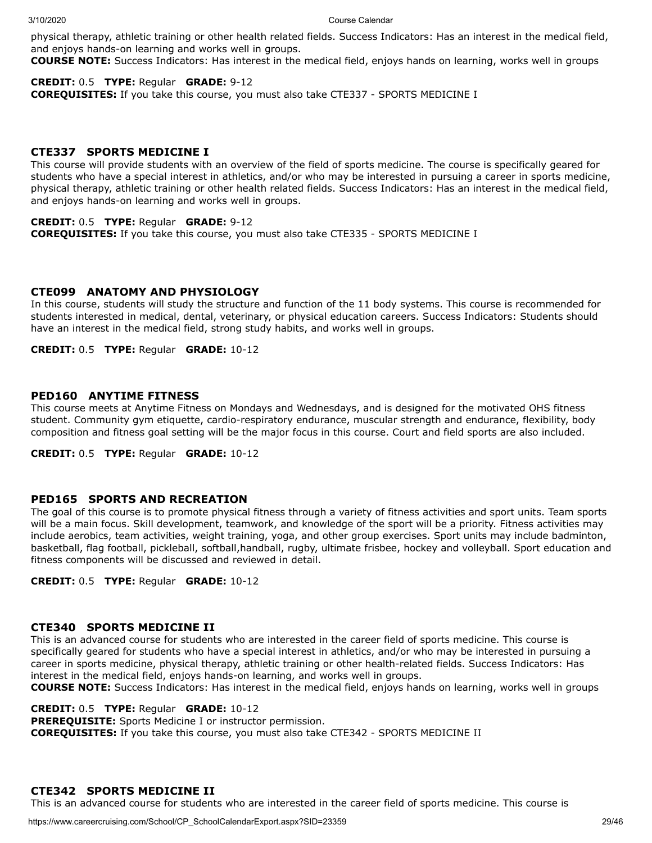physical therapy, athletic training or other health related fields. Success Indicators: Has an interest in the medical field, and enjoys hands-on learning and works well in groups.

**COURSE NOTE:** Success Indicators: Has interest in the medical field, enjoys hands on learning, works well in groups

## **CREDIT:** 0.5 **TYPE:** Regular **GRADE:** 9-12

**COREQUISITES:** If you take this course, you must also take CTE337 - SPORTS MEDICINE I

## **CTE337 SPORTS MEDICINE I**

This course will provide students with an overview of the field of sports medicine. The course is specifically geared for students who have a special interest in athletics, and/or who may be interested in pursuing a career in sports medicine, physical therapy, athletic training or other health related fields. Success Indicators: Has an interest in the medical field, and enjoys hands-on learning and works well in groups.

## **CREDIT:** 0.5 **TYPE:** Regular **GRADE:** 9-12

**COREQUISITES:** If you take this course, you must also take CTE335 - SPORTS MEDICINE I

## **CTE099 ANATOMY AND PHYSIOLOGY**

In this course, students will study the structure and function of the 11 body systems. This course is recommended for students interested in medical, dental, veterinary, or physical education careers. Success Indicators: Students should have an interest in the medical field, strong study habits, and works well in groups.

**CREDIT:** 0.5 **TYPE:** Regular **GRADE:** 10-12

## **PED160 ANYTIME FITNESS**

This course meets at Anytime Fitness on Mondays and Wednesdays, and is designed for the motivated OHS fitness student. Community gym etiquette, cardio-respiratory endurance, muscular strength and endurance, flexibility, body composition and fitness goal setting will be the major focus in this course. Court and field sports are also included.

**CREDIT:** 0.5 **TYPE:** Regular **GRADE:** 10-12

## **PED165 SPORTS AND RECREATION**

The goal of this course is to promote physical fitness through a variety of fitness activities and sport units. Team sports will be a main focus. Skill development, teamwork, and knowledge of the sport will be a priority. Fitness activities may include aerobics, team activities, weight training, yoga, and other group exercises. Sport units may include badminton, basketball, flag football, pickleball, softball,handball, rugby, ultimate frisbee, hockey and volleyball. Sport education and fitness components will be discussed and reviewed in detail.

**CREDIT:** 0.5 **TYPE:** Regular **GRADE:** 10-12

## **CTE340 SPORTS MEDICINE II**

This is an advanced course for students who are interested in the career field of sports medicine. This course is specifically geared for students who have a special interest in athletics, and/or who may be interested in pursuing a career in sports medicine, physical therapy, athletic training or other health-related fields. Success Indicators: Has interest in the medical field, enjoys hands-on learning, and works well in groups.

**COURSE NOTE:** Success Indicators: Has interest in the medical field, enjoys hands on learning, works well in groups

## **CREDIT:** 0.5 **TYPE:** Regular **GRADE:** 10-12

**PREREQUISITE:** Sports Medicine I or instructor permission.

**COREQUISITES:** If you take this course, you must also take CTE342 - SPORTS MEDICINE II

## **CTE342 SPORTS MEDICINE II**

This is an advanced course for students who are interested in the career field of sports medicine. This course is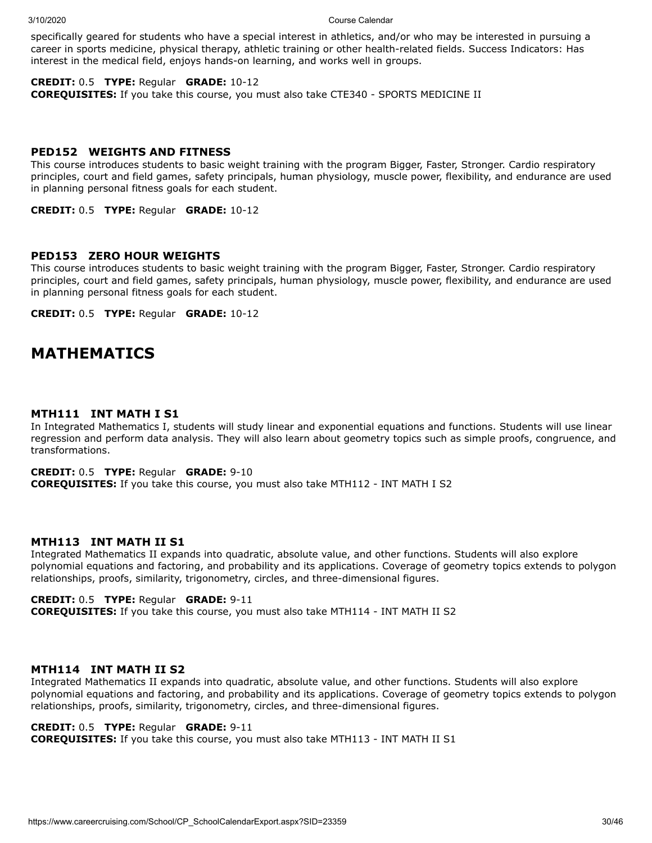specifically geared for students who have a special interest in athletics, and/or who may be interested in pursuing a career in sports medicine, physical therapy, athletic training or other health-related fields. Success Indicators: Has interest in the medical field, enjoys hands-on learning, and works well in groups.

## **CREDIT:** 0.5 **TYPE:** Regular **GRADE:** 10-12

**COREQUISITES:** If you take this course, you must also take CTE340 - SPORTS MEDICINE II

### **PED152 WEIGHTS AND FITNESS**

This course introduces students to basic weight training with the program Bigger, Faster, Stronger. Cardio respiratory principles, court and field games, safety principals, human physiology, muscle power, flexibility, and endurance are used in planning personal fitness goals for each student.

**CREDIT:** 0.5 **TYPE:** Regular **GRADE:** 10-12

#### **PED153 ZERO HOUR WEIGHTS**

This course introduces students to basic weight training with the program Bigger, Faster, Stronger. Cardio respiratory principles, court and field games, safety principals, human physiology, muscle power, flexibility, and endurance are used in planning personal fitness goals for each student.

**CREDIT:** 0.5 **TYPE:** Regular **GRADE:** 10-12

## **MATHEMATICS**

#### **MTH111 INT MATH I S1**

In Integrated Mathematics I, students will study linear and exponential equations and functions. Students will use linear regression and perform data analysis. They will also learn about geometry topics such as simple proofs, congruence, and transformations.

#### **CREDIT:** 0.5 **TYPE:** Regular **GRADE:** 9-10

**COREQUISITES:** If you take this course, you must also take MTH112 - INT MATH I S2

### **MTH113 INT MATH II S1**

Integrated Mathematics II expands into quadratic, absolute value, and other functions. Students will also explore polynomial equations and factoring, and probability and its applications. Coverage of geometry topics extends to polygon relationships, proofs, similarity, trigonometry, circles, and three-dimensional figures.

## **CREDIT:** 0.5 **TYPE:** Regular **GRADE:** 9-11

**COREQUISITES:** If you take this course, you must also take MTH114 - INT MATH II S2

## **MTH114 INT MATH II S2**

Integrated Mathematics II expands into quadratic, absolute value, and other functions. Students will also explore polynomial equations and factoring, and probability and its applications. Coverage of geometry topics extends to polygon relationships, proofs, similarity, trigonometry, circles, and three-dimensional figures.

#### **CREDIT:** 0.5 **TYPE:** Regular **GRADE:** 9-11

**COREQUISITES:** If you take this course, you must also take MTH113 - INT MATH II S1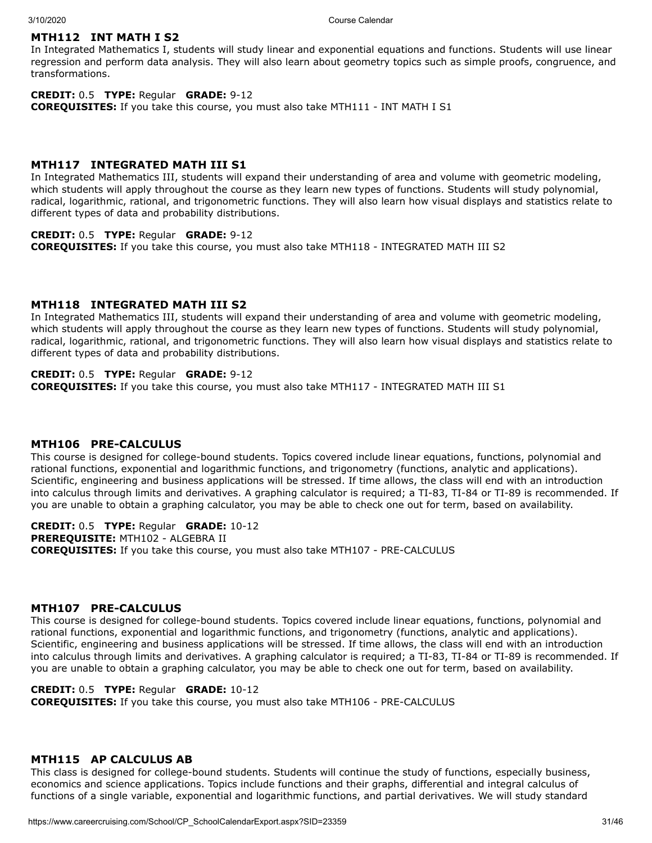## **MTH112 INT MATH I S2**

In Integrated Mathematics I, students will study linear and exponential equations and functions. Students will use linear regression and perform data analysis. They will also learn about geometry topics such as simple proofs, congruence, and transformations.

## **CREDIT:** 0.5 **TYPE:** Regular **GRADE:** 9-12

**COREQUISITES:** If you take this course, you must also take MTH111 - INT MATH I S1

## **MTH117 INTEGRATED MATH III S1**

In Integrated Mathematics III, students will expand their understanding of area and volume with geometric modeling, which students will apply throughout the course as they learn new types of functions. Students will study polynomial, radical, logarithmic, rational, and trigonometric functions. They will also learn how visual displays and statistics relate to different types of data and probability distributions.

### **CREDIT:** 0.5 **TYPE:** Regular **GRADE:** 9-12

**COREQUISITES:** If you take this course, you must also take MTH118 - INTEGRATED MATH III S2

## **MTH118 INTEGRATED MATH III S2**

In Integrated Mathematics III, students will expand their understanding of area and volume with geometric modeling, which students will apply throughout the course as they learn new types of functions. Students will study polynomial, radical, logarithmic, rational, and trigonometric functions. They will also learn how visual displays and statistics relate to different types of data and probability distributions.

## **CREDIT:** 0.5 **TYPE:** Regular **GRADE:** 9-12

**COREQUISITES:** If you take this course, you must also take MTH117 - INTEGRATED MATH III S1

## **MTH106 PRE-CALCULUS**

This course is designed for college-bound students. Topics covered include linear equations, functions, polynomial and rational functions, exponential and logarithmic functions, and trigonometry (functions, analytic and applications). Scientific, engineering and business applications will be stressed. If time allows, the class will end with an introduction into calculus through limits and derivatives. A graphing calculator is required; a TI-83, TI-84 or TI-89 is recommended. If you are unable to obtain a graphing calculator, you may be able to check one out for term, based on availability.

**CREDIT:** 0.5 **TYPE:** Regular **GRADE:** 10-12 **PREREQUISITE:** MTH102 - ALGEBRA II **COREQUISITES:** If you take this course, you must also take MTH107 - PRE-CALCULUS

## **MTH107 PRE-CALCULUS**

This course is designed for college-bound students. Topics covered include linear equations, functions, polynomial and rational functions, exponential and logarithmic functions, and trigonometry (functions, analytic and applications). Scientific, engineering and business applications will be stressed. If time allows, the class will end with an introduction into calculus through limits and derivatives. A graphing calculator is required; a TI-83, TI-84 or TI-89 is recommended. If you are unable to obtain a graphing calculator, you may be able to check one out for term, based on availability.

## **CREDIT:** 0.5 **TYPE:** Regular **GRADE:** 10-12

**COREQUISITES:** If you take this course, you must also take MTH106 - PRE-CALCULUS

## **MTH115 AP CALCULUS AB**

This class is designed for college-bound students. Students will continue the study of functions, especially business, economics and science applications. Topics include functions and their graphs, differential and integral calculus of functions of a single variable, exponential and logarithmic functions, and partial derivatives. We will study standard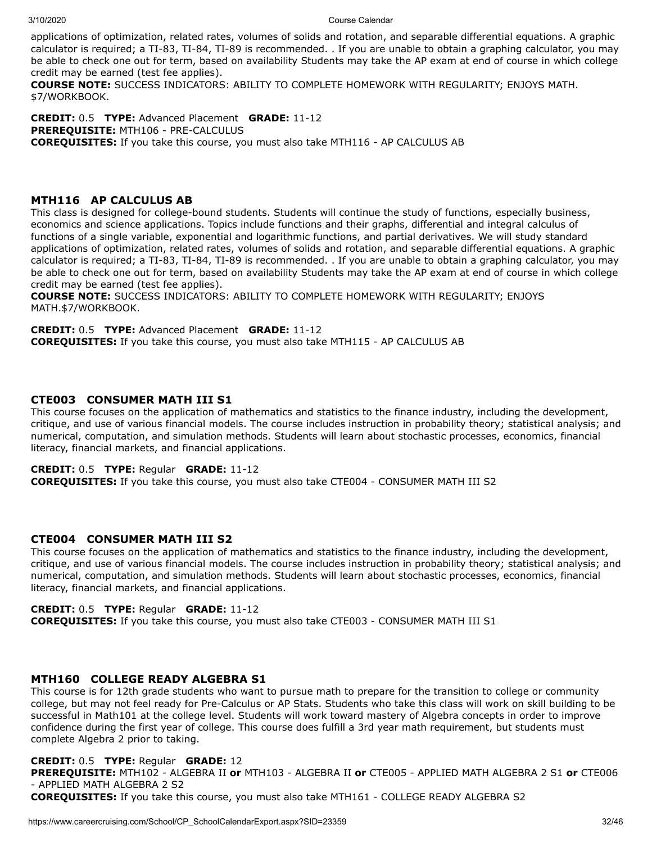applications of optimization, related rates, volumes of solids and rotation, and separable differential equations. A graphic calculator is required; a TI-83, TI-84, TI-89 is recommended. . If you are unable to obtain a graphing calculator, you may be able to check one out for term, based on availability Students may take the AP exam at end of course in which college credit may be earned (test fee applies).

**COURSE NOTE:** SUCCESS INDICATORS: ABILITY TO COMPLETE HOMEWORK WITH REGULARITY; ENJOYS MATH. \$7/WORKBOOK.

**CREDIT:** 0.5 **TYPE:** Advanced Placement **GRADE:** 11-12 **PREREQUISITE:** MTH106 - PRE-CALCULUS **COREQUISITES:** If you take this course, you must also take MTH116 - AP CALCULUS AB

## **MTH116 AP CALCULUS AB**

This class is designed for college-bound students. Students will continue the study of functions, especially business, economics and science applications. Topics include functions and their graphs, differential and integral calculus of functions of a single variable, exponential and logarithmic functions, and partial derivatives. We will study standard applications of optimization, related rates, volumes of solids and rotation, and separable differential equations. A graphic calculator is required; a TI-83, TI-84, TI-89 is recommended. . If you are unable to obtain a graphing calculator, you may be able to check one out for term, based on availability Students may take the AP exam at end of course in which college credit may be earned (test fee applies).

**COURSE NOTE:** SUCCESS INDICATORS: ABILITY TO COMPLETE HOMEWORK WITH REGULARITY; ENJOYS MATH.\$7/WORKBOOK.

**CREDIT:** 0.5 **TYPE:** Advanced Placement **GRADE:** 11-12 **COREQUISITES:** If you take this course, you must also take MTH115 - AP CALCULUS AB

## **CTE003 CONSUMER MATH III S1**

This course focuses on the application of mathematics and statistics to the finance industry, including the development, critique, and use of various financial models. The course includes instruction in probability theory; statistical analysis; and numerical, computation, and simulation methods. Students will learn about stochastic processes, economics, financial literacy, financial markets, and financial applications.

## **CREDIT:** 0.5 **TYPE:** Regular **GRADE:** 11-12

**COREQUISITES:** If you take this course, you must also take CTE004 - CONSUMER MATH III S2

## **CTE004 CONSUMER MATH III S2**

This course focuses on the application of mathematics and statistics to the finance industry, including the development, critique, and use of various financial models. The course includes instruction in probability theory; statistical analysis; and numerical, computation, and simulation methods. Students will learn about stochastic processes, economics, financial literacy, financial markets, and financial applications.

## **CREDIT:** 0.5 **TYPE:** Regular **GRADE:** 11-12

**COREQUISITES:** If you take this course, you must also take CTE003 - CONSUMER MATH III S1

## **MTH160 COLLEGE READY ALGEBRA S1**

This course is for 12th grade students who want to pursue math to prepare for the transition to college or community college, but may not feel ready for Pre-Calculus or AP Stats. Students who take this class will work on skill building to be successful in Math101 at the college level. Students will work toward mastery of Algebra concepts in order to improve confidence during the first year of college. This course does fulfill a 3rd year math requirement, but students must complete Algebra 2 prior to taking.

## **CREDIT:** 0.5 **TYPE:** Regular **GRADE:** 12

**PREREQUISITE:** MTH102 - ALGEBRA II **or** MTH103 - ALGEBRA II **or** CTE005 - APPLIED MATH ALGEBRA 2 S1 **or** CTE006 - APPLIED MATH ALGEBRA 2 S2

**COREQUISITES:** If you take this course, you must also take MTH161 - COLLEGE READY ALGEBRA S2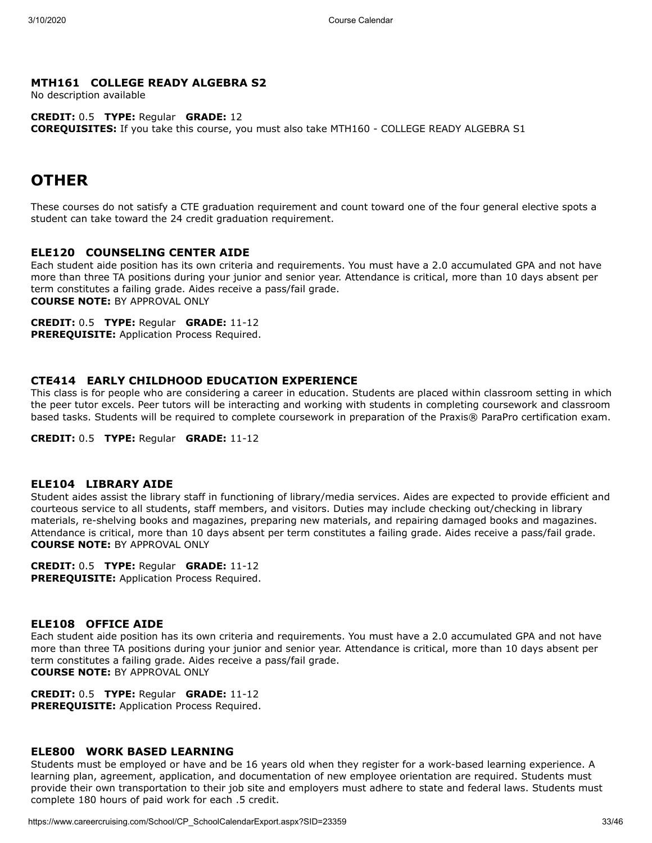## **MTH161 COLLEGE READY ALGEBRA S2**

No description available

**CREDIT:** 0.5 **TYPE:** Regular **GRADE:** 12 **COREQUISITES:** If you take this course, you must also take MTH160 - COLLEGE READY ALGEBRA S1

## **OTHER**

These courses do not satisfy a CTE graduation requirement and count toward one of the four general elective spots a student can take toward the 24 credit graduation requirement.

## **ELE120 COUNSELING CENTER AIDE**

Each student aide position has its own criteria and requirements. You must have a 2.0 accumulated GPA and not have more than three TA positions during your junior and senior year. Attendance is critical, more than 10 days absent per term constitutes a failing grade. Aides receive a pass/fail grade. **COURSE NOTE:** BY APPROVAL ONLY

**CREDIT:** 0.5 **TYPE:** Regular **GRADE:** 11-12 **PREREQUISITE:** Application Process Required.

## **CTE414 EARLY CHILDHOOD EDUCATION EXPERIENCE**

This class is for people who are considering a career in education. Students are placed within classroom setting in which the peer tutor excels. Peer tutors will be interacting and working with students in completing coursework and classroom based tasks. Students will be required to complete coursework in preparation of the Praxis® ParaPro certification exam.

**CREDIT:** 0.5 **TYPE:** Regular **GRADE:** 11-12

#### **ELE104 LIBRARY AIDE**

Student aides assist the library staff in functioning of library/media services. Aides are expected to provide efficient and courteous service to all students, staff members, and visitors. Duties may include checking out/checking in library materials, re-shelving books and magazines, preparing new materials, and repairing damaged books and magazines. Attendance is critical, more than 10 days absent per term constitutes a failing grade. Aides receive a pass/fail grade. **COURSE NOTE:** BY APPROVAL ONLY

**CREDIT:** 0.5 **TYPE:** Regular **GRADE:** 11-12

**PREREQUISITE:** Application Process Required.

## **ELE108 OFFICE AIDE**

Each student aide position has its own criteria and requirements. You must have a 2.0 accumulated GPA and not have more than three TA positions during your junior and senior year. Attendance is critical, more than 10 days absent per term constitutes a failing grade. Aides receive a pass/fail grade. **COURSE NOTE:** BY APPROVAL ONLY

**CREDIT:** 0.5 **TYPE:** Regular **GRADE:** 11-12 **PREREQUISITE:** Application Process Required.

## **ELE800 WORK BASED LEARNING**

Students must be employed or have and be 16 years old when they register for a work-based learning experience. A learning plan, agreement, application, and documentation of new employee orientation are required. Students must provide their own transportation to their job site and employers must adhere to state and federal laws. Students must complete 180 hours of paid work for each .5 credit.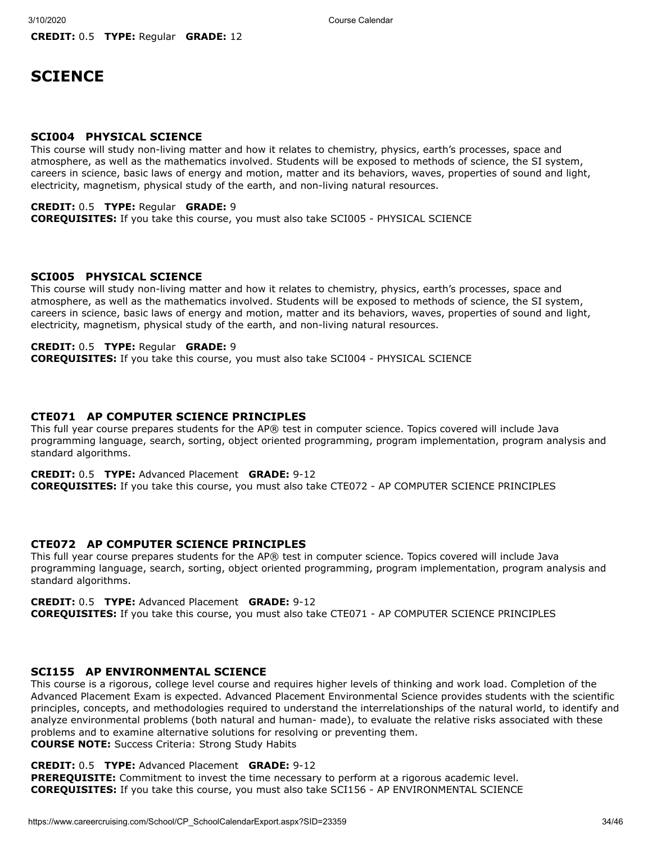## **SCIENCE**

### **SCI004 PHYSICAL SCIENCE**

This course will study non-living matter and how it relates to chemistry, physics, earth's processes, space and atmosphere, as well as the mathematics involved. Students will be exposed to methods of science, the SI system, careers in science, basic laws of energy and motion, matter and its behaviors, waves, properties of sound and light, electricity, magnetism, physical study of the earth, and non-living natural resources.

## **CREDIT:** 0.5 **TYPE:** Regular **GRADE:** 9

**COREQUISITES:** If you take this course, you must also take SCI005 - PHYSICAL SCIENCE

## **SCI005 PHYSICAL SCIENCE**

This course will study non-living matter and how it relates to chemistry, physics, earth's processes, space and atmosphere, as well as the mathematics involved. Students will be exposed to methods of science, the SI system, careers in science, basic laws of energy and motion, matter and its behaviors, waves, properties of sound and light, electricity, magnetism, physical study of the earth, and non-living natural resources.

## **CREDIT:** 0.5 **TYPE:** Regular **GRADE:** 9

**COREQUISITES:** If you take this course, you must also take SCI004 - PHYSICAL SCIENCE

## **CTE071 AP COMPUTER SCIENCE PRINCIPLES**

This full year course prepares students for the AP® test in computer science. Topics covered will include Java programming language, search, sorting, object oriented programming, program implementation, program analysis and standard algorithms.

**CREDIT:** 0.5 **TYPE:** Advanced Placement **GRADE:** 9-12 **COREQUISITES:** If you take this course, you must also take CTE072 - AP COMPUTER SCIENCE PRINCIPLES

## **CTE072 AP COMPUTER SCIENCE PRINCIPLES**

This full year course prepares students for the AP® test in computer science. Topics covered will include Java programming language, search, sorting, object oriented programming, program implementation, program analysis and standard algorithms.

## **CREDIT:** 0.5 **TYPE:** Advanced Placement **GRADE:** 9-12

**COREQUISITES:** If you take this course, you must also take CTE071 - AP COMPUTER SCIENCE PRINCIPLES

#### **SCI155 AP ENVIRONMENTAL SCIENCE**

This course is a rigorous, college level course and requires higher levels of thinking and work load. Completion of the Advanced Placement Exam is expected. Advanced Placement Environmental Science provides students with the scientific principles, concepts, and methodologies required to understand the interrelationships of the natural world, to identify and analyze environmental problems (both natural and human- made), to evaluate the relative risks associated with these problems and to examine alternative solutions for resolving or preventing them. **COURSE NOTE:** Success Criteria: Strong Study Habits

## **CREDIT:** 0.5 **TYPE:** Advanced Placement **GRADE:** 9-12

**PREREQUISITE:** Commitment to invest the time necessary to perform at a rigorous academic level. **COREQUISITES:** If you take this course, you must also take SCI156 - AP ENVIRONMENTAL SCIENCE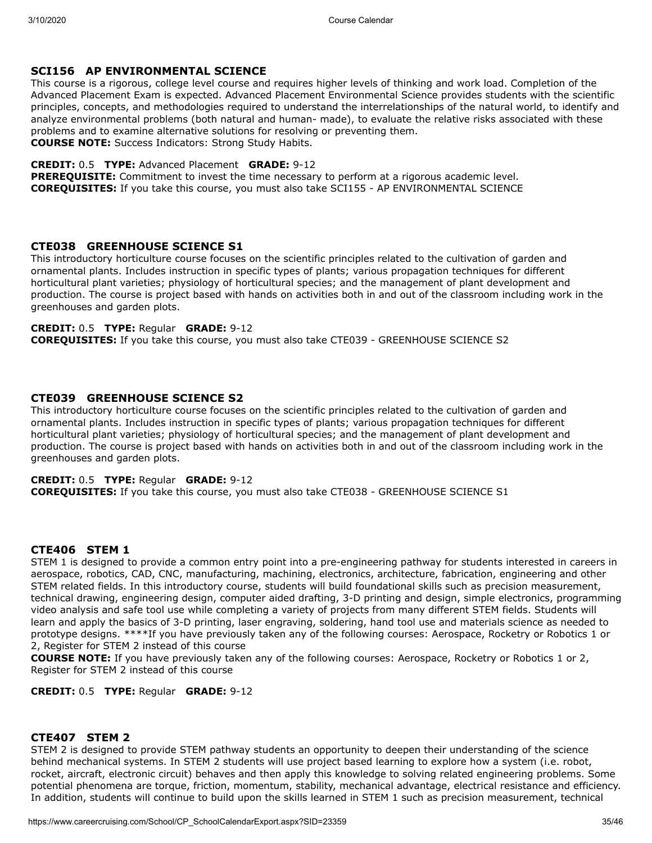## **SCI156 AP ENVIRONMENTAL SCIENCE**

This course is a rigorous, college level course and requires higher levels of thinking and work load. Completion of the Advanced Placement Exam is expected. Advanced Placement Environmental Science provides students with the scientific principles, concepts, and methodologies required to understand the interrelationships of the natural world, to identify and analyze environmental problems (both natural and human- made), to evaluate the relative risks associated with these problems and to examine alternative solutions for resolving or preventing them. **COURSE NOTE:** Success Indicators: Strong Study Habits.

#### **CREDIT:** 0.5 **TYPE:** Advanced Placement **GRADE:** 9-12

**PREREQUISITE:** Commitment to invest the time necessary to perform at a rigorous academic level. **COREQUISITES:** If you take this course, you must also take SCI155 - AP ENVIRONMENTAL SCIENCE

## **CTE038 GREENHOUSE SCIENCE S1**

This introductory horticulture course focuses on the scientific principles related to the cultivation of garden and ornamental plants. Includes instruction in specific types of plants; various propagation techniques for different horticultural plant varieties; physiology of horticultural species; and the management of plant development and production. The course is project based with hands on activities both in and out of the classroom including work in the greenhouses and garden plots.

## **CREDIT:** 0.5 **TYPE:** Regular **GRADE:** 9-12

**COREQUISITES:** If you take this course, you must also take CTE039 - GREENHOUSE SCIENCE S2

## **CTE039 GREENHOUSE SCIENCE S2**

This introductory horticulture course focuses on the scientific principles related to the cultivation of garden and ornamental plants. Includes instruction in specific types of plants; various propagation techniques for different horticultural plant varieties; physiology of horticultural species; and the management of plant development and production. The course is project based with hands on activities both in and out of the classroom including work in the greenhouses and garden plots.

### **CREDIT:** 0.5 **TYPE:** Regular **GRADE:** 9-12

**COREQUISITES:** If you take this course, you must also take CTE038 - GREENHOUSE SCIENCE S1

## **CTE406 STEM 1**

STEM 1 is designed to provide a common entry point into a pre-engineering pathway for students interested in careers in aerospace, robotics, CAD, CNC, manufacturing, machining, electronics, architecture, fabrication, engineering and other STEM related fields. In this introductory course, students will build foundational skills such as precision measurement, technical drawing, engineering design, computer aided drafting, 3-D printing and design, simple electronics, programming video analysis and safe tool use while completing a variety of projects from many different STEM fields. Students will learn and apply the basics of 3-D printing, laser engraving, soldering, hand tool use and materials science as needed to prototype designs. \*\*\*\*If you have previously taken any of the following courses: Aerospace, Rocketry or Robotics 1 or 2, Register for STEM 2 instead of this course

**COURSE NOTE:** If you have previously taken any of the following courses: Aerospace, Rocketry or Robotics 1 or 2, Register for STEM 2 instead of this course

**CREDIT:** 0.5 **TYPE:** Regular **GRADE:** 9-12

## **CTE407 STEM 2**

STEM 2 is designed to provide STEM pathway students an opportunity to deepen their understanding of the science behind mechanical systems. In STEM 2 students will use project based learning to explore how a system (i.e. robot, rocket, aircraft, electronic circuit) behaves and then apply this knowledge to solving related engineering problems. Some potential phenomena are torque, friction, momentum, stability, mechanical advantage, electrical resistance and efficiency. In addition, students will continue to build upon the skills learned in STEM 1 such as precision measurement, technical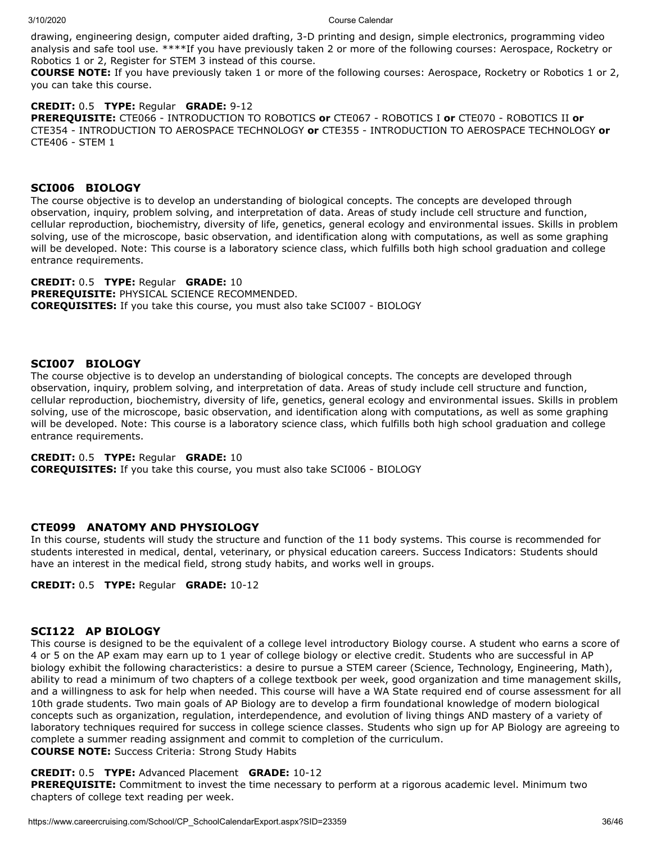drawing, engineering design, computer aided drafting, 3-D printing and design, simple electronics, programming video analysis and safe tool use. \*\*\*\*If you have previously taken 2 or more of the following courses: Aerospace, Rocketry or Robotics 1 or 2, Register for STEM 3 instead of this course.

**COURSE NOTE:** If you have previously taken 1 or more of the following courses: Aerospace, Rocketry or Robotics 1 or 2, you can take this course.

## **CREDIT:** 0.5 **TYPE:** Regular **GRADE:** 9-12

**PREREQUISITE:** CTE066 - INTRODUCTION TO ROBOTICS **or** CTE067 - ROBOTICS I **or** CTE070 - ROBOTICS II **or** CTE354 - INTRODUCTION TO AEROSPACE TECHNOLOGY **or** CTE355 - INTRODUCTION TO AEROSPACE TECHNOLOGY **or** CTE406 - STEM 1

## **SCI006 BIOLOGY**

The course objective is to develop an understanding of biological concepts. The concepts are developed through observation, inquiry, problem solving, and interpretation of data. Areas of study include cell structure and function, cellular reproduction, biochemistry, diversity of life, genetics, general ecology and environmental issues. Skills in problem solving, use of the microscope, basic observation, and identification along with computations, as well as some graphing will be developed. Note: This course is a laboratory science class, which fulfills both high school graduation and college entrance requirements.

### **CREDIT:** 0.5 **TYPE:** Regular **GRADE:** 10

**PREREQUISITE:** PHYSICAL SCIENCE RECOMMENDED. **COREQUISITES:** If you take this course, you must also take SCI007 - BIOLOGY

## **SCI007 BIOLOGY**

The course objective is to develop an understanding of biological concepts. The concepts are developed through observation, inquiry, problem solving, and interpretation of data. Areas of study include cell structure and function, cellular reproduction, biochemistry, diversity of life, genetics, general ecology and environmental issues. Skills in problem solving, use of the microscope, basic observation, and identification along with computations, as well as some graphing will be developed. Note: This course is a laboratory science class, which fulfills both high school graduation and college entrance requirements.

## **CREDIT:** 0.5 **TYPE:** Regular **GRADE:** 10

**COREQUISITES:** If you take this course, you must also take SCI006 - BIOLOGY

## **CTE099 ANATOMY AND PHYSIOLOGY**

In this course, students will study the structure and function of the 11 body systems. This course is recommended for students interested in medical, dental, veterinary, or physical education careers. Success Indicators: Students should have an interest in the medical field, strong study habits, and works well in groups.

**CREDIT:** 0.5 **TYPE:** Regular **GRADE:** 10-12

## **SCI122 AP BIOLOGY**

This course is designed to be the equivalent of a college level introductory Biology course. A student who earns a score of 4 or 5 on the AP exam may earn up to 1 year of college biology or elective credit. Students who are successful in AP biology exhibit the following characteristics: a desire to pursue a STEM career (Science, Technology, Engineering, Math), ability to read a minimum of two chapters of a college textbook per week, good organization and time management skills, and a willingness to ask for help when needed. This course will have a WA State required end of course assessment for all 10th grade students. Two main goals of AP Biology are to develop a firm foundational knowledge of modern biological concepts such as organization, regulation, interdependence, and evolution of living things AND mastery of a variety of laboratory techniques required for success in college science classes. Students who sign up for AP Biology are agreeing to complete a summer reading assignment and commit to completion of the curriculum. **COURSE NOTE:** Success Criteria: Strong Study Habits

## **CREDIT:** 0.5 **TYPE:** Advanced Placement **GRADE:** 10-12

**PREREQUISITE:** Commitment to invest the time necessary to perform at a rigorous academic level. Minimum two chapters of college text reading per week.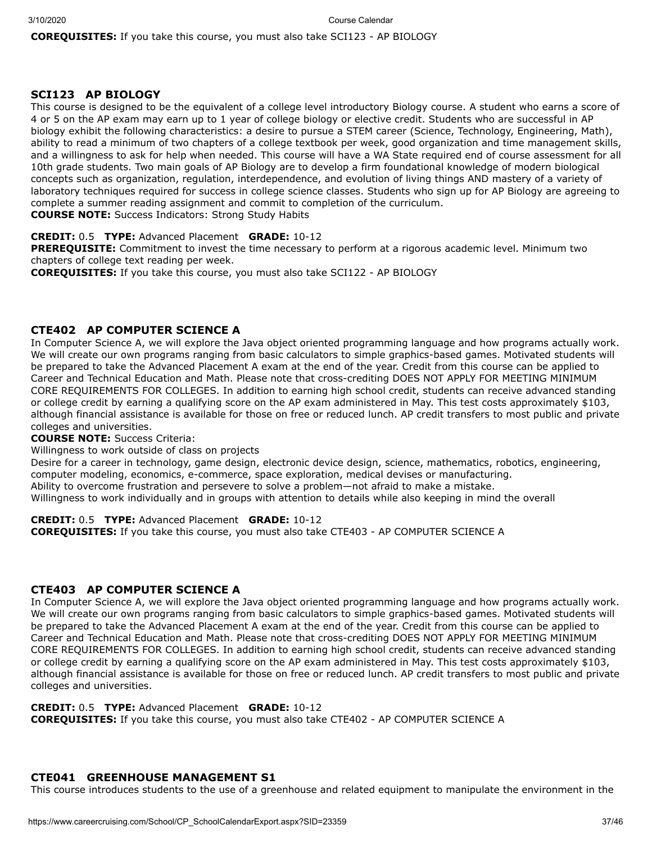**COREQUISITES:** If you take this course, you must also take SCI123 - AP BIOLOGY

## **SCI123 AP BIOLOGY**

This course is designed to be the equivalent of a college level introductory Biology course. A student who earns a score of 4 or 5 on the AP exam may earn up to 1 year of college biology or elective credit. Students who are successful in AP biology exhibit the following characteristics: a desire to pursue a STEM career (Science, Technology, Engineering, Math), ability to read a minimum of two chapters of a college textbook per week, good organization and time management skills, and a willingness to ask for help when needed. This course will have a WA State required end of course assessment for all 10th grade students. Two main goals of AP Biology are to develop a firm foundational knowledge of modern biological concepts such as organization, regulation, interdependence, and evolution of living things AND mastery of a variety of laboratory techniques required for success in college science classes. Students who sign up for AP Biology are agreeing to complete a summer reading assignment and commit to completion of the curriculum. **COURSE NOTE:** Success Indicators: Strong Study Habits

**CREDIT:** 0.5 **TYPE:** Advanced Placement **GRADE:** 10-12

**PREREQUISITE:** Commitment to invest the time necessary to perform at a rigorous academic level. Minimum two chapters of college text reading per week.

**COREQUISITES:** If you take this course, you must also take SCI122 - AP BIOLOGY

## **CTE402 AP COMPUTER SCIENCE A**

In Computer Science A, we will explore the Java object oriented programming language and how programs actually work. We will create our own programs ranging from basic calculators to simple graphics-based games. Motivated students will be prepared to take the Advanced Placement A exam at the end of the year. Credit from this course can be applied to Career and Technical Education and Math. Please note that cross-crediting DOES NOT APPLY FOR MEETING MINIMUM CORE REQUIREMENTS FOR COLLEGES. In addition to earning high school credit, students can receive advanced standing or college credit by earning a qualifying score on the AP exam administered in May. This test costs approximately \$103, although financial assistance is available for those on free or reduced lunch. AP credit transfers to most public and private colleges and universities.

#### **COURSE NOTE:** Success Criteria:

Willingness to work outside of class on projects

Desire for a career in technology, game design, electronic device design, science, mathematics, robotics, engineering, computer modeling, economics, e-commerce, space exploration, medical devises or manufacturing. Ability to overcome frustration and persevere to solve a problem—not afraid to make a mistake. Willingness to work individually and in groups with attention to details while also keeping in mind the overall

**CREDIT:** 0.5 **TYPE:** Advanced Placement **GRADE:** 10-12 **COREQUISITES:** If you take this course, you must also take CTE403 - AP COMPUTER SCIENCE A

## **CTE403 AP COMPUTER SCIENCE A**

In Computer Science A, we will explore the Java object oriented programming language and how programs actually work. We will create our own programs ranging from basic calculators to simple graphics-based games. Motivated students will be prepared to take the Advanced Placement A exam at the end of the year. Credit from this course can be applied to Career and Technical Education and Math. Please note that cross-crediting DOES NOT APPLY FOR MEETING MINIMUM CORE REQUIREMENTS FOR COLLEGES. In addition to earning high school credit, students can receive advanced standing or college credit by earning a qualifying score on the AP exam administered in May. This test costs approximately \$103, although financial assistance is available for those on free or reduced lunch. AP credit transfers to most public and private colleges and universities.

## **CREDIT:** 0.5 **TYPE:** Advanced Placement **GRADE:** 10-12

**COREQUISITES:** If you take this course, you must also take CTE402 - AP COMPUTER SCIENCE A

## **CTE041 GREENHOUSE MANAGEMENT S1**

This course introduces students to the use of a greenhouse and related equipment to manipulate the environment in the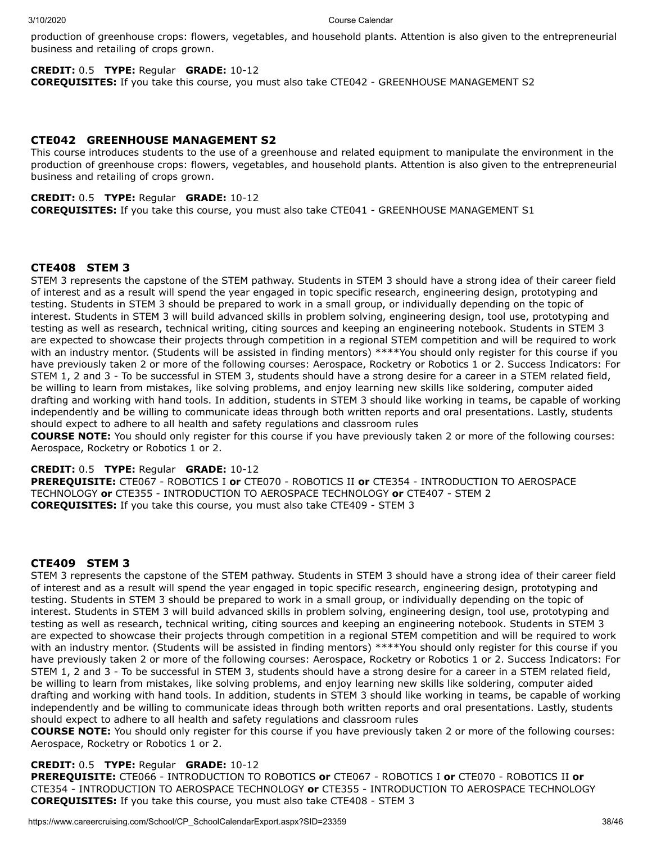production of greenhouse crops: flowers, vegetables, and household plants. Attention is also given to the entrepreneurial business and retailing of crops grown.

## **CREDIT:** 0.5 **TYPE:** Regular **GRADE:** 10-12

**COREQUISITES:** If you take this course, you must also take CTE042 - GREENHOUSE MANAGEMENT S2

## **CTE042 GREENHOUSE MANAGEMENT S2**

This course introduces students to the use of a greenhouse and related equipment to manipulate the environment in the production of greenhouse crops: flowers, vegetables, and household plants. Attention is also given to the entrepreneurial business and retailing of crops grown.

## **CREDIT:** 0.5 **TYPE:** Regular **GRADE:** 10-12

**COREQUISITES:** If you take this course, you must also take CTE041 - GREENHOUSE MANAGEMENT S1

### **CTE408 STEM 3**

STEM 3 represents the capstone of the STEM pathway. Students in STEM 3 should have a strong idea of their career field of interest and as a result will spend the year engaged in topic specific research, engineering design, prototyping and testing. Students in STEM 3 should be prepared to work in a small group, or individually depending on the topic of interest. Students in STEM 3 will build advanced skills in problem solving, engineering design, tool use, prototyping and testing as well as research, technical writing, citing sources and keeping an engineering notebook. Students in STEM 3 are expected to showcase their projects through competition in a regional STEM competition and will be required to work with an industry mentor. (Students will be assisted in finding mentors) \*\*\*\*You should only register for this course if you have previously taken 2 or more of the following courses: Aerospace, Rocketry or Robotics 1 or 2. Success Indicators: For STEM 1, 2 and 3 - To be successful in STEM 3, students should have a strong desire for a career in a STEM related field, be willing to learn from mistakes, like solving problems, and enjoy learning new skills like soldering, computer aided drafting and working with hand tools. In addition, students in STEM 3 should like working in teams, be capable of working independently and be willing to communicate ideas through both written reports and oral presentations. Lastly, students should expect to adhere to all health and safety regulations and classroom rules

**COURSE NOTE:** You should only register for this course if you have previously taken 2 or more of the following courses: Aerospace, Rocketry or Robotics 1 or 2.

**CREDIT:** 0.5 **TYPE:** Regular **GRADE:** 10-12

**PREREQUISITE:** CTE067 - ROBOTICS I **or** CTE070 - ROBOTICS II **or** CTE354 - INTRODUCTION TO AEROSPACE TECHNOLOGY **or** CTE355 - INTRODUCTION TO AEROSPACE TECHNOLOGY **or** CTE407 - STEM 2 **COREQUISITES:** If you take this course, you must also take CTE409 - STEM 3

## **CTE409 STEM 3**

STEM 3 represents the capstone of the STEM pathway. Students in STEM 3 should have a strong idea of their career field of interest and as a result will spend the year engaged in topic specific research, engineering design, prototyping and testing. Students in STEM 3 should be prepared to work in a small group, or individually depending on the topic of interest. Students in STEM 3 will build advanced skills in problem solving, engineering design, tool use, prototyping and testing as well as research, technical writing, citing sources and keeping an engineering notebook. Students in STEM 3 are expected to showcase their projects through competition in a regional STEM competition and will be required to work with an industry mentor. (Students will be assisted in finding mentors) \*\*\*\*You should only register for this course if you have previously taken 2 or more of the following courses: Aerospace, Rocketry or Robotics 1 or 2. Success Indicators: For STEM 1, 2 and 3 - To be successful in STEM 3, students should have a strong desire for a career in a STEM related field, be willing to learn from mistakes, like solving problems, and enjoy learning new skills like soldering, computer aided drafting and working with hand tools. In addition, students in STEM 3 should like working in teams, be capable of working independently and be willing to communicate ideas through both written reports and oral presentations. Lastly, students should expect to adhere to all health and safety regulations and classroom rules

**COURSE NOTE:** You should only register for this course if you have previously taken 2 or more of the following courses: Aerospace, Rocketry or Robotics 1 or 2.

#### **CREDIT:** 0.5 **TYPE:** Regular **GRADE:** 10-12

**PREREQUISITE:** CTE066 - INTRODUCTION TO ROBOTICS **or** CTE067 - ROBOTICS I **or** CTE070 - ROBOTICS II **or** CTE354 - INTRODUCTION TO AEROSPACE TECHNOLOGY **or** CTE355 - INTRODUCTION TO AEROSPACE TECHNOLOGY **COREQUISITES:** If you take this course, you must also take CTE408 - STEM 3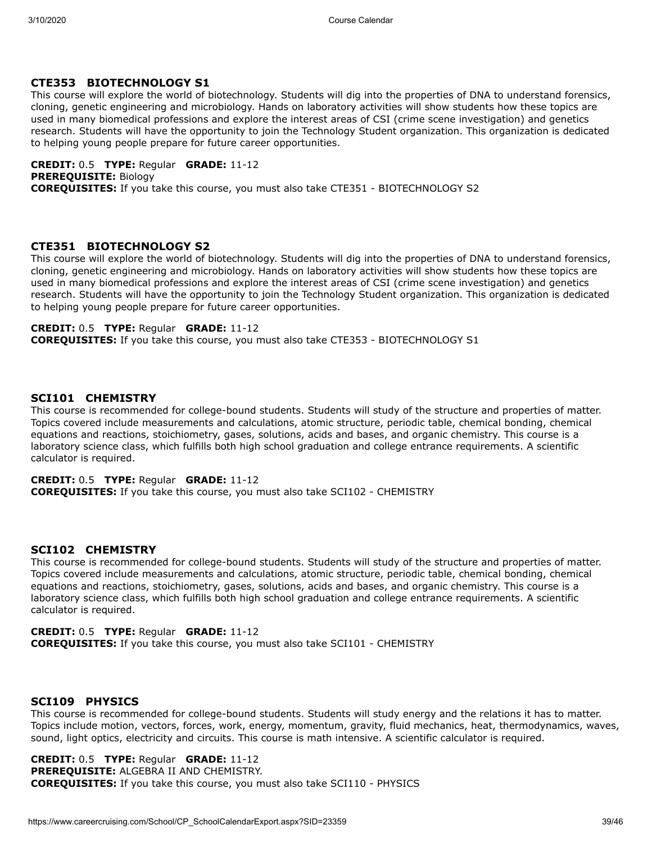## **CTE353 BIOTECHNOLOGY S1**

This course will explore the world of biotechnology. Students will dig into the properties of DNA to understand forensics, cloning, genetic engineering and microbiology. Hands on laboratory activities will show students how these topics are used in many biomedical professions and explore the interest areas of CSI (crime scene investigation) and genetics research. Students will have the opportunity to join the Technology Student organization. This organization is dedicated to helping young people prepare for future career opportunities.

**CREDIT:** 0.5 **TYPE:** Regular **GRADE:** 11-12 **PREREQUISITE:** Biology **COREQUISITES:** If you take this course, you must also take CTE351 - BIOTECHNOLOGY S2

## **CTE351 BIOTECHNOLOGY S2**

This course will explore the world of biotechnology. Students will dig into the properties of DNA to understand forensics, cloning, genetic engineering and microbiology. Hands on laboratory activities will show students how these topics are used in many biomedical professions and explore the interest areas of CSI (crime scene investigation) and genetics research. Students will have the opportunity to join the Technology Student organization. This organization is dedicated to helping young people prepare for future career opportunities.

## **CREDIT:** 0.5 **TYPE:** Regular **GRADE:** 11-12

**COREQUISITES:** If you take this course, you must also take CTE353 - BIOTECHNOLOGY S1

## **SCI101 CHEMISTRY**

This course is recommended for college-bound students. Students will study of the structure and properties of matter. Topics covered include measurements and calculations, atomic structure, periodic table, chemical bonding, chemical equations and reactions, stoichiometry, gases, solutions, acids and bases, and organic chemistry. This course is a laboratory science class, which fulfills both high school graduation and college entrance requirements. A scientific calculator is required.

## **CREDIT:** 0.5 **TYPE:** Regular **GRADE:** 11-12

**COREQUISITES:** If you take this course, you must also take SCI102 - CHEMISTRY

## **SCI102 CHEMISTRY**

This course is recommended for college-bound students. Students will study of the structure and properties of matter. Topics covered include measurements and calculations, atomic structure, periodic table, chemical bonding, chemical equations and reactions, stoichiometry, gases, solutions, acids and bases, and organic chemistry. This course is a laboratory science class, which fulfills both high school graduation and college entrance requirements. A scientific calculator is required.

## **CREDIT:** 0.5 **TYPE:** Regular **GRADE:** 11-12

**COREQUISITES:** If you take this course, you must also take SCI101 - CHEMISTRY

## **SCI109 PHYSICS**

This course is recommended for college-bound students. Students will study energy and the relations it has to matter. Topics include motion, vectors, forces, work, energy, momentum, gravity, fluid mechanics, heat, thermodynamics, waves, sound, light optics, electricity and circuits. This course is math intensive. A scientific calculator is required.

**CREDIT:** 0.5 **TYPE:** Regular **GRADE:** 11-12 **PREREQUISITE:** ALGEBRA II AND CHEMISTRY. **COREQUISITES:** If you take this course, you must also take SCI110 - PHYSICS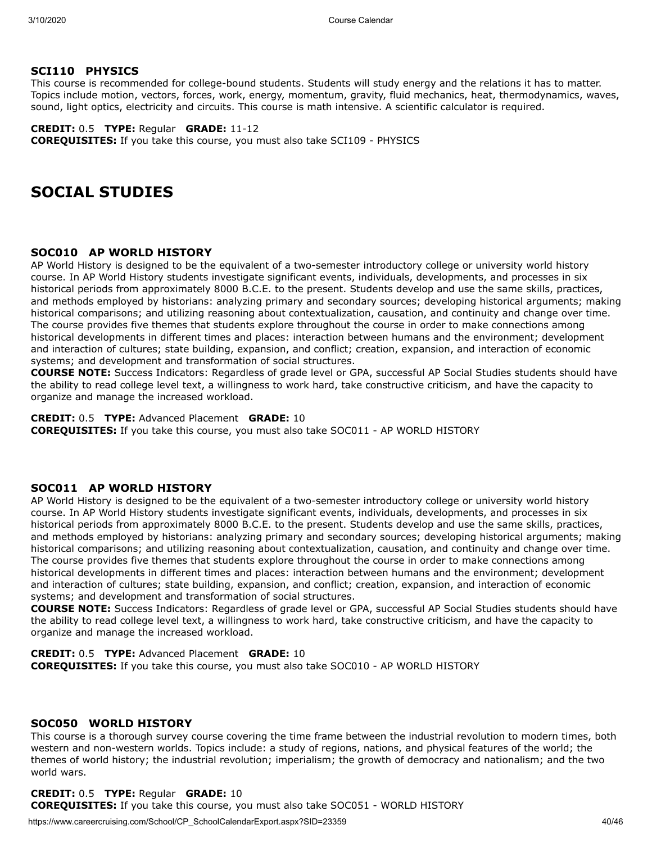## **SCI110 PHYSICS**

This course is recommended for college-bound students. Students will study energy and the relations it has to matter. Topics include motion, vectors, forces, work, energy, momentum, gravity, fluid mechanics, heat, thermodynamics, waves, sound, light optics, electricity and circuits. This course is math intensive. A scientific calculator is required.

**CREDIT:** 0.5 **TYPE:** Regular **GRADE:** 11-12 **COREQUISITES:** If you take this course, you must also take SCI109 - PHYSICS

## **SOCIAL STUDIES**

## **SOC010 AP WORLD HISTORY**

AP World History is designed to be the equivalent of a two-semester introductory college or university world history course. In AP World History students investigate significant events, individuals, developments, and processes in six historical periods from approximately 8000 B.C.E. to the present. Students develop and use the same skills, practices, and methods employed by historians: analyzing primary and secondary sources; developing historical arguments; making historical comparisons; and utilizing reasoning about contextualization, causation, and continuity and change over time. The course provides five themes that students explore throughout the course in order to make connections among historical developments in different times and places: interaction between humans and the environment; development and interaction of cultures; state building, expansion, and conflict; creation, expansion, and interaction of economic systems; and development and transformation of social structures.

**COURSE NOTE:** Success Indicators: Regardless of grade level or GPA, successful AP Social Studies students should have the ability to read college level text, a willingness to work hard, take constructive criticism, and have the capacity to organize and manage the increased workload.

**CREDIT:** 0.5 **TYPE:** Advanced Placement **GRADE:** 10 **COREQUISITES:** If you take this course, you must also take SOC011 - AP WORLD HISTORY

## **SOC011 AP WORLD HISTORY**

AP World History is designed to be the equivalent of a two-semester introductory college or university world history course. In AP World History students investigate significant events, individuals, developments, and processes in six historical periods from approximately 8000 B.C.E. to the present. Students develop and use the same skills, practices, and methods employed by historians: analyzing primary and secondary sources; developing historical arguments; making historical comparisons; and utilizing reasoning about contextualization, causation, and continuity and change over time. The course provides five themes that students explore throughout the course in order to make connections among historical developments in different times and places: interaction between humans and the environment; development and interaction of cultures; state building, expansion, and conflict; creation, expansion, and interaction of economic systems; and development and transformation of social structures.

**COURSE NOTE:** Success Indicators: Regardless of grade level or GPA, successful AP Social Studies students should have the ability to read college level text, a willingness to work hard, take constructive criticism, and have the capacity to organize and manage the increased workload.

**CREDIT:** 0.5 **TYPE:** Advanced Placement **GRADE:** 10 **COREQUISITES:** If you take this course, you must also take SOC010 - AP WORLD HISTORY

## **SOC050 WORLD HISTORY**

This course is a thorough survey course covering the time frame between the industrial revolution to modern times, both western and non-western worlds. Topics include: a study of regions, nations, and physical features of the world; the themes of world history; the industrial revolution; imperialism; the growth of democracy and nationalism; and the two world wars.

#### **CREDIT:** 0.5 **TYPE:** Regular **GRADE:** 10 **COREQUISITES:** If you take this course, you must also take SOC051 - WORLD HISTORY

https://www.careercruising.com/School/CP\_SchoolCalendarExport.aspx?SID=23359 40/46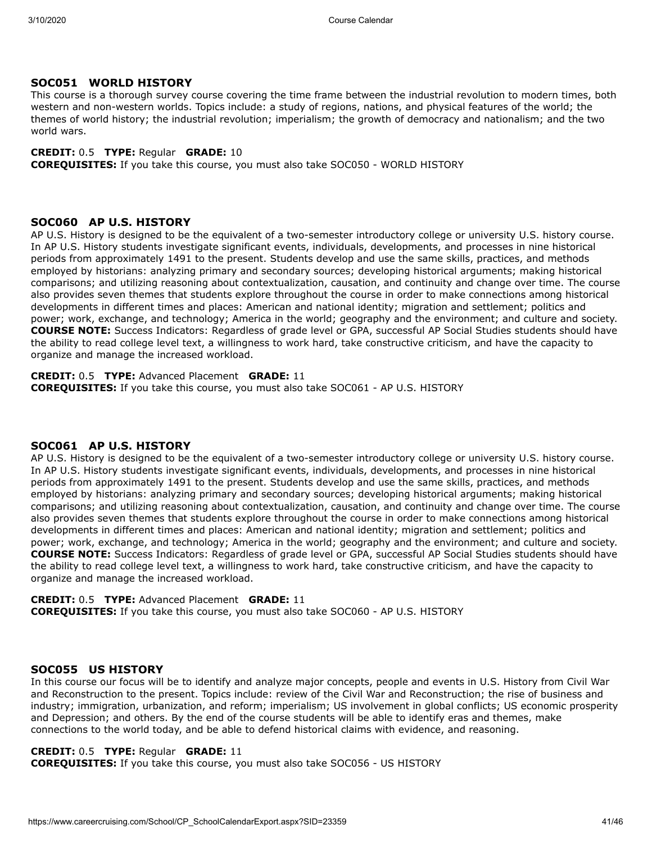## **SOC051 WORLD HISTORY**

This course is a thorough survey course covering the time frame between the industrial revolution to modern times, both western and non-western worlds. Topics include: a study of regions, nations, and physical features of the world; the themes of world history; the industrial revolution; imperialism; the growth of democracy and nationalism; and the two world wars.

## **CREDIT:** 0.5 **TYPE:** Regular **GRADE:** 10

**COREQUISITES:** If you take this course, you must also take SOC050 - WORLD HISTORY

## **SOC060 AP U.S. HISTORY**

AP U.S. History is designed to be the equivalent of a two-semester introductory college or university U.S. history course. In AP U.S. History students investigate significant events, individuals, developments, and processes in nine historical periods from approximately 1491 to the present. Students develop and use the same skills, practices, and methods employed by historians: analyzing primary and secondary sources; developing historical arguments; making historical comparisons; and utilizing reasoning about contextualization, causation, and continuity and change over time. The course also provides seven themes that students explore throughout the course in order to make connections among historical developments in different times and places: American and national identity; migration and settlement; politics and power; work, exchange, and technology; America in the world; geography and the environment; and culture and society. **COURSE NOTE:** Success Indicators: Regardless of grade level or GPA, successful AP Social Studies students should have the ability to read college level text, a willingness to work hard, take constructive criticism, and have the capacity to organize and manage the increased workload.

#### **CREDIT:** 0.5 **TYPE:** Advanced Placement **GRADE:** 11 **COREQUISITES:** If you take this course, you must also take SOC061 - AP U.S. HISTORY

## **SOC061 AP U.S. HISTORY**

AP U.S. History is designed to be the equivalent of a two-semester introductory college or university U.S. history course. In AP U.S. History students investigate significant events, individuals, developments, and processes in nine historical periods from approximately 1491 to the present. Students develop and use the same skills, practices, and methods employed by historians: analyzing primary and secondary sources; developing historical arguments; making historical comparisons; and utilizing reasoning about contextualization, causation, and continuity and change over time. The course also provides seven themes that students explore throughout the course in order to make connections among historical developments in different times and places: American and national identity; migration and settlement; politics and power; work, exchange, and technology; America in the world; geography and the environment; and culture and society. **COURSE NOTE:** Success Indicators: Regardless of grade level or GPA, successful AP Social Studies students should have the ability to read college level text, a willingness to work hard, take constructive criticism, and have the capacity to organize and manage the increased workload.

**CREDIT:** 0.5 **TYPE:** Advanced Placement **GRADE:** 11 **COREQUISITES:** If you take this course, you must also take SOC060 - AP U.S. HISTORY

## **SOC055 US HISTORY**

In this course our focus will be to identify and analyze major concepts, people and events in U.S. History from Civil War and Reconstruction to the present. Topics include: review of the Civil War and Reconstruction; the rise of business and industry; immigration, urbanization, and reform; imperialism; US involvement in global conflicts; US economic prosperity and Depression; and others. By the end of the course students will be able to identify eras and themes, make connections to the world today, and be able to defend historical claims with evidence, and reasoning.

## **CREDIT:** 0.5 **TYPE:** Regular **GRADE:** 11

**COREQUISITES:** If you take this course, you must also take SOC056 - US HISTORY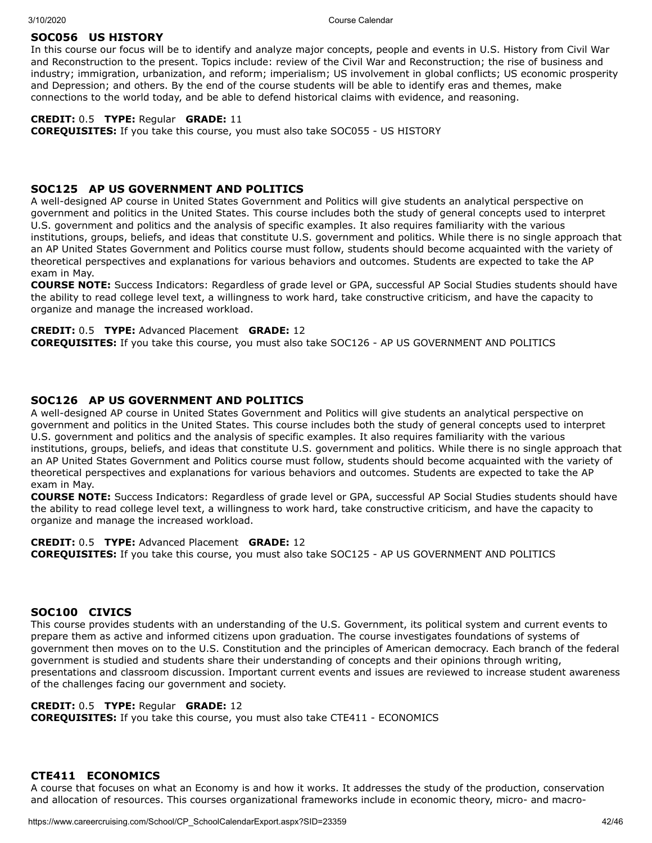## **SOC056 US HISTORY**

In this course our focus will be to identify and analyze major concepts, people and events in U.S. History from Civil War and Reconstruction to the present. Topics include: review of the Civil War and Reconstruction; the rise of business and industry; immigration, urbanization, and reform; imperialism; US involvement in global conflicts; US economic prosperity and Depression; and others. By the end of the course students will be able to identify eras and themes, make connections to the world today, and be able to defend historical claims with evidence, and reasoning.

## **CREDIT:** 0.5 **TYPE:** Regular **GRADE:** 11

**COREQUISITES:** If you take this course, you must also take SOC055 - US HISTORY

## **SOC125 AP US GOVERNMENT AND POLITICS**

A well-designed AP course in United States Government and Politics will give students an analytical perspective on government and politics in the United States. This course includes both the study of general concepts used to interpret U.S. government and politics and the analysis of specific examples. It also requires familiarity with the various institutions, groups, beliefs, and ideas that constitute U.S. government and politics. While there is no single approach that an AP United States Government and Politics course must follow, students should become acquainted with the variety of theoretical perspectives and explanations for various behaviors and outcomes. Students are expected to take the AP exam in May.

**COURSE NOTE:** Success Indicators: Regardless of grade level or GPA, successful AP Social Studies students should have the ability to read college level text, a willingness to work hard, take constructive criticism, and have the capacity to organize and manage the increased workload.

## **CREDIT:** 0.5 **TYPE:** Advanced Placement **GRADE:** 12

**COREQUISITES:** If you take this course, you must also take SOC126 - AP US GOVERNMENT AND POLITICS

## **SOC126 AP US GOVERNMENT AND POLITICS**

A well-designed AP course in United States Government and Politics will give students an analytical perspective on government and politics in the United States. This course includes both the study of general concepts used to interpret U.S. government and politics and the analysis of specific examples. It also requires familiarity with the various institutions, groups, beliefs, and ideas that constitute U.S. government and politics. While there is no single approach that an AP United States Government and Politics course must follow, students should become acquainted with the variety of theoretical perspectives and explanations for various behaviors and outcomes. Students are expected to take the AP exam in May.

**COURSE NOTE:** Success Indicators: Regardless of grade level or GPA, successful AP Social Studies students should have the ability to read college level text, a willingness to work hard, take constructive criticism, and have the capacity to organize and manage the increased workload.

#### **CREDIT:** 0.5 **TYPE:** Advanced Placement **GRADE:** 12

**COREQUISITES:** If you take this course, you must also take SOC125 - AP US GOVERNMENT AND POLITICS

## **SOC100 CIVICS**

This course provides students with an understanding of the U.S. Government, its political system and current events to prepare them as active and informed citizens upon graduation. The course investigates foundations of systems of government then moves on to the U.S. Constitution and the principles of American democracy. Each branch of the federal government is studied and students share their understanding of concepts and their opinions through writing, presentations and classroom discussion. Important current events and issues are reviewed to increase student awareness of the challenges facing our government and society.

## **CREDIT:** 0.5 **TYPE:** Regular **GRADE:** 12

**COREQUISITES:** If you take this course, you must also take CTE411 - ECONOMICS

## **CTE411 ECONOMICS**

A course that focuses on what an Economy is and how it works. It addresses the study of the production, conservation and allocation of resources. This courses organizational frameworks include in economic theory, micro- and macro-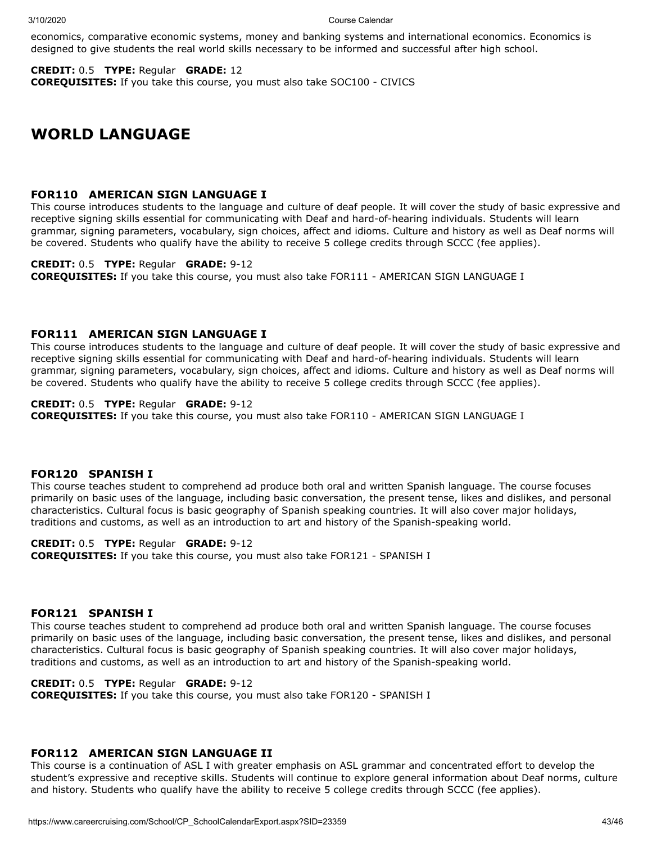economics, comparative economic systems, money and banking systems and international economics. Economics is designed to give students the real world skills necessary to be informed and successful after high school.

**CREDIT:** 0.5 **TYPE:** Regular **GRADE:** 12 **COREQUISITES:** If you take this course, you must also take SOC100 - CIVICS

## **WORLD LANGUAGE**

## **FOR110 AMERICAN SIGN LANGUAGE I**

This course introduces students to the language and culture of deaf people. It will cover the study of basic expressive and receptive signing skills essential for communicating with Deaf and hard-of-hearing individuals. Students will learn grammar, signing parameters, vocabulary, sign choices, affect and idioms. Culture and history as well as Deaf norms will be covered. Students who qualify have the ability to receive 5 college credits through SCCC (fee applies).

## **CREDIT:** 0.5 **TYPE:** Regular **GRADE:** 9-12

**COREQUISITES:** If you take this course, you must also take FOR111 - AMERICAN SIGN LANGUAGE I

## **FOR111 AMERICAN SIGN LANGUAGE I**

This course introduces students to the language and culture of deaf people. It will cover the study of basic expressive and receptive signing skills essential for communicating with Deaf and hard-of-hearing individuals. Students will learn grammar, signing parameters, vocabulary, sign choices, affect and idioms. Culture and history as well as Deaf norms will be covered. Students who qualify have the ability to receive 5 college credits through SCCC (fee applies).

## **CREDIT:** 0.5 **TYPE:** Regular **GRADE:** 9-12

**COREQUISITES:** If you take this course, you must also take FOR110 - AMERICAN SIGN LANGUAGE I

## **FOR120 SPANISH I**

This course teaches student to comprehend ad produce both oral and written Spanish language. The course focuses primarily on basic uses of the language, including basic conversation, the present tense, likes and dislikes, and personal characteristics. Cultural focus is basic geography of Spanish speaking countries. It will also cover major holidays, traditions and customs, as well as an introduction to art and history of the Spanish-speaking world.

**CREDIT:** 0.5 **TYPE:** Regular **GRADE:** 9-12 **COREQUISITES:** If you take this course, you must also take FOR121 - SPANISH I

## **FOR121 SPANISH I**

This course teaches student to comprehend ad produce both oral and written Spanish language. The course focuses primarily on basic uses of the language, including basic conversation, the present tense, likes and dislikes, and personal characteristics. Cultural focus is basic geography of Spanish speaking countries. It will also cover major holidays, traditions and customs, as well as an introduction to art and history of the Spanish-speaking world.

## **CREDIT:** 0.5 **TYPE:** Regular **GRADE:** 9-12

**COREQUISITES:** If you take this course, you must also take FOR120 - SPANISH I

#### **FOR112 AMERICAN SIGN LANGUAGE II**

This course is a continuation of ASL I with greater emphasis on ASL grammar and concentrated effort to develop the student's expressive and receptive skills. Students will continue to explore general information about Deaf norms, culture and history. Students who qualify have the ability to receive 5 college credits through SCCC (fee applies).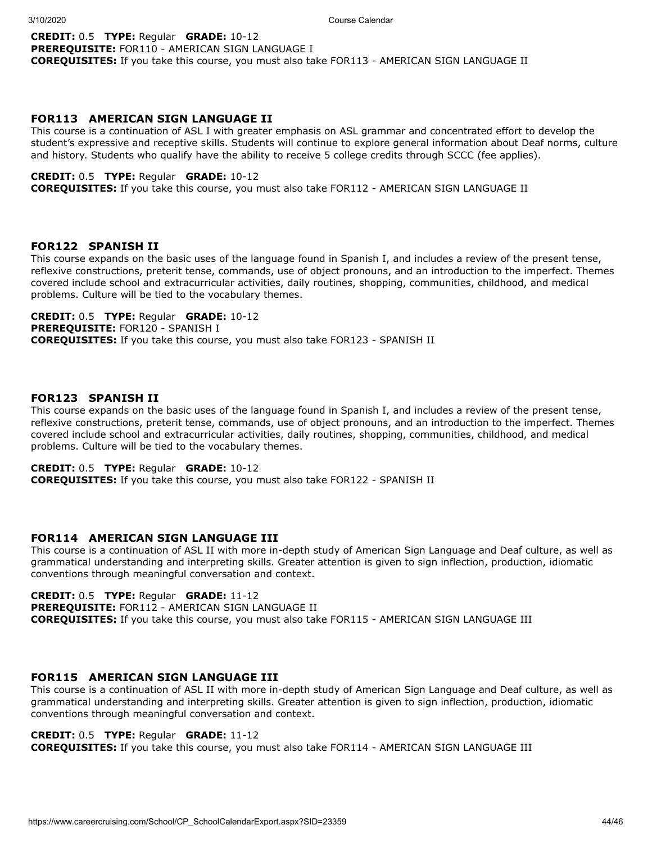## **CREDIT:** 0.5 **TYPE:** Regular **GRADE:** 10-12 **PREREQUISITE:** FOR110 - AMERICAN SIGN LANGUAGE I **COREQUISITES:** If you take this course, you must also take FOR113 - AMERICAN SIGN LANGUAGE II

## **FOR113 AMERICAN SIGN LANGUAGE II**

This course is a continuation of ASL I with greater emphasis on ASL grammar and concentrated effort to develop the student's expressive and receptive skills. Students will continue to explore general information about Deaf norms, culture and history. Students who qualify have the ability to receive 5 college credits through SCCC (fee applies).

#### **CREDIT:** 0.5 **TYPE:** Regular **GRADE:** 10-12

**COREQUISITES:** If you take this course, you must also take FOR112 - AMERICAN SIGN LANGUAGE II

## **FOR122 SPANISH II**

This course expands on the basic uses of the language found in Spanish I, and includes a review of the present tense, reflexive constructions, preterit tense, commands, use of object pronouns, and an introduction to the imperfect. Themes covered include school and extracurricular activities, daily routines, shopping, communities, childhood, and medical problems. Culture will be tied to the vocabulary themes.

**CREDIT:** 0.5 **TYPE:** Regular **GRADE:** 10-12 **PREREQUISITE:** FOR120 - SPANISH I **COREQUISITES:** If you take this course, you must also take FOR123 - SPANISH II

## **FOR123 SPANISH II**

This course expands on the basic uses of the language found in Spanish I, and includes a review of the present tense, reflexive constructions, preterit tense, commands, use of object pronouns, and an introduction to the imperfect. Themes covered include school and extracurricular activities, daily routines, shopping, communities, childhood, and medical problems. Culture will be tied to the vocabulary themes.

## **CREDIT:** 0.5 **TYPE:** Regular **GRADE:** 10-12

**COREQUISITES:** If you take this course, you must also take FOR122 - SPANISH II

## **FOR114 AMERICAN SIGN LANGUAGE III**

This course is a continuation of ASL II with more in-depth study of American Sign Language and Deaf culture, as well as grammatical understanding and interpreting skills. Greater attention is given to sign inflection, production, idiomatic conventions through meaningful conversation and context.

## **CREDIT:** 0.5 **TYPE:** Regular **GRADE:** 11-12

**PREREQUISITE:** FOR112 - AMERICAN SIGN LANGUAGE II **COREQUISITES:** If you take this course, you must also take FOR115 - AMERICAN SIGN LANGUAGE III

#### **FOR115 AMERICAN SIGN LANGUAGE III**

This course is a continuation of ASL II with more in-depth study of American Sign Language and Deaf culture, as well as grammatical understanding and interpreting skills. Greater attention is given to sign inflection, production, idiomatic conventions through meaningful conversation and context.

#### **CREDIT:** 0.5 **TYPE:** Regular **GRADE:** 11-12

**COREQUISITES:** If you take this course, you must also take FOR114 - AMERICAN SIGN LANGUAGE III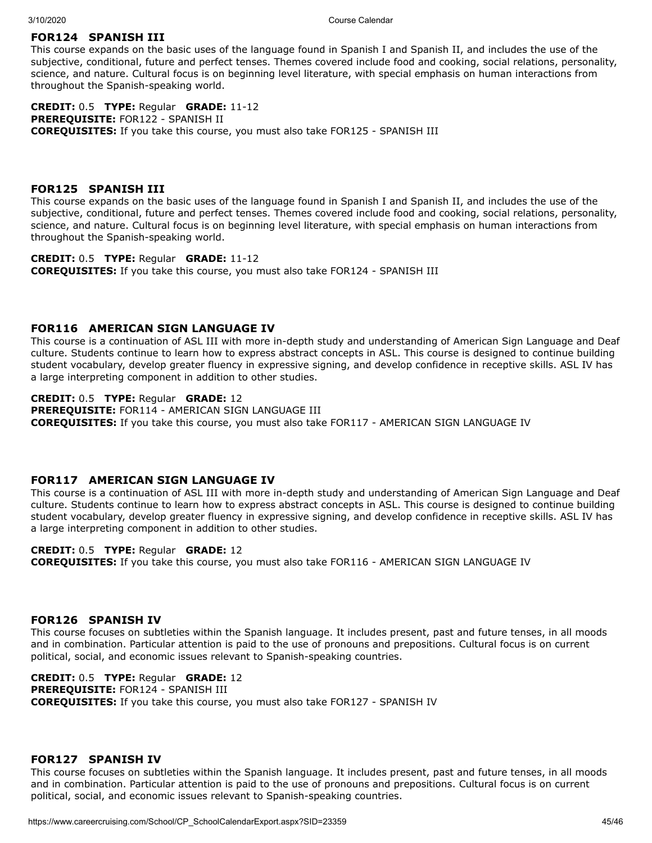## **FOR124 SPANISH III**

This course expands on the basic uses of the language found in Spanish I and Spanish II, and includes the use of the subjective, conditional, future and perfect tenses. Themes covered include food and cooking, social relations, personality, science, and nature. Cultural focus is on beginning level literature, with special emphasis on human interactions from throughout the Spanish-speaking world.

**CREDIT:** 0.5 **TYPE:** Regular **GRADE:** 11-12 **PREREQUISITE:** FOR122 - SPANISH II **COREQUISITES:** If you take this course, you must also take FOR125 - SPANISH III

### **FOR125 SPANISH III**

This course expands on the basic uses of the language found in Spanish I and Spanish II, and includes the use of the subjective, conditional, future and perfect tenses. Themes covered include food and cooking, social relations, personality, science, and nature. Cultural focus is on beginning level literature, with special emphasis on human interactions from throughout the Spanish-speaking world.

**CREDIT:** 0.5 **TYPE:** Regular **GRADE:** 11-12 **COREQUISITES:** If you take this course, you must also take FOR124 - SPANISH III

## **FOR116 AMERICAN SIGN LANGUAGE IV**

This course is a continuation of ASL III with more in-depth study and understanding of American Sign Language and Deaf culture. Students continue to learn how to express abstract concepts in ASL. This course is designed to continue building student vocabulary, develop greater fluency in expressive signing, and develop confidence in receptive skills. ASL IV has a large interpreting component in addition to other studies.

## **CREDIT:** 0.5 **TYPE:** Regular **GRADE:** 12

**PREREQUISITE:** FOR114 - AMERICAN SIGN LANGUAGE III **COREQUISITES:** If you take this course, you must also take FOR117 - AMERICAN SIGN LANGUAGE IV

## **FOR117 AMERICAN SIGN LANGUAGE IV**

This course is a continuation of ASL III with more in-depth study and understanding of American Sign Language and Deaf culture. Students continue to learn how to express abstract concepts in ASL. This course is designed to continue building student vocabulary, develop greater fluency in expressive signing, and develop confidence in receptive skills. ASL IV has a large interpreting component in addition to other studies.

## **CREDIT:** 0.5 **TYPE:** Regular **GRADE:** 12

**COREQUISITES:** If you take this course, you must also take FOR116 - AMERICAN SIGN LANGUAGE IV

## **FOR126 SPANISH IV**

This course focuses on subtleties within the Spanish language. It includes present, past and future tenses, in all moods and in combination. Particular attention is paid to the use of pronouns and prepositions. Cultural focus is on current political, social, and economic issues relevant to Spanish-speaking countries.

**CREDIT:** 0.5 **TYPE:** Regular **GRADE:** 12 **PREREQUISITE:** FOR124 - SPANISH III **COREQUISITES:** If you take this course, you must also take FOR127 - SPANISH IV

## **FOR127 SPANISH IV**

This course focuses on subtleties within the Spanish language. It includes present, past and future tenses, in all moods and in combination. Particular attention is paid to the use of pronouns and prepositions. Cultural focus is on current political, social, and economic issues relevant to Spanish-speaking countries.